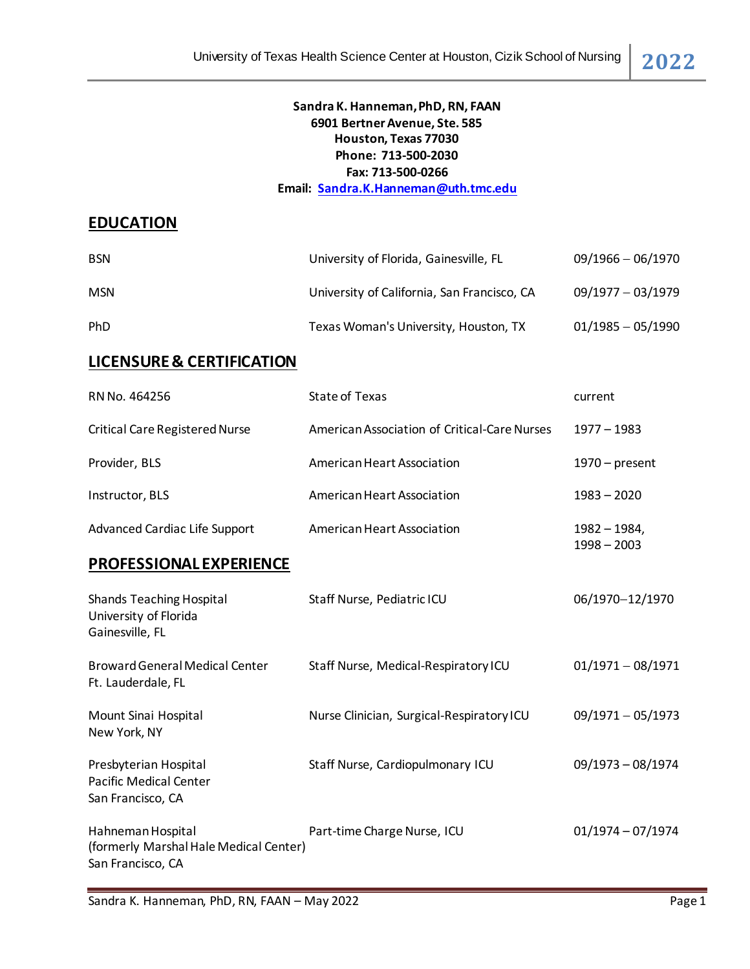## **Sandra K. Hanneman, PhD, RN, FAAN 6901 Bertner Avenue, Ste. 585 Houston, Texas 77030 Phone: 713-500-2030 Fax: 713-500-0266**

**Email: [Sandra.K.Hanneman@uth.tmc.edu](mailto:Sandra.K.Hanneman@uth.tmc.edu)**

# **EDUCATION**

| <b>BSN</b> | University of Florida, Gainesville, FL      | $09/1966 - 06/1970$ |
|------------|---------------------------------------------|---------------------|
| <b>MSN</b> | University of California, San Francisco, CA | $09/1977 - 03/1979$ |
| <b>PhD</b> | Texas Woman's University, Houston, TX       | $01/1985 - 05/1990$ |

# **LICENSURE & CERTIFICATION**

| RN No. 464256                                                                    | <b>State of Texas</b>                        | current                         |
|----------------------------------------------------------------------------------|----------------------------------------------|---------------------------------|
| <b>Critical Care Registered Nurse</b>                                            | American Association of Critical-Care Nurses | 1977 - 1983                     |
| Provider, BLS                                                                    | American Heart Association                   | $1970$ – present                |
| Instructor, BLS                                                                  | American Heart Association                   | $1983 - 2020$                   |
| <b>Advanced Cardiac Life Support</b>                                             | American Heart Association                   | $1982 - 1984,$<br>$1998 - 2003$ |
| PROFESSIONAL EXPERIENCE                                                          |                                              |                                 |
| <b>Shands Teaching Hospital</b><br>University of Florida<br>Gainesville, FL      | Staff Nurse, Pediatric ICU                   | 06/1970-12/1970                 |
| <b>Broward General Medical Center</b><br>Ft. Lauderdale, FL                      | Staff Nurse, Medical-Respiratory ICU         | $01/1971 - 08/1971$             |
| Mount Sinai Hospital<br>New York, NY                                             | Nurse Clinician, Surgical-Respiratory ICU    | $09/1971 - 05/1973$             |
| Presbyterian Hospital<br><b>Pacific Medical Center</b><br>San Francisco, CA      | Staff Nurse, Cardiopulmonary ICU             | 09/1973 - 08/1974               |
| Hahneman Hospital<br>(formerly Marshal Hale Medical Center)<br>San Francisco, CA | Part-time Charge Nurse, ICU                  | $01/1974 - 07/1974$             |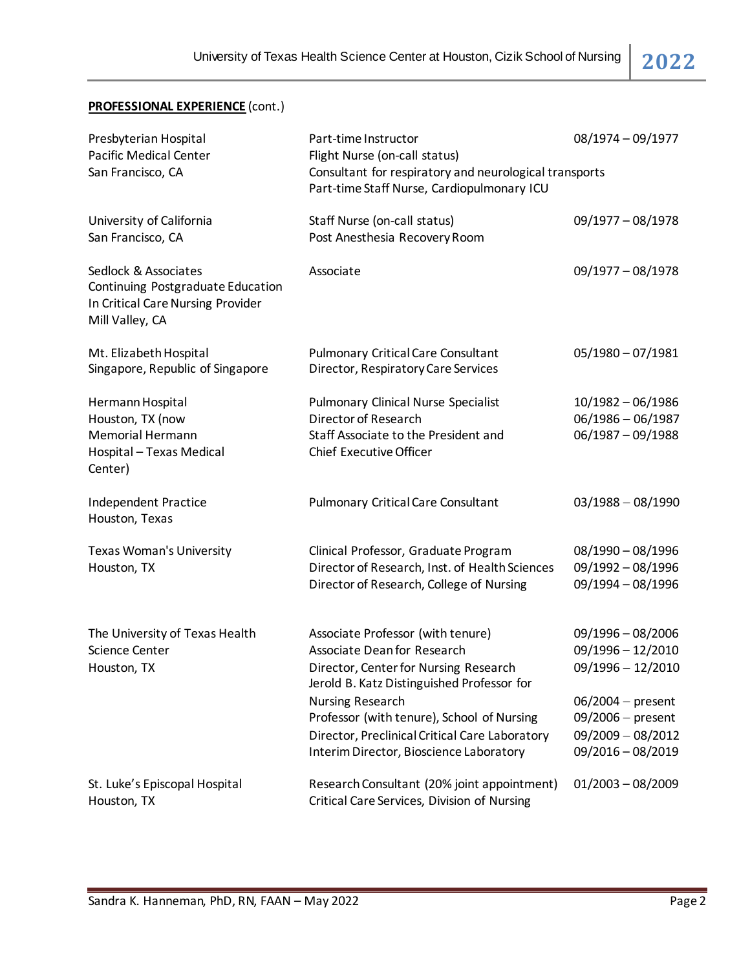# **PROFESSIONAL EXPERIENCE** (cont.)

| Presbyterian Hospital<br><b>Pacific Medical Center</b><br>San Francisco, CA                                       | Part-time Instructor<br>Flight Nurse (on-call status)<br>Consultant for respiratory and neurological transports<br>Part-time Staff Nurse, Cardiopulmonary ICU                                                                                                                                                                        | 08/1974 - 09/1977                                                                                                                                         |
|-------------------------------------------------------------------------------------------------------------------|--------------------------------------------------------------------------------------------------------------------------------------------------------------------------------------------------------------------------------------------------------------------------------------------------------------------------------------|-----------------------------------------------------------------------------------------------------------------------------------------------------------|
| University of California<br>San Francisco, CA                                                                     | Staff Nurse (on-call status)<br>Post Anesthesia Recovery Room                                                                                                                                                                                                                                                                        | $09/1977 - 08/1978$                                                                                                                                       |
| Sedlock & Associates<br>Continuing Postgraduate Education<br>In Critical Care Nursing Provider<br>Mill Valley, CA | Associate                                                                                                                                                                                                                                                                                                                            | $09/1977 - 08/1978$                                                                                                                                       |
| Mt. Elizabeth Hospital<br>Singapore, Republic of Singapore                                                        | <b>Pulmonary Critical Care Consultant</b><br>Director, Respiratory Care Services                                                                                                                                                                                                                                                     | $05/1980 - 07/1981$                                                                                                                                       |
| Hermann Hospital<br>Houston, TX (now<br><b>Memorial Hermann</b><br>Hospital - Texas Medical<br>Center)            | <b>Pulmonary Clinical Nurse Specialist</b><br>Director of Research<br>Staff Associate to the President and<br><b>Chief Executive Officer</b>                                                                                                                                                                                         | 10/1982 - 06/1986<br>$06/1986 - 06/1987$<br>$06/1987 - 09/1988$                                                                                           |
| Independent Practice<br>Houston, Texas                                                                            | <b>Pulmonary Critical Care Consultant</b>                                                                                                                                                                                                                                                                                            | $03/1988 - 08/1990$                                                                                                                                       |
| Texas Woman's University<br>Houston, TX                                                                           | Clinical Professor, Graduate Program<br>Director of Research, Inst. of Health Sciences<br>Director of Research, College of Nursing                                                                                                                                                                                                   | $08/1990 - 08/1996$<br>09/1992 - 08/1996<br>09/1994 - 08/1996                                                                                             |
| The University of Texas Health<br>Science Center<br>Houston, TX                                                   | Associate Professor (with tenure)<br><b>Associate Dean for Research</b><br>Director, Center for Nursing Research<br>Jerold B. Katz Distinguished Professor for<br><b>Nursing Research</b><br>Professor (with tenure), School of Nursing<br>Director, Preclinical Critical Care Laboratory<br>Interim Director, Bioscience Laboratory | $09/1996 - 08/2006$<br>09/1996 - 12/2010<br>$09/1996 - 12/2010$<br>$06/2004$ – present<br>$09/2006$ – present<br>$09/2009 - 08/2012$<br>09/2016 - 08/2019 |
| St. Luke's Episcopal Hospital<br>Houston, TX                                                                      | Research Consultant (20% joint appointment)<br>Critical Care Services, Division of Nursing                                                                                                                                                                                                                                           | $01/2003 - 08/2009$                                                                                                                                       |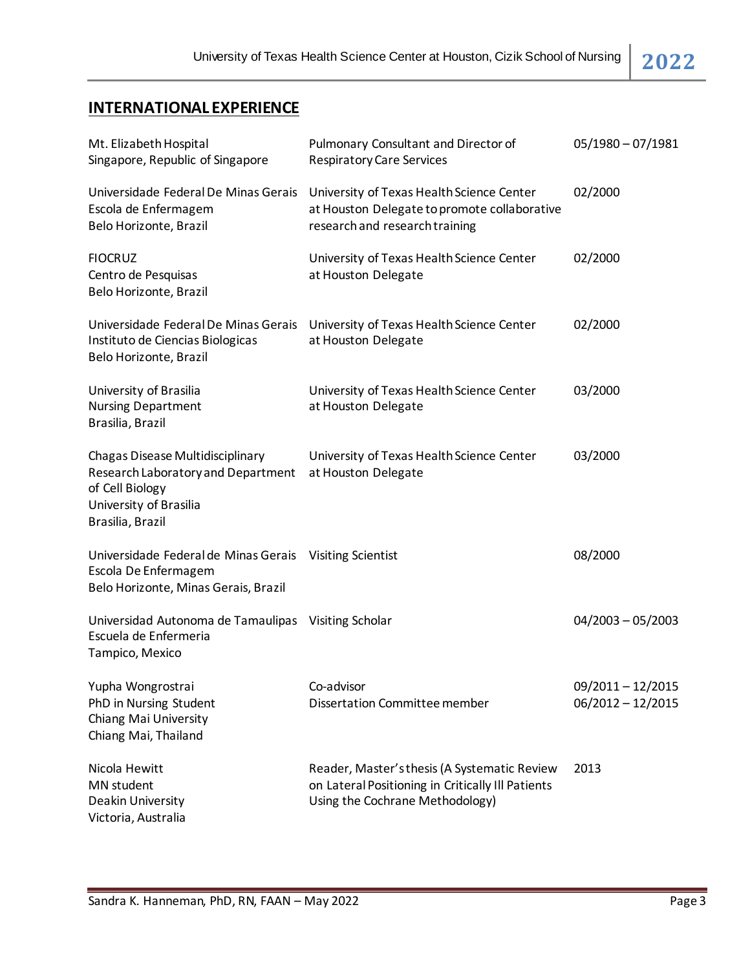# **INTERNATIONAL EXPERIENCE**

| Mt. Elizabeth Hospital<br>Singapore, Republic of Singapore                                                                              | Pulmonary Consultant and Director of<br><b>Respiratory Care Services</b>                                                             | $05/1980 - 07/1981$                        |
|-----------------------------------------------------------------------------------------------------------------------------------------|--------------------------------------------------------------------------------------------------------------------------------------|--------------------------------------------|
| Universidade Federal De Minas Gerais<br>Escola de Enfermagem<br>Belo Horizonte, Brazil                                                  | University of Texas Health Science Center<br>at Houston Delegate to promote collaborative<br>research and research training          | 02/2000                                    |
| <b>FIOCRUZ</b><br>Centro de Pesquisas<br>Belo Horizonte, Brazil                                                                         | University of Texas Health Science Center<br>at Houston Delegate                                                                     | 02/2000                                    |
| Universidade Federal De Minas Gerais<br>Instituto de Ciencias Biologicas<br>Belo Horizonte, Brazil                                      | University of Texas Health Science Center<br>at Houston Delegate                                                                     | 02/2000                                    |
| University of Brasilia<br><b>Nursing Department</b><br>Brasilia, Brazil                                                                 | University of Texas Health Science Center<br>at Houston Delegate                                                                     | 03/2000                                    |
| Chagas Disease Multidisciplinary<br>Research Laboratory and Department<br>of Cell Biology<br>University of Brasilia<br>Brasilia, Brazil | University of Texas Health Science Center<br>at Houston Delegate                                                                     | 03/2000                                    |
| Universidade Federal de Minas Gerais<br>Escola De Enfermagem<br>Belo Horizonte, Minas Gerais, Brazil                                    | <b>Visiting Scientist</b>                                                                                                            | 08/2000                                    |
| Universidad Autonoma de Tamaulipas<br>Escuela de Enfermeria<br>Tampico, Mexico                                                          | Visiting Scholar                                                                                                                     | $04/2003 - 05/2003$                        |
| Yupha Wongrostrai<br>PhD in Nursing Student<br>Chiang Mai University<br>Chiang Mai, Thailand                                            | Co-advisor<br>Dissertation Committee member                                                                                          | $09/2011 - 12/2015$<br>$06/2012 - 12/2015$ |
| Nicola Hewitt<br>MN student<br>Deakin University<br>Victoria, Australia                                                                 | Reader, Master's thesis (A Systematic Review<br>on Lateral Positioning in Critically Ill Patients<br>Using the Cochrane Methodology) | 2013                                       |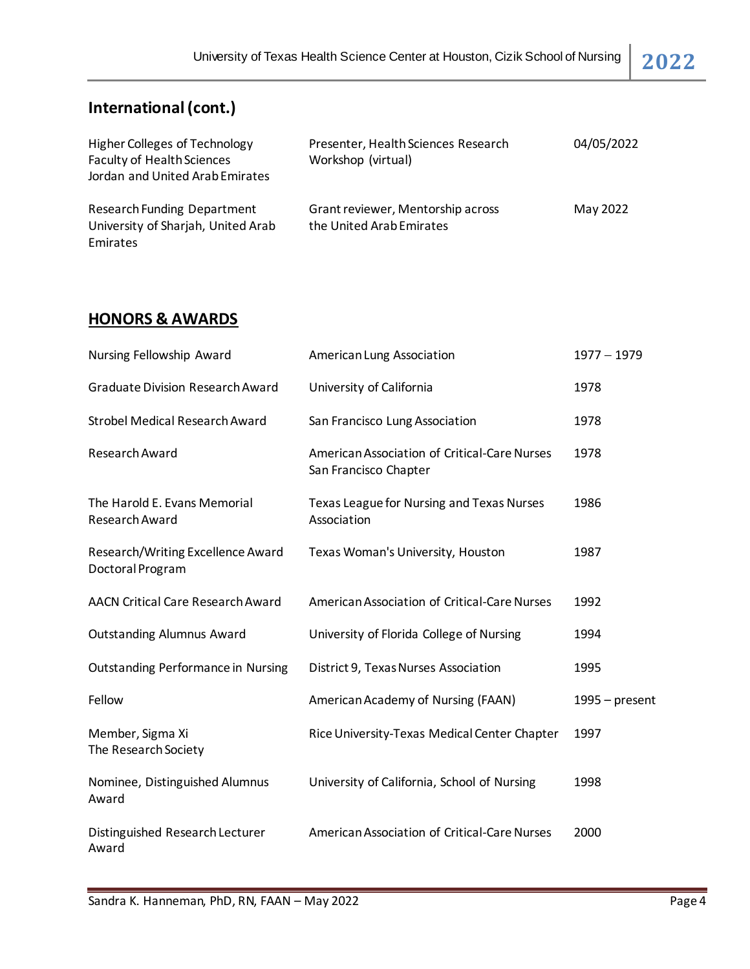# **International (cont.)**

| <b>Higher Colleges of Technology</b><br><b>Faculty of Health Sciences</b><br>Jordan and United Arab Emirates | Presenter, Health Sciences Research<br>Workshop (virtual)     | 04/05/2022 |
|--------------------------------------------------------------------------------------------------------------|---------------------------------------------------------------|------------|
| <b>Research Funding Department</b><br>University of Sharjah, United Arab<br>Emirates                         | Grant reviewer, Mentorship across<br>the United Arab Emirates | May 2022   |

# **HONORS & AWARDS**

| Nursing Fellowship Award                              | American Lung Association                                             | $1977 - 1979$    |
|-------------------------------------------------------|-----------------------------------------------------------------------|------------------|
| <b>Graduate Division Research Award</b>               | University of California                                              | 1978             |
| <b>Strobel Medical Research Award</b>                 | San Francisco Lung Association                                        | 1978             |
| Research Award                                        | American Association of Critical-Care Nurses<br>San Francisco Chapter | 1978             |
| The Harold E. Evans Memorial<br>Research Award        | Texas League for Nursing and Texas Nurses<br>Association              | 1986             |
| Research/Writing Excellence Award<br>Doctoral Program | Texas Woman's University, Houston                                     | 1987             |
| <b>AACN Critical Care Research Award</b>              | American Association of Critical-Care Nurses                          | 1992             |
| <b>Outstanding Alumnus Award</b>                      | University of Florida College of Nursing                              | 1994             |
| <b>Outstanding Performance in Nursing</b>             | District 9, Texas Nurses Association                                  | 1995             |
| Fellow                                                | American Academy of Nursing (FAAN)                                    | $1995 - present$ |
| Member, Sigma Xi<br>The Research Society              | Rice University-Texas Medical Center Chapter                          | 1997             |
| Nominee, Distinguished Alumnus<br>Award               | University of California, School of Nursing                           | 1998             |
| Distinguished Research Lecturer<br>Award              | American Association of Critical-Care Nurses                          | 2000             |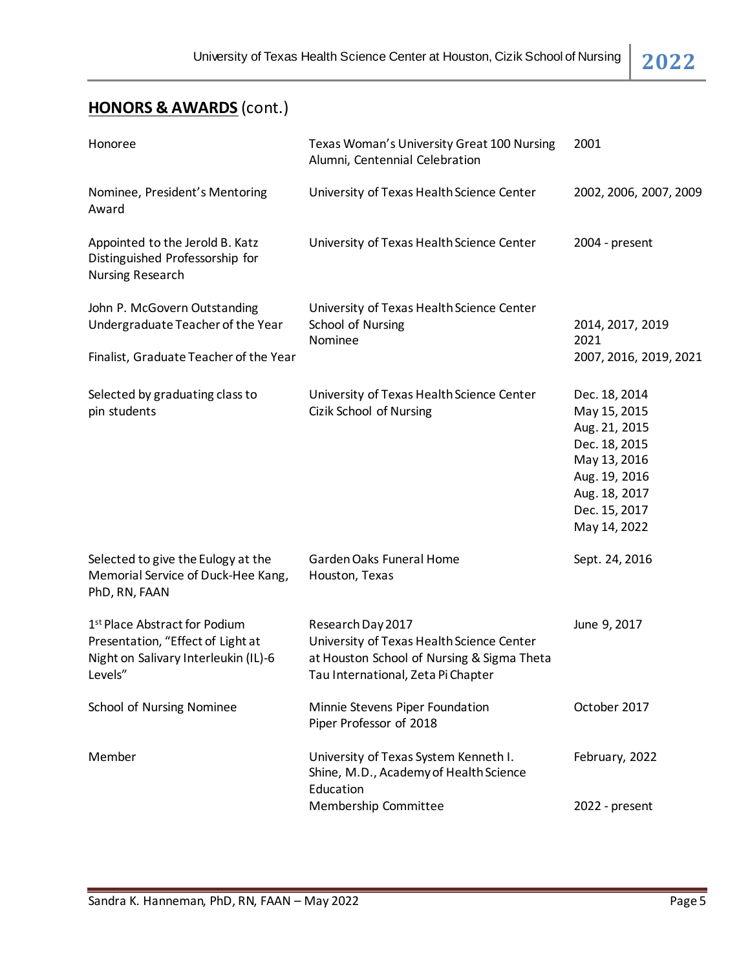# **HONORS & AWARDS** (cont.)

| Honoree                                                                                                                           | Texas Woman's University Great 100 Nursing<br>Alumni, Centennial Celebration                                                                       | 2001                                                                                                                                               |
|-----------------------------------------------------------------------------------------------------------------------------------|----------------------------------------------------------------------------------------------------------------------------------------------------|----------------------------------------------------------------------------------------------------------------------------------------------------|
| Nominee, President's Mentoring<br>Award                                                                                           | University of Texas Health Science Center                                                                                                          | 2002, 2006, 2007, 2009                                                                                                                             |
| Appointed to the Jerold B. Katz<br>Distinguished Professorship for<br><b>Nursing Research</b>                                     | University of Texas Health Science Center                                                                                                          | 2004 - present                                                                                                                                     |
| John P. McGovern Outstanding<br>Undergraduate Teacher of the Year<br>Finalist, Graduate Teacher of the Year                       | University of Texas Health Science Center<br>School of Nursing<br>Nominee                                                                          | 2014, 2017, 2019<br>2021<br>2007, 2016, 2019, 2021                                                                                                 |
| Selected by graduating class to<br>pin students                                                                                   | University of Texas Health Science Center<br>Cizik School of Nursing                                                                               | Dec. 18, 2014<br>May 15, 2015<br>Aug. 21, 2015<br>Dec. 18, 2015<br>May 13, 2016<br>Aug. 19, 2016<br>Aug. 18, 2017<br>Dec. 15, 2017<br>May 14, 2022 |
| Selected to give the Eulogy at the<br>Memorial Service of Duck-Hee Kang,<br>PhD, RN, FAAN                                         | Garden Oaks Funeral Home<br>Houston, Texas                                                                                                         | Sept. 24, 2016                                                                                                                                     |
| 1 <sup>st</sup> Place Abstract for Podium<br>Presentation, "Effect of Light at<br>Night on Salivary Interleukin (IL)-6<br>Levels" | Research Day 2017<br>University of Texas Health Science Center<br>at Houston School of Nursing & Sigma Theta<br>Tau International, Zeta Pi Chapter | June 9, 2017                                                                                                                                       |
| School of Nursing Nominee                                                                                                         | Minnie Stevens Piper Foundation<br>Piper Professor of 2018                                                                                         | October 2017                                                                                                                                       |
| Member                                                                                                                            | University of Texas System Kenneth I.<br>Shine, M.D., Academy of Health Science<br>Education                                                       | February, 2022                                                                                                                                     |
|                                                                                                                                   | Membership Committee                                                                                                                               | 2022 - present                                                                                                                                     |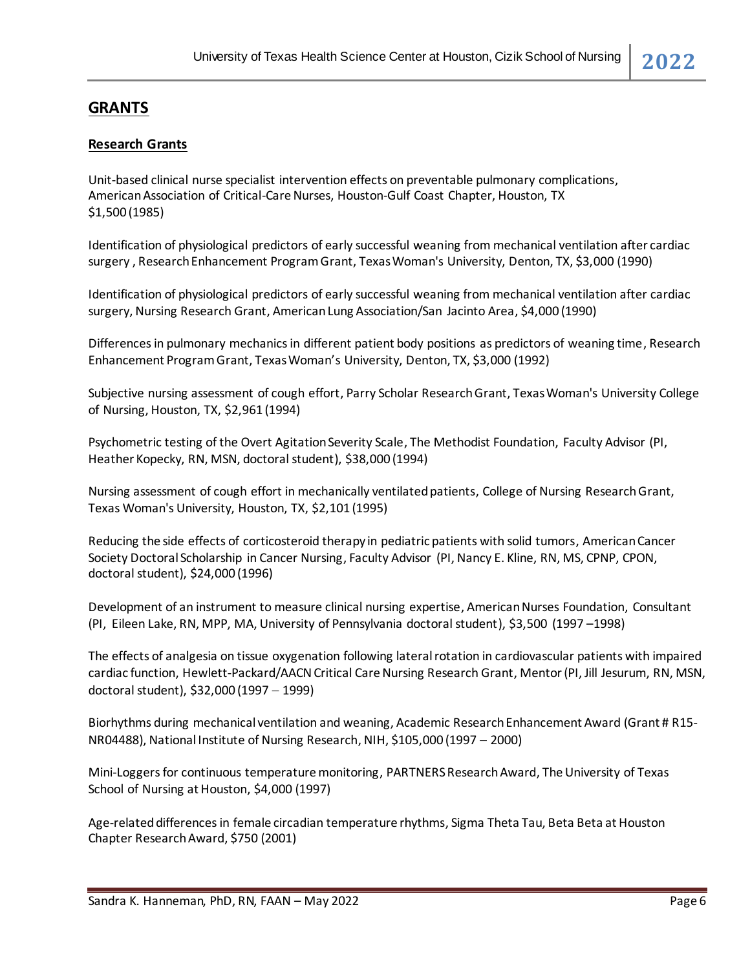# **GRANTS**

#### **Research Grants**

Unit-based clinical nurse specialist intervention effects on preventable pulmonary complications, American Association of Critical-Care Nurses, Houston-Gulf Coast Chapter, Houston, TX \$1,500 (1985)

Identification of physiological predictors of early successful weaning from mechanical ventilation after cardiac surgery , Research Enhancement Program Grant, Texas Woman's University, Denton, TX, \$3,000 (1990)

Identification of physiological predictors of early successful weaning from mechanical ventilation after cardiac surgery, Nursing Research Grant, American Lung Association/San Jacinto Area, \$4,000 (1990)

Differences in pulmonary mechanics in different patient body positions as predictors of weaning time, Research Enhancement Program Grant, Texas Woman's University, Denton, TX, \$3,000 (1992)

Subjective nursing assessment of cough effort, Parry Scholar Research Grant, Texas Woman's University College of Nursing, Houston, TX, \$2,961 (1994)

Psychometric testing of the Overt Agitation Severity Scale, The Methodist Foundation, Faculty Advisor (PI, Heather Kopecky, RN, MSN, doctoral student), \$38,000 (1994)

Nursing assessment of cough effort in mechanically ventilated patients, College of Nursing Research Grant, Texas Woman's University, Houston, TX, \$2,101 (1995)

Reducing the side effects of corticosteroid therapy in pediatric patients with solid tumors, American Cancer Society Doctoral Scholarship in Cancer Nursing, Faculty Advisor (PI, Nancy E. Kline, RN, MS, CPNP, CPON, doctoral student), \$24,000 (1996)

Development of an instrument to measure clinical nursing expertise, American Nurses Foundation, Consultant (PI, Eileen Lake, RN, MPP, MA, University of Pennsylvania doctoral student), \$3,500 (1997 –1998)

The effects of analgesia on tissue oxygenation following lateral rotation in cardiovascular patients with impaired cardiac function, Hewlett-Packard/AACN Critical Care Nursing Research Grant, Mentor(PI, Jill Jesurum, RN, MSN, doctoral student), \$32,000 (1997 − 1999)

Biorhythms during mechanical ventilation and weaning, Academic Research Enhancement Award (Grant # R15- NR04488), National Institute of Nursing Research, NIH, \$105,000 (1997 − 2000)

Mini-Loggers for continuous temperature monitoring, PARTNERS Research Award, The University of Texas School of Nursing at Houston, \$4,000 (1997)

Age-related differences in female circadian temperature rhythms, Sigma Theta Tau, Beta Beta at Houston Chapter Research Award, \$750 (2001)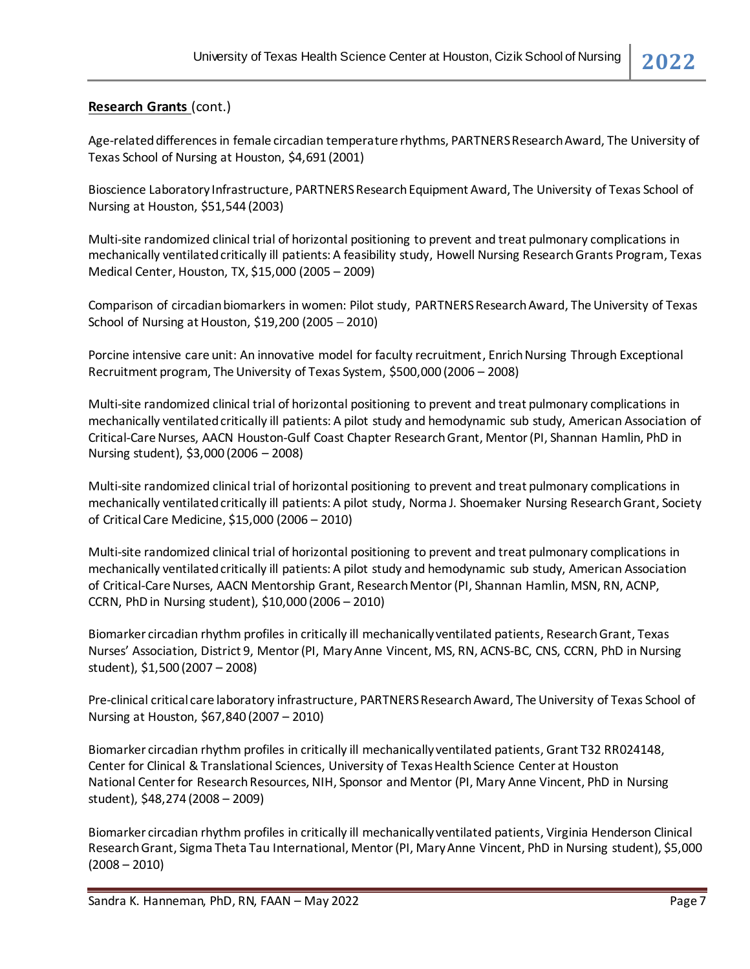#### **Research Grants** (cont.)

Age-related differences in female circadian temperature rhythms, PARTNERS Research Award, The University of Texas School of Nursing at Houston, \$4,691 (2001)

Bioscience Laboratory Infrastructure, PARTNERS Research Equipment Award, The University of Texas School of Nursing at Houston, \$51,544 (2003)

Multi-site randomized clinical trial of horizontal positioning to prevent and treat pulmonary complications in mechanically ventilated critically ill patients: A feasibility study, Howell Nursing Research Grants Program, Texas Medical Center, Houston, TX, \$15,000 (2005 – 2009)

Comparison of circadian biomarkers in women: Pilot study, PARTNERS Research Award, The University of Texas School of Nursing at Houston, \$19,200 (2005 − 2010)

Porcine intensive care unit: An innovative model for faculty recruitment, Enrich Nursing Through Exceptional Recruitment program, The University of Texas System, \$500,000 (2006 – 2008)

Multi-site randomized clinical trial of horizontal positioning to prevent and treat pulmonary complications in mechanically ventilated critically ill patients: A pilot study and hemodynamic sub study, American Association of Critical-Care Nurses, AACN Houston-Gulf Coast Chapter Research Grant, Mentor (PI, Shannan Hamlin, PhD in Nursing student), \$3,000 (2006 – 2008)

Multi-site randomized clinical trial of horizontal positioning to prevent and treat pulmonary complications in mechanically ventilated critically ill patients: A pilot study, Norma J. Shoemaker Nursing Research Grant, Society of Critical Care Medicine, \$15,000 (2006 – 2010)

Multi-site randomized clinical trial of horizontal positioning to prevent and treat pulmonary complications in mechanically ventilated critically ill patients: A pilot study and hemodynamic sub study, American Association of Critical-Care Nurses, AACN Mentorship Grant, Research Mentor(PI, Shannan Hamlin, MSN, RN, ACNP, CCRN, PhD in Nursing student), \$10,000 (2006 – 2010)

Biomarker circadian rhythm profiles in critically ill mechanically ventilated patients, Research Grant, Texas Nurses' Association, District 9, Mentor(PI, Mary Anne Vincent, MS, RN, ACNS-BC, CNS, CCRN, PhD in Nursing student), \$1,500 (2007 – 2008)

Pre-clinical critical care laboratory infrastructure, PARTNERS Research Award, The University of Texas School of Nursing at Houston, \$67,840 (2007 – 2010)

Biomarker circadian rhythm profiles in critically ill mechanically ventilated patients, Grant T32 RR024148, Center for Clinical & Translational Sciences, University of Texas Health Science Center at Houston National Center for Research Resources, NIH, Sponsor and Mentor (PI, Mary Anne Vincent, PhD in Nursing student), \$48,274 (2008 – 2009)

Biomarker circadian rhythm profiles in critically ill mechanically ventilated patients, Virginia Henderson Clinical Research Grant, Sigma Theta Tau International, Mentor(PI, Mary Anne Vincent, PhD in Nursing student), \$5,000  $(2008 - 2010)$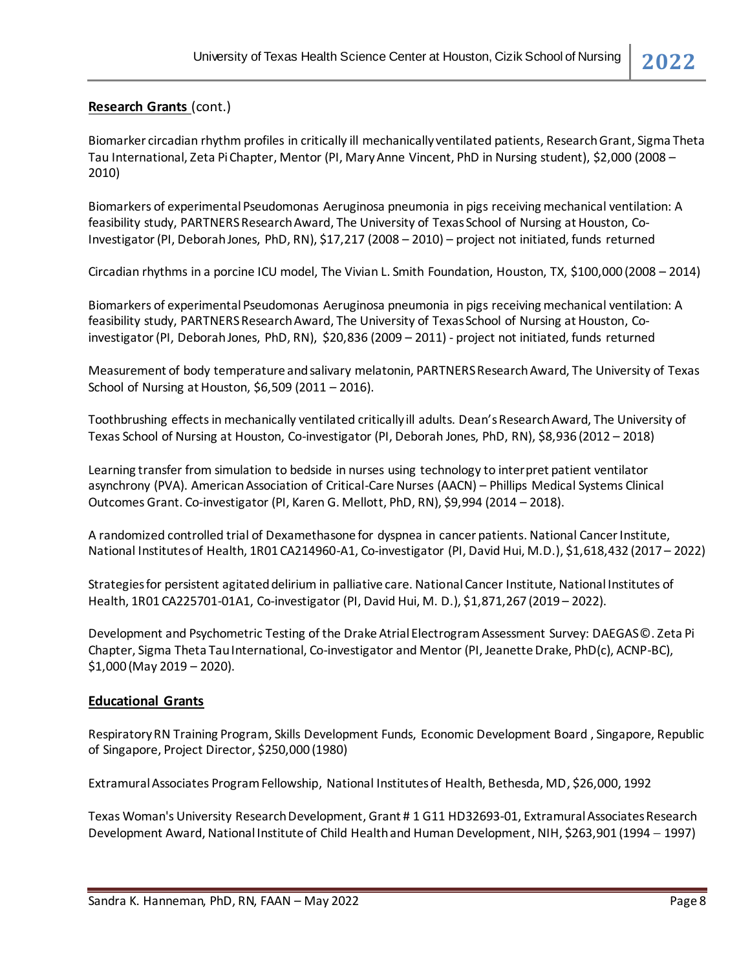### **Research Grants** (cont.)

Biomarker circadian rhythm profiles in critically ill mechanically ventilated patients, Research Grant, Sigma Theta Tau International, Zeta Pi Chapter, Mentor (PI, Mary Anne Vincent, PhD in Nursing student), \$2,000 (2008 – 2010)

Biomarkers of experimental Pseudomonas Aeruginosa pneumonia in pigs receiving mechanical ventilation: A feasibility study, PARTNERS Research Award, The University of Texas School of Nursing at Houston, Co-Investigator(PI, Deborah Jones, PhD, RN), \$17,217 (2008 – 2010) – project not initiated, funds returned

Circadian rhythms in a porcine ICU model, The Vivian L. Smith Foundation, Houston, TX, \$100,000 (2008 – 2014)

Biomarkers of experimental Pseudomonas Aeruginosa pneumonia in pigs receiving mechanical ventilation: A feasibility study, PARTNERS Research Award, The University of Texas School of Nursing at Houston, Coinvestigator(PI, Deborah Jones, PhD, RN), \$20,836 (2009 – 2011) - project not initiated, funds returned

Measurement of body temperature and salivary melatonin, PARTNERS Research Award, The University of Texas School of Nursing at Houston, \$6,509 (2011 – 2016).

Toothbrushing effects in mechanically ventilated critically ill adults. Dean's Research Award, The University of Texas School of Nursing at Houston, Co-investigator (PI, Deborah Jones, PhD, RN), \$8,936 (2012 – 2018)

Learning transfer from simulation to bedside in nurses using technology to interpret patient ventilator asynchrony (PVA). American Association of Critical-Care Nurses (AACN) – Phillips Medical Systems Clinical Outcomes Grant. Co-investigator (PI, Karen G. Mellott, PhD, RN), \$9,994 (2014 – 2018).

A randomized controlled trial of Dexamethasone for dyspnea in cancer patients. National Cancer Institute, National Institutes of Health, 1R01 CA214960-A1, Co-investigator (PI, David Hui, M.D.), \$1,618,432 (2017 – 2022)

Strategies for persistent agitated delirium in palliative care. National Cancer Institute, National Institutes of Health, 1R01 CA225701-01A1, Co-investigator (PI, David Hui, M. D.), \$1,871,267 (2019 – 2022).

Development and Psychometric Testing of the Drake Atrial Electrogram Assessment Survey: DAEGAS©. Zeta Pi Chapter, Sigma Theta Tau International, Co-investigator and Mentor (PI, Jeanette Drake, PhD(c), ACNP-BC), \$1,000 (May 2019 – 2020).

#### **Educational Grants**

Respiratory RN Training Program, Skills Development Funds, Economic Development Board , Singapore, Republic of Singapore, Project Director, \$250,000 (1980)

Extramural Associates Program Fellowship, National Institutes of Health, Bethesda, MD, \$26,000, 1992

Texas Woman's University Research Development, Grant # 1 G11 HD32693-01, Extramural Associates Research Development Award, National Institute of Child Health and Human Development, NIH, \$263,901 (1994 − 1997)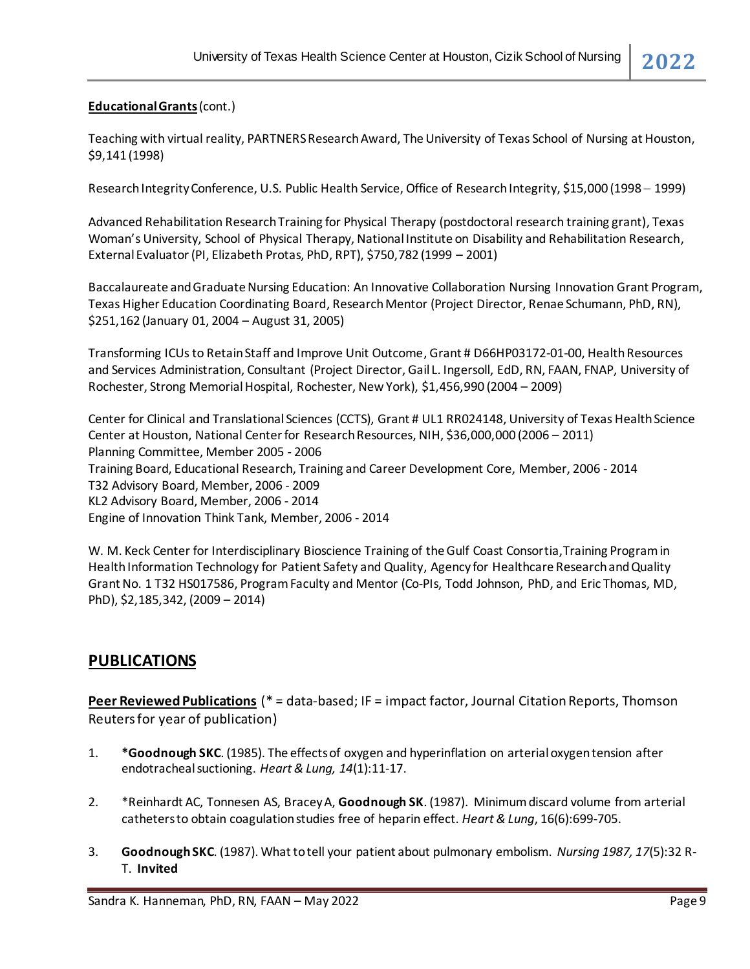#### **Educational Grants**(cont.)

Teaching with virtual reality, PARTNERS Research Award, The University of Texas School of Nursing at Houston, \$9,141 (1998)

Research Integrity Conference, U.S. Public Health Service, Office of Research Integrity, \$15,000 (1998 − 1999)

Advanced Rehabilitation Research Training for Physical Therapy (postdoctoral research training grant), Texas Woman's University, School of Physical Therapy, National Institute on Disability and Rehabilitation Research, External Evaluator(PI, Elizabeth Protas, PhD, RPT), \$750,782 (1999 – 2001)

Baccalaureate and Graduate Nursing Education: An Innovative Collaboration Nursing Innovation Grant Program, Texas Higher Education Coordinating Board, Research Mentor (Project Director, Renae Schumann, PhD, RN), \$251,162 (January 01, 2004 – August 31, 2005)

Transforming ICUs to Retain Staff and Improve Unit Outcome, Grant # D66HP03172-01-00, Health Resources and Services Administration, Consultant (Project Director, Gail L. Ingersoll, EdD, RN, FAAN, FNAP, University of Rochester, Strong Memorial Hospital, Rochester, New York), \$1,456,990 (2004 – 2009)

Center for Clinical and Translational Sciences (CCTS), Grant # UL1 RR024148, University of Texas Health Science Center at Houston, National Center for Research Resources, NIH, \$36,000,000 (2006 – 2011) Planning Committee, Member 2005 - 2006 Training Board, Educational Research, Training and Career Development Core, Member, 2006 - 2014 T32 Advisory Board, Member, 2006 - 2009 KL2 Advisory Board, Member, 2006 - 2014 Engine of Innovation Think Tank, Member, 2006 - 2014

W. M. Keck Center for Interdisciplinary Bioscience Training of the Gulf Coast Consortia,Training Program in Health Information Technology for Patient Safety and Quality, Agency for Healthcare Research and Quality Grant No. 1 T32 HS017586, Program Faculty and Mentor (Co-PIs, Todd Johnson, PhD, and Eric Thomas, MD, PhD), \$2,185,342, (2009 – 2014)

# **PUBLICATIONS**

**Peer Reviewed Publications** (\* = data-based; IF = impact factor, Journal Citation Reports, Thomson Reuters for year of publication)

- 1. **\*Goodnough SKC**. (1985). The effects of oxygen and hyperinflation on arterial oxygen tension after endotracheal suctioning. *Heart & Lung, 14*(1):11-17.
- 2. \*Reinhardt AC, Tonnesen AS, Bracey A, **Goodnough SK**. (1987). Minimum discard volume from arterial catheters to obtain coagulation studies free of heparin effect. *Heart & Lung*, 16(6):699-705.
- 3. **GoodnoughSKC**. (1987). What to tell your patient about pulmonary embolism. *Nursing 1987, 17*(5):32 R-T. **Invited**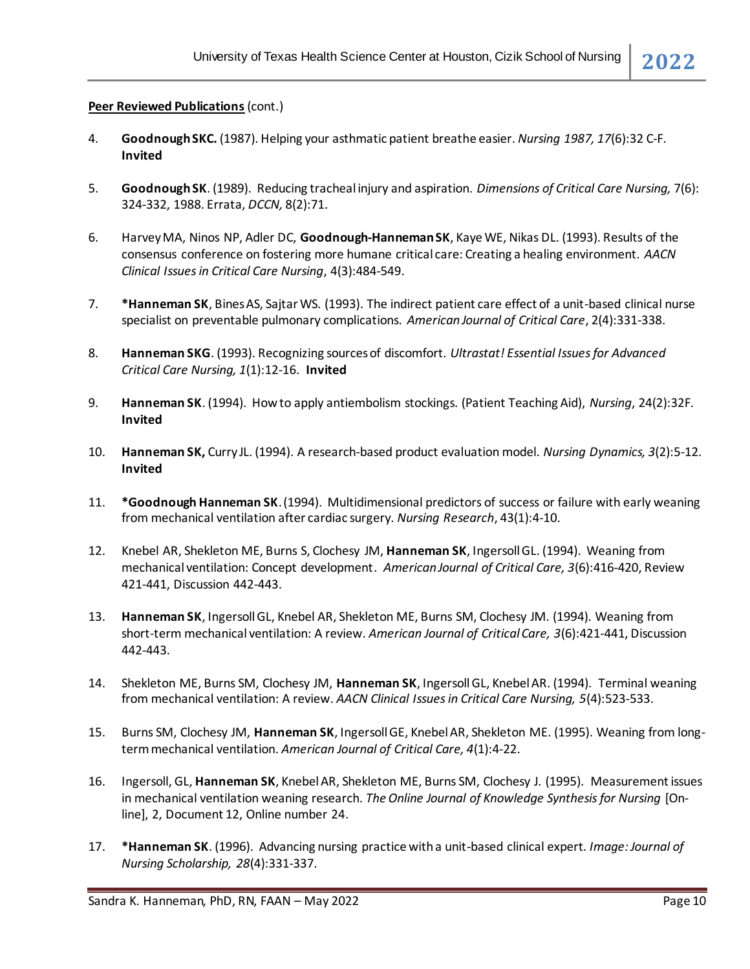- 4. **Goodnough SKC.** (1987). Helping your asthmatic patient breathe easier. *Nursing 1987, 17*(6):32 C-F. **Invited**
- 5. **GoodnoughSK**. (1989). Reducing tracheal injury and aspiration. *Dimensions of Critical Care Nursing,* 7(6): 324-332, 1988. Errata, *DCCN,* 8(2):71.
- 6. Harvey MA, Ninos NP, Adler DC, **Goodnough-HannemanSK**, Kaye WE, Nikas DL. (1993). Results of the consensus conference on fostering more humane critical care: Creating a healing environment. *AACN Clinical Issues in Critical Care Nursing*, 4(3):484-549.
- 7. **\*Hanneman SK**, Bines AS, Sajtar WS. (1993). The indirect patient care effect of a unit-based clinical nurse specialist on preventable pulmonary complications. *American Journal of Critical Care*, 2(4):331-338.
- 8. **Hanneman SKG**. (1993). Recognizing sources of discomfort. *Ultrastat! Essential Issues for Advanced Critical Care Nursing, 1*(1):12-16. **Invited**
- 9. **Hanneman SK**. (1994). How to apply antiembolism stockings. (Patient Teaching Aid), *Nursing*, 24(2):32F. **Invited**
- 10. **Hanneman SK,** Curry JL. (1994). A research-based product evaluation model. *Nursing Dynamics, 3*(2):5-12. **Invited**
- 11. **\*Goodnough Hanneman SK**. (1994). Multidimensional predictors of success or failure with early weaning from mechanical ventilation after cardiac surgery. *Nursing Research*, 43(1):4-10.
- 12. Knebel AR, Shekleton ME, Burns S, Clochesy JM, **Hanneman SK**, Ingersoll GL. (1994). Weaning from mechanical ventilation: Concept development. *American Journal of Critical Care, 3*(6):416-420, Review 421-441, Discussion 442-443.
- 13. **Hanneman SK**, Ingersoll GL, Knebel AR, Shekleton ME, Burns SM, Clochesy JM. (1994). Weaning from short-term mechanical ventilation: A review. *American Journal of Critical Care, 3*(6):421-441, Discussion 442-443.
- 14. Shekleton ME, Burns SM, Clochesy JM, **Hanneman SK**, Ingersoll GL, Knebel AR. (1994). Terminal weaning from mechanical ventilation: A review. *AACN Clinical Issues in Critical Care Nursing, 5*(4):523-533.
- 15. Burns SM, Clochesy JM, **Hanneman SK**, Ingersoll GE, Knebel AR, Shekleton ME. (1995). Weaning from longterm mechanical ventilation. *American Journal of Critical Care, 4*(1):4-22.
- 16. Ingersoll, GL, **Hanneman SK**, Knebel AR, Shekleton ME, Burns SM, Clochesy J. (1995). Measurement issues in mechanical ventilation weaning research. *The Online Journal of Knowledge Synthesis for Nursing* [Online], 2, Document 12, Online number 24.
- 17. **\*Hanneman SK**. (1996). Advancing nursing practice with a unit-based clinical expert*. Image: Journal of Nursing Scholarship, 28*(4):331-337.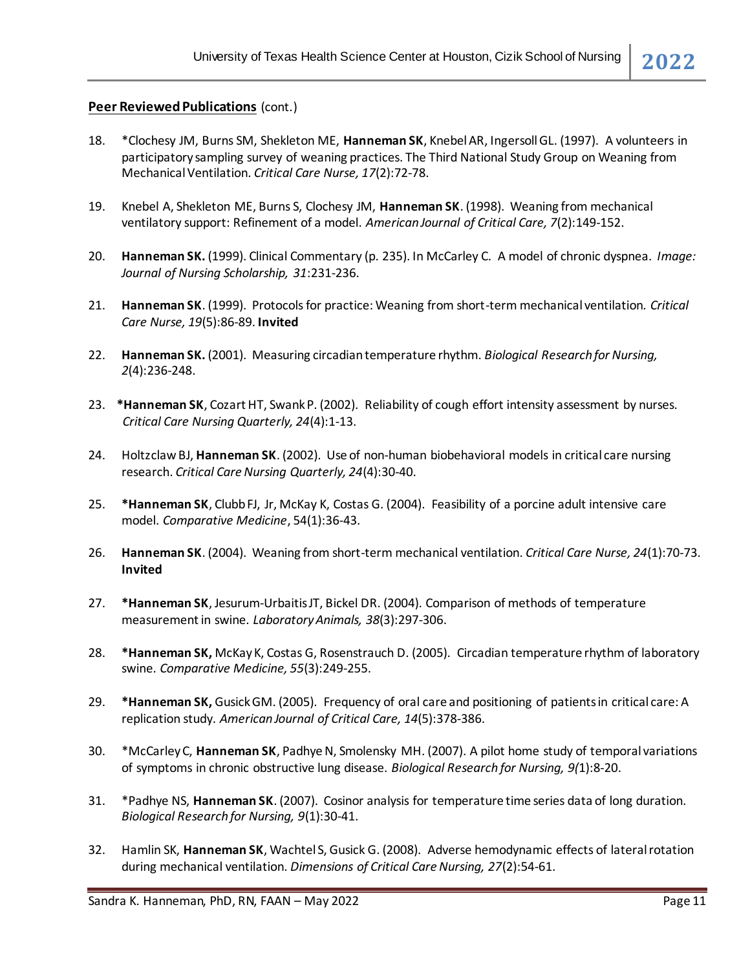- 18. \*Clochesy JM, Burns SM, Shekleton ME, **Hanneman SK**, Knebel AR, Ingersoll GL. (1997). A volunteers in participatory sampling survey of weaning practices. The Third National Study Group on Weaning from Mechanical Ventilation. *Critical Care Nurse, 17*(2):72-78.
- 19. Knebel A, Shekleton ME, Burns S, Clochesy JM, **Hanneman SK**. (1998). Weaning from mechanical ventilatory support: Refinement of a model. *American Journal of Critical Care, 7*(2):149-152.
- 20. **Hanneman SK.** (1999). Clinical Commentary (p. 235). In McCarley C. A model of chronic dyspnea. *Image: Journal of Nursing Scholarship, 31*:231-236.
- 21. **Hanneman SK**. (1999). Protocols for practice: Weaning from short-term mechanical ventilation*. Critical Care Nurse, 19*(5):86-89. **Invited**
- 22. **Hanneman SK.** (2001). Measuring circadian temperature rhythm. *Biological Research for Nursing, 2*(4):236-248.
- 23. **\*Hanneman SK**, Cozart HT, Swank P. (2002). Reliability of cough effort intensity assessment by nurses. *Critical Care Nursing Quarterly, 24*(4):1-13.
- 24. Holtzclaw BJ, **Hanneman SK**. (2002). Use of non-human biobehavioral models in critical care nursing research. *Critical Care Nursing Quarterly, 24*(4):30-40.
- 25. **\*Hanneman SK**, Clubb FJ, Jr, McKay K, Costas G. (2004). Feasibility of a porcine adult intensive care model. *Comparative Medicine*, 54(1):36-43.
- 26. **Hanneman SK**. (2004). Weaning from short-term mechanical ventilation. *Critical Care Nurse, 24*(1):70-73. **Invited**
- 27. **\*Hanneman SK**, Jesurum-Urbaitis JT, Bickel DR. (2004). Comparison of methods of temperature measurement in swine. *Laboratory Animals, 38*(3):297-306.
- 28. **\*Hanneman SK,** McKay K, Costas G, Rosenstrauch D. (2005). Circadian temperature rhythm of laboratory swine. *Comparative Medicine, 55*(3):249-255.
- 29. **\*Hanneman SK,** Gusick GM. (2005). Frequency of oral care and positioning of patients in critical care: A replication study. *American Journal of Critical Care, 14*(5):378-386.
- 30. \*McCarley C, **Hanneman SK**, Padhye N, Smolensky MH. (2007). A pilot home study of temporal variations of symptoms in chronic obstructive lung disease. *Biological Research for Nursing, 9(*1):8-20.
- 31. \*Padhye NS, **Hanneman SK**. (2007). Cosinor analysis for temperature time series data of long duration. *Biological Research for Nursing, 9*(1):30-41.
- 32. Hamlin SK, **Hanneman SK**, Wachtel S, Gusick G. (2008). Adverse hemodynamic effects of lateral rotation during mechanical ventilation. *Dimensions of Critical Care Nursing, 27*(2):54-61.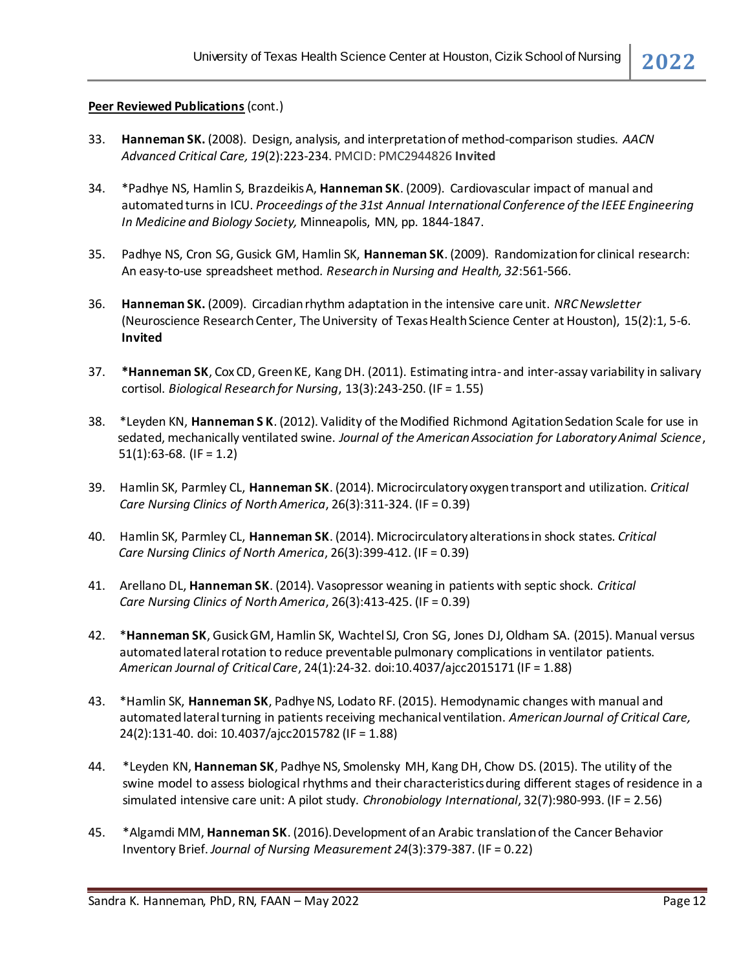- 33. **Hanneman SK.** (2008). Design, analysis, and interpretation of method-comparison studies. *AACN Advanced Critical Care, 19*(2):223-234. PMCID: PMC2944826 **Invited**
- 34. \*Padhye NS, Hamlin S, Brazdeikis A, **Hanneman SK**. (2009). Cardiovascular impact of manual and automated turns in ICU. *Proceedings of the 31st Annual International Conference of the IEEE Engineering In Medicine and Biology Society,* Minneapolis, MN*,* pp. 1844-1847.
- 35. Padhye NS, Cron SG, Gusick GM, Hamlin SK, **Hanneman SK**. (2009). Randomization for clinical research: An easy-to-use spreadsheet method. *Research in Nursing and Health, 32*:561-566.
- 36. **Hanneman SK.** (2009). Circadian rhythm adaptation in the intensive care unit. *NRC Newsletter* (Neuroscience Research Center, The University of Texas Health Science Center at Houston), 15(2):1, 5-6. **Invited**
- 37. **\*Hanneman SK**, Cox CD, Green KE, Kang DH. (2011). Estimating intra- and inter-assay variability in salivary cortisol. *Biological Research for Nursing*, 13(3):243-250. (IF = 1.55)
- 38. \*Leyden KN, **Hanneman S K**. (2012). Validity of the Modified Richmond Agitation Sedation Scale for use in sedated, mechanically ventilated swine. *Journal of the American Association for Laboratory Animal Science*,  $51(1):63-68.$  (IF = 1.2)
- 39. Hamlin SK, Parmley CL, **Hanneman SK**. (2014). Microcirculatory oxygen transport and utilization. *Critical Care Nursing Clinics of North America*, 26(3):311-324. (IF = 0.39)
- 40. Hamlin SK, Parmley CL, **Hanneman SK**. (2014). Microcirculatory alterations in shock states. *Critical Care Nursing Clinics of North America*, 26(3):399-412. (IF = 0.39)
- 41. Arellano DL, **Hanneman SK**. (2014). Vasopressor weaning in patients with septic shock. *Critical Care Nursing Clinics of North America*, 26(3):413-425. (IF = 0.39)
- 42. \***Hanneman SK**, Gusick GM, Hamlin SK, Wachtel SJ, Cron SG, Jones DJ, Oldham SA. (2015). Manual versus automated lateral rotation to reduce preventable pulmonary complications in ventilator patients. *American Journal of Critical Care*, 24(1):24-32. doi:10.4037/ajcc2015171 (IF = 1.88)
- 43. \*Hamlin SK, **Hanneman SK**, Padhye NS, Lodato RF. (2015). Hemodynamic changes with manual and automated lateral turning in patients receiving mechanical ventilation. American Journal of Critical Care, 24(2):131-40. doi: 10.4037/ajcc2015782 (IF = 1.88)
- 44. \*Leyden KN, **Hanneman SK**, Padhye NS, Smolensky MH, Kang DH, Chow DS. (2015). The utility of the swine model to assess biological rhythms and their characteristics during different stages of residence in a simulated intensive care unit: A pilot study. *Chronobiology International*, 32(7):980-993. (IF = 2.56)
- 45. \*Algamdi MM, **Hanneman SK**. (2016).Development of an Arabic translation of the Cancer Behavior Inventory Brief. *Journal of Nursing Measurement 24*(3):379-387. (IF = 0.22)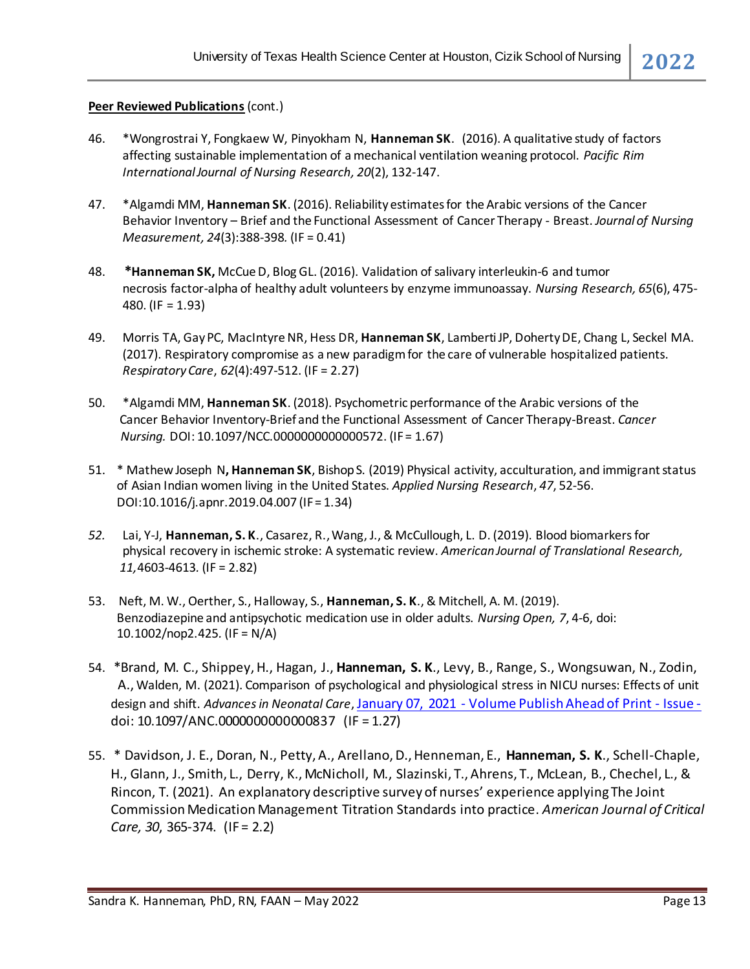- 46. \*Wongrostrai Y, Fongkaew W, Pinyokham N, **Hanneman SK**. (2016). A qualitative study of factors affecting sustainable implementation of a mechanical ventilation weaning protocol. *Pacific Rim International Journal of Nursing Research, 20*(2), 132-147.
- 47. \*Algamdi MM, **Hanneman SK**. (2016). Reliability estimatesfor the Arabic versions of the Cancer Behavior Inventory – Brief and the Functional Assessment of Cancer Therapy - Breast. *Journal of Nursing Measurement, 24*(3):388-398*.* (IF = 0.41)
- 48. **\*Hanneman SK,** McCue D, Blog GL. (2016). Validation of salivary interleukin-6 and tumor necrosis factor-alpha of healthy adult volunteers by enzyme immunoassay. *Nursing Research, 65*(6), 475- 480. (IF = 1.93)
- 49. Morris TA, Gay PC, MacIntyre NR, Hess DR, **Hanneman SK**, Lamberti JP, Doherty DE, Chang L, Seckel MA. (2017). Respiratory compromise as a new paradigm for the care of vulnerable hospitalized patients. *Respiratory Care*, *62*(4):497-512. (IF = 2.27)
- 50. \*Algamdi MM, **Hanneman SK**. (2018). Psychometric performance of the Arabic versions of the Cancer Behavior Inventory-Brief and the Functional Assessment of Cancer Therapy-Breast. *Cancer Nursing.* DOI: 10.1097/NCC.0000000000000572. (IF = 1.67)
- 51. \* Mathew Joseph N**, Hanneman SK**, Bishop S. (2019) Physical activity, acculturation, and immigrant status of Asian Indian women living in the United States. *Applied Nursing Research*, *47*, 52-56. DOI:10.1016/j.apnr.2019.04.007 (IF = 1.34)
- *52.* Lai, Y-J, **Hanneman, S. K**., Casarez, R., Wang, J., & McCullough, L. D. (2019). Blood biomarkers for physical recovery in ischemic stroke: A systematic review. *American Journal of Translational Research, 11,*4603-4613*.* (IF = 2.82)
- 53. Neft, M. W., Oerther, S., Halloway, S., **Hanneman, S. K**., & Mitchell, A. M. (2019). Benzodiazepine and antipsychotic medication use in older adults. *Nursing Open, 7*, 4-6, doi: 10.1002/nop2.425*.* (IF = N/A)
- 54. \*Brand, M. C., Shippey, H., Hagan, J., **Hanneman, S. K**., Levy, B., Range, S., Wongsuwan, N., Zodin, A., Walden, M. (2021). Comparison of psychological and physiological stress in NICU nurses: Effects of unit design and shift. *Advances in Neonatal Care*, January 07, 2021 - [Volume Publish Ahead of Print -](https://journals.lww.com/advancesinneonatalcare/toc/9000/00000) Issue doi: 10.1097/ANC.0000000000000837 (IF = 1.27)
- 55. \* Davidson, J. E., Doran, N., Petty, A., Arellano, D., Henneman, E., **Hanneman, S. K**., Schell-Chaple, H., Glann, J., Smith, L., Derry, K., McNicholl, M., Slazinski, T., Ahrens, T., McLean, B., Chechel, L., & Rincon, T. (2021). An explanatory descriptive survey of nurses' experience applying The Joint Commission Medication Management Titration Standards into practice. *American Journal of Critical Care, 30*, 365-374. (IF = 2.2)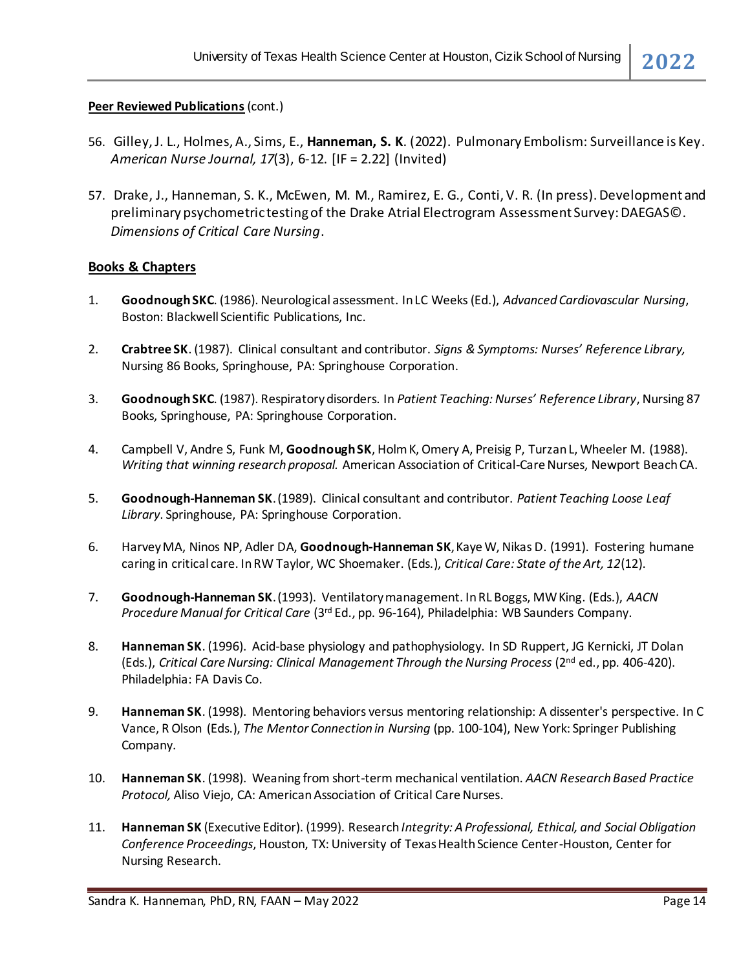- 56. Gilley, J. L., Holmes, A., Sims, E., **Hanneman, S. K**. (2022). Pulmonary Embolism: Surveillance is Key. *American Nurse Journal, 17*(3), 6-12. [IF = 2.22] (Invited)
- 57. Drake, J., Hanneman, S. K., McEwen, M. M., Ramirez, E. G., Conti, V. R. (In press). Development and preliminary psychometric testing of the Drake Atrial Electrogram Assessment Survey: DAEGAS©. *Dimensions of Critical Care Nursing*.

#### **Books & Chapters**

- 1. **GoodnoughSKC**. (1986). Neurological assessment. In LC Weeks (Ed.), *Advanced Cardiovascular Nursing*, Boston: Blackwell Scientific Publications, Inc.
- 2. **Crabtree SK**. (1987). Clinical consultant and contributor. *Signs & Symptoms: Nurses' Reference Library,* Nursing 86 Books, Springhouse, PA: Springhouse Corporation.
- 3. **GoodnoughSKC**. (1987). Respiratory disorders. In *Patient Teaching: Nurses' Reference Library*, Nursing 87 Books, Springhouse, PA: Springhouse Corporation.
- 4. Campbell V, Andre S, Funk M, **GoodnoughSK**, Holm K, Omery A, Preisig P, Turzan L, Wheeler M. (1988). *Writing that winning research proposal.* American Association of Critical-Care Nurses, Newport Beach CA.
- 5. **Goodnough-Hanneman SK**. (1989). Clinical consultant and contributor. *Patient Teaching Loose Leaf Library*. Springhouse, PA: Springhouse Corporation.
- 6. Harvey MA, Ninos NP, Adler DA, **Goodnough-Hanneman SK**, Kaye W, Nikas D. (1991). Fostering humane caring in critical care. In RW Taylor, WC Shoemaker. (Eds.), *Critical Care: State of the Art, 12*(12).
- 7. **Goodnough-Hanneman SK**. (1993). Ventilatory management. In RL Boggs, MW King. (Eds.), *AACN Procedure Manual for Critical Care* (3rd Ed., pp. 96-164), Philadelphia: WB Saunders Company.
- 8. **Hanneman SK**. (1996). Acid-base physiology and pathophysiology. In SD Ruppert, JG Kernicki, JT Dolan (Eds.), *Critical Care Nursing: Clinical Management Through the Nursing Process* (2nd ed., pp. 406-420). Philadelphia: FA Davis Co.
- 9. **Hanneman SK**. (1998). Mentoring behaviors versus mentoring relationship: A dissenter's perspective. In C Vance, R Olson (Eds.), *The Mentor Connection in Nursing* (pp. 100-104), New York: Springer Publishing Company.
- 10. **Hanneman SK**. (1998). Weaning from short-term mechanical ventilation. *AACN Research Based Practice Protocol, Aliso Viejo, CA: American Association of Critical Care Nurses.*
- 11. **Hanneman SK** (Executive Editor). (1999). Research*Integrity: A Professional, Ethical, and Social Obligation Conference Proceedings*, Houston, TX: University of Texas Health Science Center-Houston, Center for Nursing Research.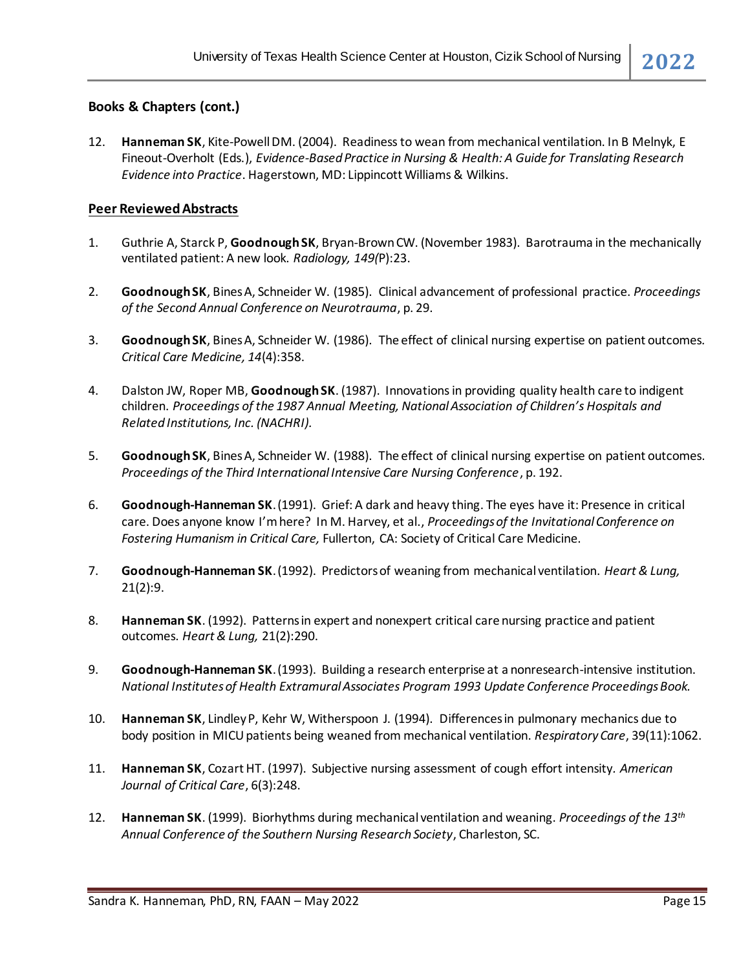#### **Books & Chapters (cont.)**

12. **Hanneman SK**, Kite-Powell DM. (2004). Readiness to wean from mechanical ventilation. In B Melnyk, E Fineout-Overholt (Eds.), *Evidence-Based Practice in Nursing & Health: A Guide for Translating Research Evidence into Practice*. Hagerstown, MD: Lippincott Williams & Wilkins.

#### **Peer Reviewed Abstracts**

- 1. Guthrie A, Starck P, **GoodnoughSK**, Bryan-Brown CW. (November 1983). Barotrauma in the mechanically ventilated patient: A new look. *Radiology, 149(*P):23.
- 2. **Goodnough SK**, Bines A, Schneider W. (1985). Clinical advancement of professional practice. *Proceedings of the Second Annual Conference on Neurotrauma*, p. 29.
- 3. **GoodnoughSK**, Bines A, Schneider W. (1986). The effect of clinical nursing expertise on patient outcomes. *Critical Care Medicine, 14*(4):358.
- 4. Dalston JW, Roper MB, **GoodnoughSK**. (1987). Innovations in providing quality health care to indigent children. *Proceedings of the 1987 Annual Meeting, National Association of Children's Hospitals and Related Institutions, Inc. (NACHRI).*
- 5. **GoodnoughSK**, Bines A, Schneider W. (1988). The effect of clinical nursing expertise on patient outcomes. *Proceedings of the Third International Intensive Care Nursing Conference*, p. 192.
- 6. **Goodnough-Hanneman SK**. (1991). Grief: A dark and heavy thing. The eyes have it: Presence in critical care. Does anyone know I'm here? In M. Harvey, et al., *Proceedings of the Invitational Conference on Fostering Humanism in Critical Care,* Fullerton, CA: Society of Critical Care Medicine.
- 7. **Goodnough-Hanneman SK**. (1992). Predictors of weaning from mechanical ventilation. *Heart & Lung,* 21(2):9.
- 8. **Hanneman SK**. (1992). Patterns in expert and nonexpert critical care nursing practice and patient outcomes. *Heart & Lung,* 21(2):290.
- 9. **Goodnough-Hanneman SK**. (1993). Building a research enterprise at a nonresearch-intensive institution. *National Institutes of Health Extramural Associates Program 1993 Update Conference Proceedings Book.*
- 10. **Hanneman SK**, Lindley P, Kehr W, Witherspoon J. (1994). Differences in pulmonary mechanics due to body position in MICU patients being weaned from mechanical ventilation. *Respiratory Care*, 39(11):1062.
- 11. **Hanneman SK**, Cozart HT. (1997). Subjective nursing assessment of cough effort intensity*. American Journal of Critical Care*, 6(3):248.
- 12. **Hanneman SK**. (1999). Biorhythms during mechanical ventilation and weaning. *Proceedings of the 13th Annual Conference of the Southern Nursing Research Society*, Charleston, SC.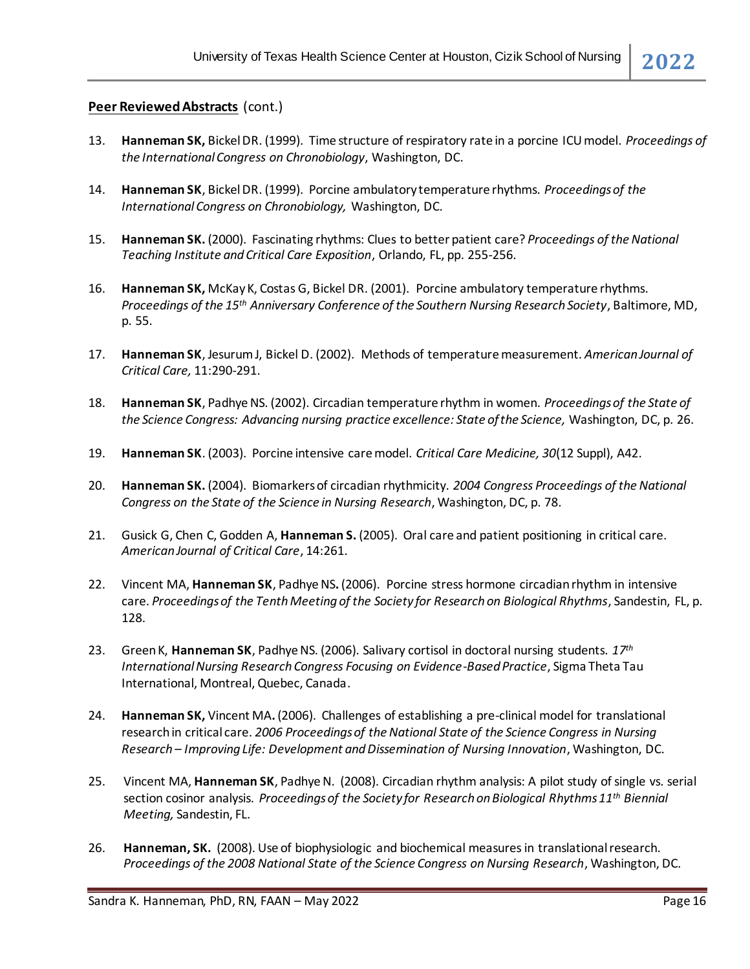- 13. **Hanneman SK,** Bickel DR. (1999). Time structure of respiratory rate in a porcine ICU model. *Proceedings of the International Congress on Chronobiology*, Washington, DC.
- 14. **Hanneman SK**, Bickel DR. (1999). Porcine ambulatory temperature rhythms. *Proceedings of the International Congress on Chronobiology,* Washington, DC.
- 15. **Hanneman SK.** (2000). Fascinating rhythms: Clues to better patient care? *Proceedings of the National Teaching Institute and Critical Care Exposition*, Orlando, FL, pp. 255-256.
- 16. **Hanneman SK,** McKay K, Costas G, Bickel DR. (2001). Porcine ambulatory temperature rhythms. *Proceedings of the 15th Anniversary Conference of the Southern Nursing Research Society*, Baltimore, MD, p. 55.
- 17. **Hanneman SK**, Jesurum J, Bickel D. (2002). Methods of temperature measurement. *American Journal of Critical Care,* 11:290-291.
- 18. **Hanneman SK**, Padhye NS. (2002). Circadian temperature rhythm in women. *Proceedings of the State of the Science Congress: Advancing nursing practice excellence: State of the Science,* Washington, DC, p. 26.
- 19. **Hanneman SK**. (2003). Porcine intensive care model. *Critical Care Medicine, 30*(12 Suppl), A42.
- 20. **Hanneman SK.** (2004). Biomarkers of circadian rhythmicity. *2004 Congress Proceedings of the National Congress on the State of the Science in Nursing Research*, Washington, DC, p. 78.
- 21. Gusick G, Chen C, Godden A, **Hanneman S.** (2005). Oral care and patient positioning in critical care. *American Journal of Critical Care*, 14:261.
- 22. Vincent MA, **Hanneman SK**, Padhye NS**.** (2006). Porcine stress hormone circadian rhythm in intensive care. *Proceedings of the Tenth Meeting of the Society for Research on Biological Rhythms*, Sandestin, FL, p. 128.
- 23. Green K, **Hanneman SK**, Padhye NS. (2006). Salivary cortisol in doctoral nursing students. *17th International Nursing Research Congress Focusing on Evidence-Based Practice*, Sigma Theta Tau International, Montreal, Quebec, Canada.
- 24. **Hanneman SK,** Vincent MA**.** (2006). Challenges of establishing a pre-clinical model for translational research in critical care. *2006 Proceedings of the National State of the Science Congress in Nursing Research – Improving Life: Development and Dissemination of Nursing Innovation*, Washington, DC.
- 25. Vincent MA, **Hanneman SK**, Padhye N. (2008). Circadian rhythm analysis: A pilot study of single vs. serial section cosinor analysis. *Proceedings of the Society for Research on Biological Rhythms 11th Biennial Meeting,* Sandestin, FL.
- 26. **Hanneman, SK.** (2008). Use of biophysiologic and biochemical measures in translational research. *Proceedings of the 2008 National State of the Science Congress on Nursing Research*, Washington, DC.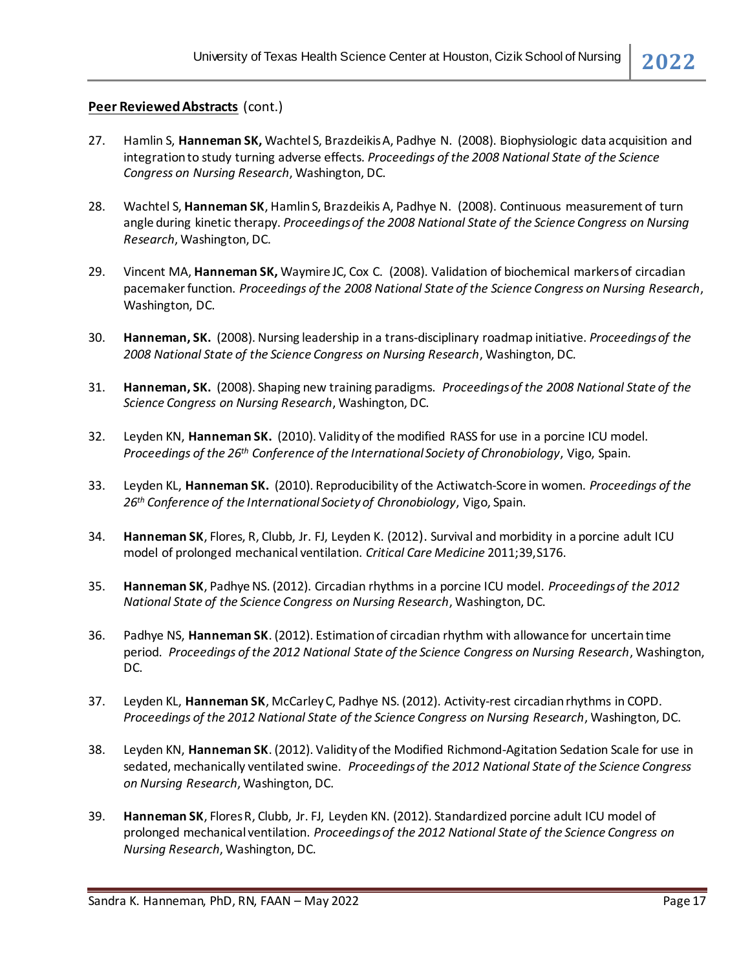- 27. Hamlin S, **Hanneman SK,** Wachtel S, Brazdeikis A, Padhye N. (2008). Biophysiologic data acquisition and integration to study turning adverse effects. *Proceedings of the 2008 National State of the Science Congress on Nursing Research*, Washington, DC.
- 28. Wachtel S, **Hanneman SK**, Hamlin S, Brazdeikis A, Padhye N. (2008). Continuous measurement of turn angle during kinetic therapy. *Proceedings of the 2008 National State of the Science Congress on Nursing Research*, Washington, DC.
- 29. Vincent MA, **Hanneman SK,** Waymire JC, Cox C. (2008). Validation of biochemical markers of circadian pacemaker function. *Proceedings of the 2008 National State of the Science Congress on Nursing Research*, Washington, DC.
- 30. **Hanneman, SK.** (2008). Nursing leadership in a trans-disciplinary roadmap initiative. *Proceedings of the 2008 National State of the Science Congress on Nursing Research*, Washington, DC.
- 31. **Hanneman, SK.** (2008). Shaping new training paradigms. *Proceedings of the 2008 National State of the Science Congress on Nursing Research*, Washington, DC.
- 32. Leyden KN, **Hanneman SK.** (2010). Validity of the modified RASS for use in a porcine ICU model. *Proceedings of the 26th Conference of the International Society of Chronobiology*, Vigo, Spain.
- 33. Leyden KL, **Hanneman SK.** (2010). Reproducibility of the Actiwatch-Score in women. *Proceedings of the 26th Conference of the International Society of Chronobiology*, Vigo, Spain.
- 34. **Hanneman SK**, Flores, R, Clubb, Jr. FJ, Leyden K. (2012). Survival and morbidity in a porcine adult ICU model of prolonged mechanical ventilation. *Critical Care Medicine* 2011;39,S176.
- 35. **Hanneman SK**, Padhye NS. (2012). Circadian rhythms in a porcine ICU model. *Proceedings of the 2012 National State of the Science Congress on Nursing Research*, Washington, DC.
- 36. Padhye NS, **Hanneman SK**. (2012). Estimation of circadian rhythm with allowance for uncertain time period. *Proceedings of the 2012 National State of the Science Congress on Nursing Research*, Washington, DC.
- 37. Leyden KL, **Hanneman SK**, McCarley C, Padhye NS. (2012). Activity-rest circadian rhythms in COPD. *Proceedings of the 2012 National State of the Science Congress on Nursing Research*, Washington, DC.
- 38. Leyden KN, **Hanneman SK**. (2012). Validity of the Modified Richmond-Agitation Sedation Scale for use in sedated, mechanically ventilated swine. *Proceedings of the 2012 National State of the Science Congress on Nursing Research*, Washington, DC.
- 39. **Hanneman SK**, Flores R, Clubb, Jr. FJ, Leyden KN. (2012). Standardized porcine adult ICU model of prolonged mechanical ventilation. *Proceedings of the 2012 National State of the Science Congress on Nursing Research*, Washington, DC.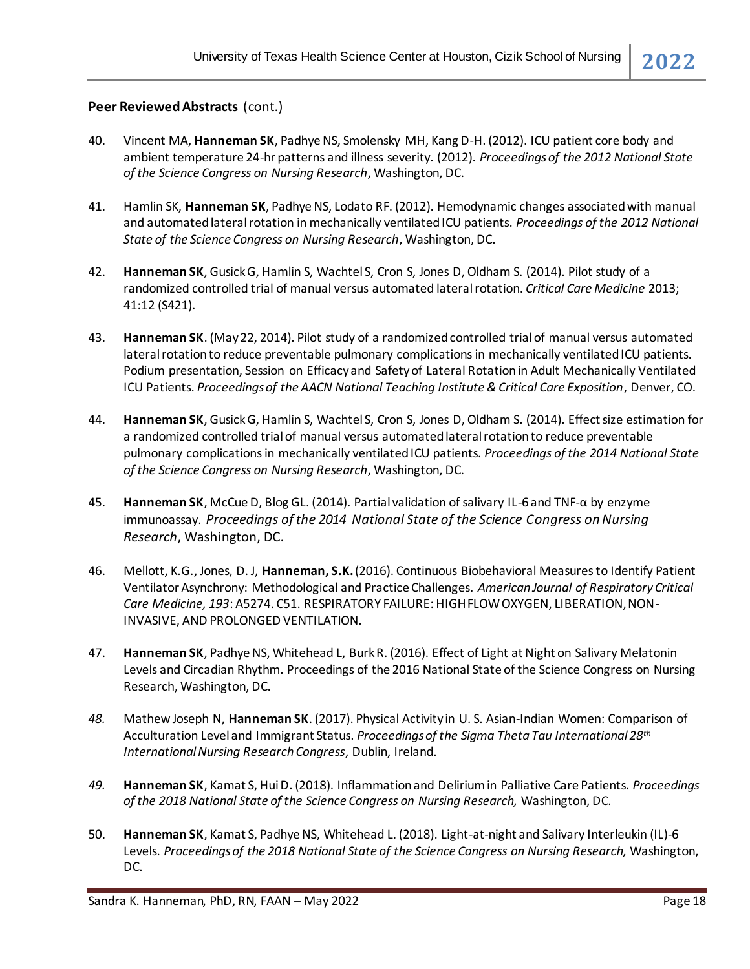- 40. Vincent MA, **Hanneman SK**, Padhye NS, Smolensky MH, Kang D-H. (2012). ICU patient core body and ambient temperature 24-hr patterns and illness severity. (2012). *Proceedings of the 2012 National State of the Science Congress on Nursing Research*, Washington, DC.
- 41. Hamlin SK, **Hanneman SK**, Padhye NS, Lodato RF. (2012). Hemodynamic changes associated with manual and automated lateral rotation in mechanically ventilated ICU patients. *Proceedings of the 2012 National State of the Science Congress on Nursing Research*, Washington, DC.
- 42. **Hanneman SK**, Gusick G, Hamlin S, Wachtel S, Cron S, Jones D, Oldham S. (2014). Pilot study of a randomized controlled trial of manual versus automated lateralrotation. *Critical Care Medicine* 2013; 41:12 (S421).
- 43. **Hanneman SK**. (May 22, 2014). Pilot study of a randomized controlled trial of manual versus automated lateral rotation to reduce preventable pulmonary complications in mechanically ventilated ICU patients. Podium presentation, Session on Efficacy and Safety of Lateral Rotation in Adult Mechanically Ventilated ICU Patients. *Proceedings of the AACN National Teaching Institute & Critical Care Exposition*, Denver, CO.
- 44. **Hanneman SK**, GusickG, Hamlin S, Wachtel S, Cron S, Jones D, Oldham S. (2014). Effect size estimation for a randomized controlled trial of manual versus automated lateral rotation to reduce preventable pulmonary complications in mechanically ventilated ICU patients. *Proceedings of the 2014 National State of the Science Congress on Nursing Research*, Washington, DC.
- 45. **Hanneman SK**, McCue D, Blog GL. (2014). Partial validation of salivary IL-6 and TNF-α by enzyme immunoassay. *Proceedings of the 2014 National State of the Science Congress on Nursing Research*, Washington, DC.
- 46. Mellott, K.G., Jones, D. J, **Hanneman, S.K.**(2016). Continuous Biobehavioral Measures to Identify Patient Ventilator Asynchrony: Methodological and Practice Challenges. *American Journal of Respiratory Critical Care Medicine, 193*: A5274. C51. RESPIRATORY FAILURE: HIGH FLOW OXYGEN, LIBERATION, NON-INVASIVE, AND PROLONGED VENTILATION.
- 47. **Hanneman SK**, Padhye NS, Whitehead L, Burk R. (2016). Effect of Light at Night on Salivary Melatonin Levels and Circadian Rhythm. Proceedings of the 2016 National State of the Science Congress on Nursing Research, Washington, DC.
- *48.* Mathew Joseph N, **Hanneman SK**. (2017). Physical Activity in U. S. Asian-Indian Women: Comparison of Acculturation Level and Immigrant Status. *Proceedings of the Sigma Theta Tau International 28th International Nursing Research Congress*, Dublin, Ireland.
- *49.* **Hanneman SK**, Kamat S, Hui D. (2018). Inflammation and Delirium in Palliative Care Patients. *Proceedings of the 2018 National State of the Science Congress on Nursing Research,* Washington, DC.
- 50. **Hanneman SK**, Kamat S, Padhye NS, Whitehead L. (2018). Light-at-night and Salivary Interleukin (IL)-6 Levels. *Proceedings of the 2018 National State of the Science Congress on Nursing Research,* Washington, DC.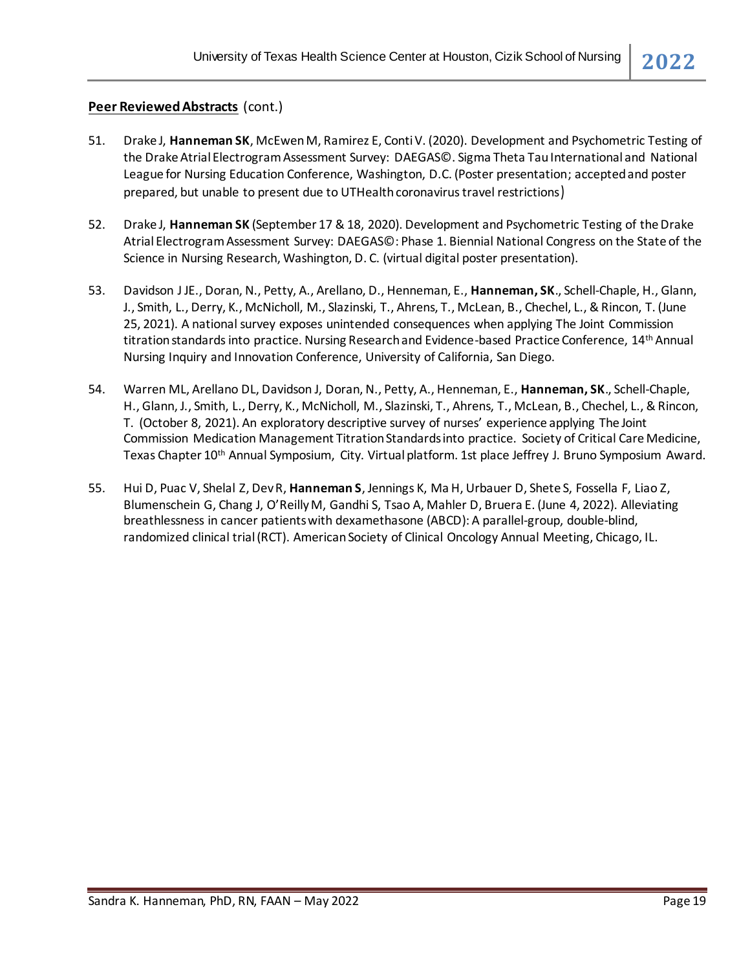- 51. Drake J, **Hanneman SK**, McEwenM, Ramirez E, Conti V. (2020). Development and Psychometric Testing of the Drake Atrial Electrogram Assessment Survey: DAEGAS©. Sigma Theta Tau International and National League for Nursing Education Conference, Washington, D.C. (Poster presentation; accepted and poster prepared, but unable to present due to UTHealth coronavirus travel restrictions)
- 52. Drake J, **Hanneman SK** (September 17 & 18, 2020). Development and Psychometric Testing of the Drake Atrial Electrogram Assessment Survey: DAEGAS©: Phase 1. Biennial National Congress on the State of the Science in Nursing Research, Washington, D. C. (virtual digital poster presentation).
- 53. Davidson J JE., Doran, N., Petty, A., Arellano, D., Henneman, E., **Hanneman, SK**., Schell-Chaple, H., Glann, J., Smith, L., Derry, K., McNicholl, M., Slazinski, T., Ahrens, T., McLean, B., Chechel, L., & Rincon, T. (June 25, 2021). A national survey exposes unintended consequences when applying The Joint Commission titration standards into practice. Nursing Research and Evidence-based Practice Conference, 14th Annual Nursing Inquiry and Innovation Conference, University of California, San Diego.
- 54. Warren ML, Arellano DL, Davidson J, Doran, N., Petty, A., Henneman, E., **Hanneman, SK**., Schell-Chaple, H., Glann, J., Smith, L., Derry, K., McNicholl, M., Slazinski, T., Ahrens, T., McLean, B., Chechel, L., & Rincon, T. (October 8, 2021). An exploratory descriptive survey of nurses' experience applying The Joint Commission Medication Management Titration Standards into practice. Society of Critical Care Medicine, Texas Chapter 10<sup>th</sup> Annual Symposium, City. Virtual platform. 1st place Jeffrey J. Bruno Symposium Award.
- 55. Hui D, Puac V, Shelal Z, Dev R, **Hanneman S**, Jennings K, Ma H, Urbauer D, Shete S, Fossella F, Liao Z, Blumenschein G, Chang J, O'Reilly M, Gandhi S, Tsao A, Mahler D, Bruera E. (June 4, 2022). Alleviating breathlessness in cancer patients with dexamethasone (ABCD): A parallel-group, double-blind, randomized clinical trial (RCT). American Society of Clinical Oncology Annual Meeting, Chicago, IL.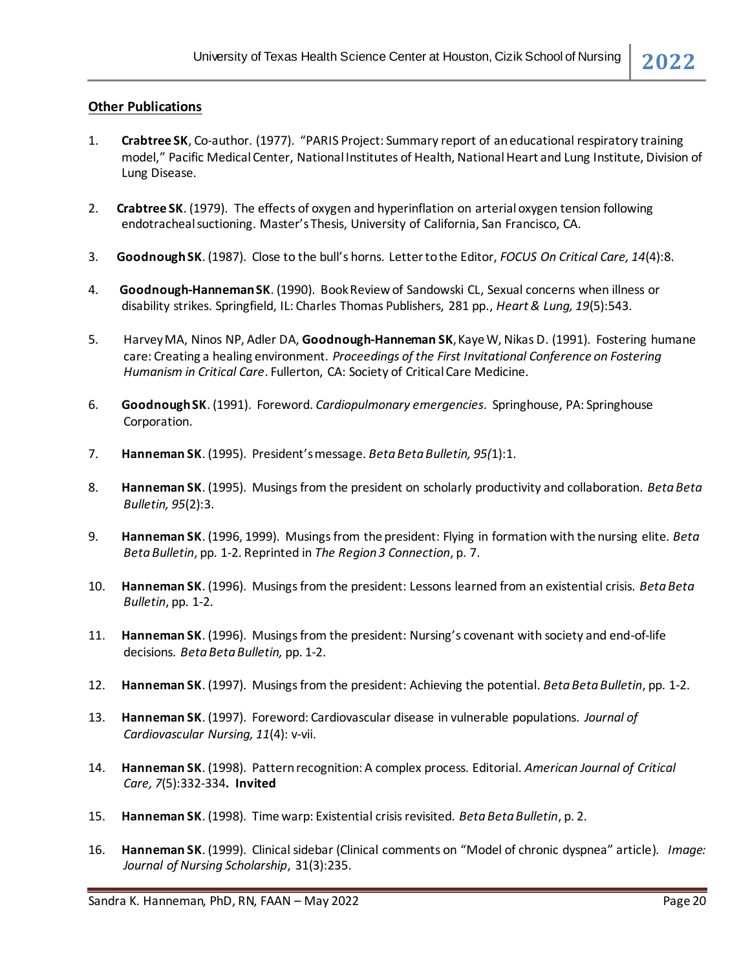#### **Other Publications**

- 1. **Crabtree SK**, Co-author. (1977). "PARIS Project: Summary report of an educational respiratory training model," Pacific Medical Center, National Institutes of Health, National Heart and Lung Institute, Division of Lung Disease.
- 2. **Crabtree SK**. (1979). The effects of oxygen and hyperinflation on arterial oxygen tension following endotracheal suctioning. Master's Thesis, University of California, San Francisco, CA.
- 3. **GoodnoughSK**. (1987). Close to the bull's horns. Letter to the Editor, *FOCUS On Critical Care, 14*(4):8.
- 4. **Goodnough-Hanneman SK**. (1990). Book Review of Sandowski CL, Sexual concerns when illness or disability strikes. Springfield, IL: Charles Thomas Publishers, 281 pp., *Heart & Lung, 19*(5):543.
- 5. Harvey MA, Ninos NP, Adler DA, **Goodnough-Hanneman SK**, Kaye W, Nikas D. (1991). Fostering humane care: Creating a healing environment. *Proceedings of the First Invitational Conference on Fostering Humanism in Critical Care*. Fullerton, CA: Society of Critical Care Medicine.
- 6. **Goodnough SK**. (1991). Foreword. *Cardiopulmonary emergencies*. Springhouse, PA: Springhouse Corporation.
- 7. **Hanneman SK**. (1995). President's message. *Beta Beta Bulletin, 95(*1):1.
- 8. **Hanneman SK**. (1995). Musings from the president on scholarly productivity and collaboration. *Beta Beta Bulletin, 95*(2):3.
- 9. **Hanneman SK**. (1996, 1999). Musings from the president: Flying in formation with the nursing elite. *Beta Beta Bulletin*, pp. 1-2. Reprinted in *The Region 3 Connection*, p. 7.
- 10. **Hanneman SK**. (1996). Musings from the president: Lessons learned from an existential crisis. *Beta Beta Bulletin*, pp. 1-2.
- 11. **Hanneman SK**. (1996). Musings from the president: Nursing's covenant with society and end-of-life decisions. *Beta Beta Bulletin,* pp. 1-2.
- 12. **Hanneman SK**. (1997). Musings from the president: Achieving the potential. *Beta Beta Bulletin*, pp. 1-2.
- 13. **Hanneman SK**. (1997). Foreword: Cardiovascular disease in vulnerable populations. *Journal of Cardiovascular Nursing, 11*(4): v-vii.
- 14. **Hanneman SK**. (1998). Pattern recognition: A complex process. Editorial. *American Journal of Critical Care, 7*(5):332-334**. Invited**
- 15. **Hanneman SK**. (1998). Time warp: Existential crisis revisited. *Beta Beta Bulletin*, p. 2.
- 16. **Hanneman SK**. (1999). Clinical sidebar (Clinical comments on "Model of chronic dyspnea" article)*. Image: Journal of Nursing Scholarship*, 31(3):235.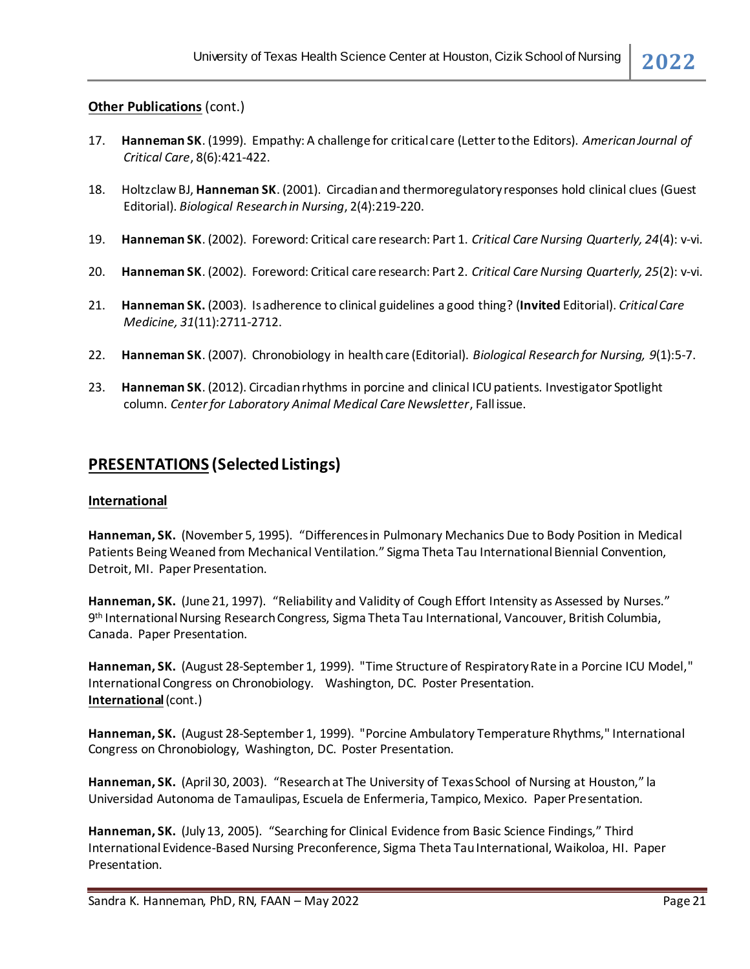#### **Other Publications (cont.)**

- 17. **Hanneman SK**. (1999). Empathy: A challenge for critical care (Letter to the Editors). *American Journal of Critical Care*, 8(6):421-422.
- 18. Holtzclaw BJ, **Hanneman SK**. (2001). Circadian and thermoregulatory responses hold clinical clues (Guest Editorial). *Biological Research in Nursing*, 2(4):219-220.
- 19. **Hanneman SK**. (2002). Foreword: Critical care research: Part 1. *Critical Care Nursing Quarterly, 24*(4): v-vi.
- 20. **Hanneman SK**. (2002). Foreword: Critical care research: Part 2. *Critical Care Nursing Quarterly, 25*(2): v-vi.
- 21. **Hanneman SK.** (2003). Is adherence to clinical guidelines a good thing? (**Invited** Editorial). *Critical Care Medicine, 31*(11):2711-2712.
- 22. **Hanneman SK**. (2007). Chronobiology in health care (Editorial). *Biological Research for Nursing, 9*(1):5-7.
- 23. **Hanneman SK**. (2012). Circadian rhythms in porcine and clinical ICU patients. Investigator Spotlight column. *Center for Laboratory Animal Medical Care Newsletter*, Fall issue.

# **PRESENTATIONS (Selected Listings)**

#### **International**

**Hanneman, SK.** (November 5, 1995). "Differences in Pulmonary Mechanics Due to Body Position in Medical Patients Being Weaned from Mechanical Ventilation." Sigma Theta Tau International Biennial Convention, Detroit, MI. Paper Presentation.

**Hanneman, SK.** (June 21, 1997). "Reliability and Validity of Cough Effort Intensity as Assessed by Nurses." 9 th International Nursing Research Congress, Sigma Theta Tau International, Vancouver, British Columbia, Canada. Paper Presentation.

**Hanneman, SK.** (August 28-September 1, 1999). "Time Structure of Respiratory Rate in a Porcine ICU Model," International Congress on Chronobiology. Washington, DC. Poster Presentation. **International**(cont.)

**Hanneman, SK.** (August 28-September 1, 1999). "Porcine Ambulatory Temperature Rhythms," International Congress on Chronobiology, Washington, DC. Poster Presentation.

**Hanneman, SK.** (April 30, 2003). "Research at The University of Texas School of Nursing at Houston," la Universidad Autonoma de Tamaulipas, Escuela de Enfermeria, Tampico, Mexico. Paper Presentation.

**Hanneman, SK.** (July 13, 2005). "Searching for Clinical Evidence from Basic Science Findings," Third International Evidence-Based Nursing Preconference, Sigma Theta Tau International, Waikoloa, HI. Paper Presentation.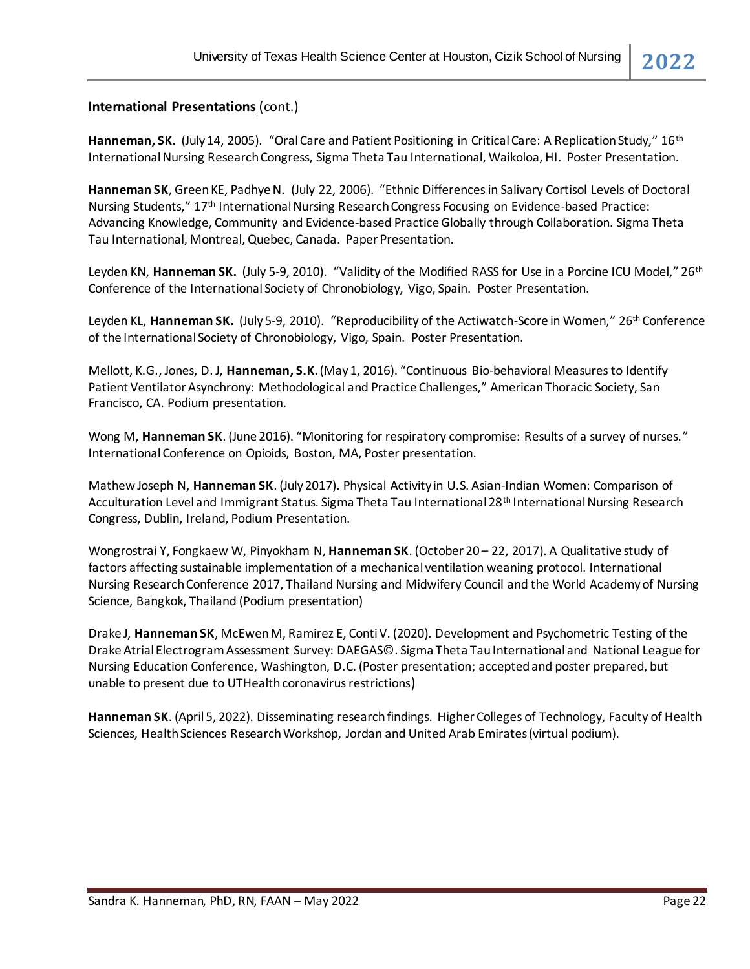#### **International Presentations** (cont.)

Hanneman, SK. (July 14, 2005). "Oral Care and Patient Positioning in Critical Care: A Replication Study," 16<sup>th</sup> International Nursing Research Congress, Sigma Theta Tau International, Waikoloa, HI. Poster Presentation.

**Hanneman SK**, Green KE, Padhye N. (July 22, 2006). "Ethnic Differences in Salivary Cortisol Levels of Doctoral Nursing Students," 17th International Nursing Research Congress Focusing on Evidence-based Practice: Advancing Knowledge, Community and Evidence-based Practice Globally through Collaboration. Sigma Theta Tau International, Montreal, Quebec, Canada. Paper Presentation.

Leyden KN, **Hanneman SK.** (July 5-9, 2010). "Validity of the Modified RASS for Use in a Porcine ICU Model," 26th Conference of the International Society of Chronobiology, Vigo, Spain. Poster Presentation.

Leyden KL, **Hanneman SK.** (July 5-9, 2010). "Reproducibility of the Actiwatch-Score in Women," 26th Conference of the International Society of Chronobiology, Vigo, Spain. Poster Presentation.

Mellott, K.G., Jones, D. J, **Hanneman, S.K.**(May 1, 2016). "Continuous Bio-behavioral Measures to Identify Patient Ventilator Asynchrony: Methodological and Practice Challenges," American Thoracic Society, San Francisco, CA. Podium presentation.

Wong M, **Hanneman SK**. (June 2016). "Monitoring for respiratory compromise: Results of a survey of nurses." International Conference on Opioids, Boston, MA, Poster presentation.

Mathew Joseph N, **Hanneman SK**. (July 2017). Physical Activity in U.S. Asian-Indian Women: Comparison of Acculturation Level and Immigrant Status. Sigma Theta Tau International 28th International Nursing Research Congress, Dublin, Ireland, Podium Presentation.

Wongrostrai Y, Fongkaew W, Pinyokham N, **Hanneman SK**. (October 20 – 22, 2017). A Qualitative study of factors affecting sustainable implementation of a mechanical ventilation weaning protocol. International Nursing Research Conference 2017, Thailand Nursing and Midwifery Council and the World Academy of Nursing Science, Bangkok, Thailand (Podium presentation)

Drake J, **Hanneman SK**, McEwen M, Ramirez E, Conti V. (2020). Development and Psychometric Testing of the Drake Atrial Electrogram Assessment Survey: DAEGAS©. Sigma Theta Tau International and National League for Nursing Education Conference, Washington, D.C. (Poster presentation; accepted and poster prepared, but unable to present due to UTHealth coronavirus restrictions)

**Hanneman SK**. (April 5, 2022). Disseminating research findings. Higher Colleges of Technology, Faculty of Health Sciences, Health Sciences Research Workshop, Jordan and United Arab Emirates (virtual podium).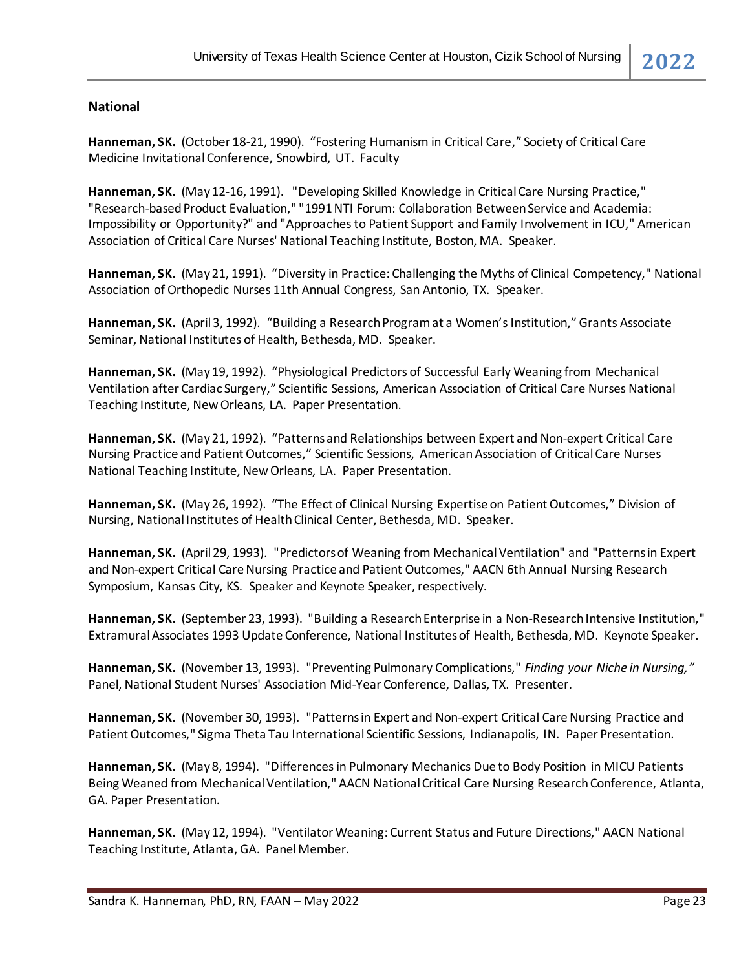### **National**

**Hanneman, SK.** (October 18-21, 1990). "Fostering Humanism in Critical Care," Society of Critical Care Medicine Invitational Conference, Snowbird, UT. Faculty

**Hanneman, SK.** (May 12-16, 1991). "Developing Skilled Knowledge in Critical Care Nursing Practice," "Research-based Product Evaluation," "1991 NTI Forum: Collaboration Between Service and Academia: Impossibility or Opportunity?" and "Approaches to Patient Support and Family Involvement in ICU," American Association of Critical Care Nurses' National Teaching Institute, Boston, MA. Speaker.

**Hanneman, SK.** (May 21, 1991). "Diversity in Practice: Challenging the Myths of Clinical Competency," National Association of Orthopedic Nurses 11th Annual Congress, San Antonio, TX. Speaker.

**Hanneman, SK.** (April 3, 1992). "Building a Research Program at a Women's Institution," Grants Associate Seminar, National Institutes of Health, Bethesda, MD. Speaker.

**Hanneman, SK.** (May 19, 1992). "Physiological Predictors of Successful Early Weaning from Mechanical Ventilation after Cardiac Surgery," Scientific Sessions, American Association of Critical Care Nurses National Teaching Institute, New Orleans, LA. Paper Presentation.

**Hanneman, SK.** (May 21, 1992). "Patterns and Relationships between Expert and Non-expert Critical Care Nursing Practice and Patient Outcomes," Scientific Sessions, AmericanAssociation of Critical Care Nurses National Teaching Institute, New Orleans, LA. Paper Presentation.

**Hanneman, SK.** (May 26, 1992). "The Effect of Clinical Nursing Expertise on Patient Outcomes," Division of Nursing, National Institutes of Health Clinical Center, Bethesda, MD. Speaker.

**Hanneman, SK.** (April 29, 1993). "Predictors of Weaning from Mechanical Ventilation" and "Patterns in Expert and Non-expert Critical Care Nursing Practice and Patient Outcomes," AACN 6th Annual Nursing Research Symposium, Kansas City, KS. Speaker and Keynote Speaker, respectively.

**Hanneman, SK.** (September 23, 1993). "Building a Research Enterprise in a Non-Research Intensive Institution," Extramural Associates 1993 Update Conference, National Institutes of Health, Bethesda, MD. Keynote Speaker.

**Hanneman, SK.** (November 13, 1993). "Preventing Pulmonary Complications," *Finding your Niche in Nursing,"* Panel, National Student Nurses' Association Mid-Year Conference, Dallas, TX. Presenter.

**Hanneman, SK.** (November 30, 1993). "Patterns in Expert and Non-expert Critical Care Nursing Practice and Patient Outcomes," Sigma Theta Tau International Scientific Sessions, Indianapolis, IN. Paper Presentation.

**Hanneman, SK.** (May 8, 1994). "Differences in Pulmonary Mechanics Due to Body Position in MICU Patients Being Weaned from Mechanical Ventilation," AACN National Critical Care Nursing Research Conference, Atlanta, GA. Paper Presentation.

**Hanneman, SK.** (May 12, 1994). "Ventilator Weaning: Current Status and Future Directions," AACN National Teaching Institute, Atlanta, GA. Panel Member.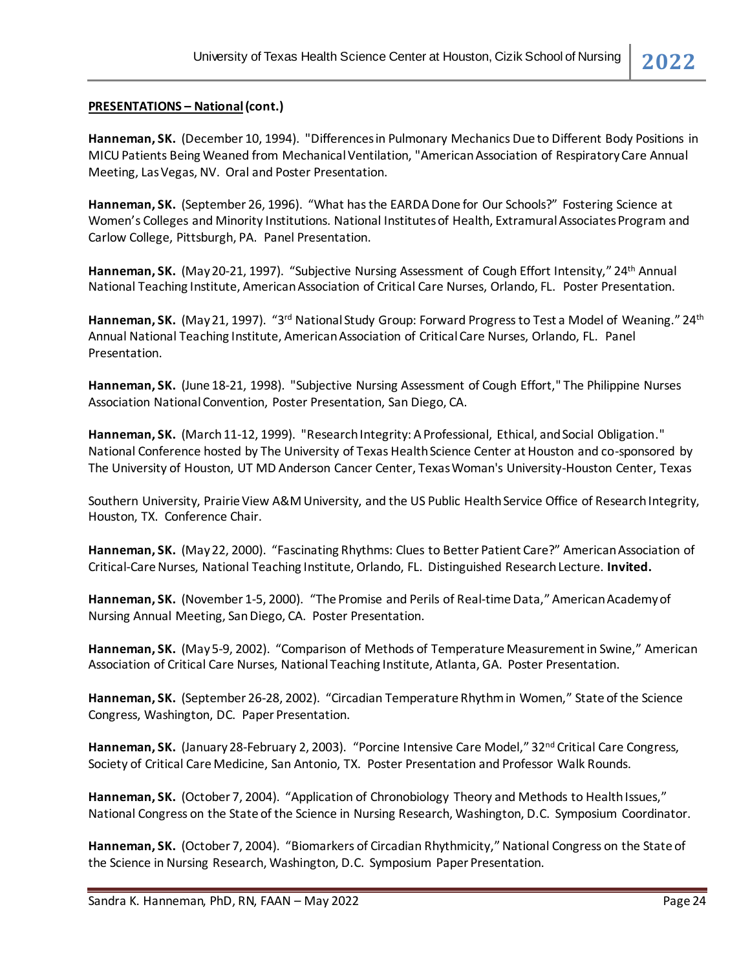#### **PRESENTATIONS – National(cont.)**

**Hanneman, SK.** (December 10, 1994). "Differences in Pulmonary Mechanics Due to Different Body Positions in MICUPatients Being Weaned from Mechanical Ventilation, "American Association of Respiratory Care Annual Meeting, Las Vegas, NV. Oral and Poster Presentation.

**Hanneman, SK.** (September 26, 1996). "What has the EARDA Done for Our Schools?" Fostering Science at Women's Colleges and Minority Institutions. National Institutes of Health, Extramural Associates Program and Carlow College, Pittsburgh, PA. Panel Presentation.

Hanneman, SK. (May 20-21, 1997). "Subjective Nursing Assessment of Cough Effort Intensity," 24<sup>th</sup> Annual National Teaching Institute, American Association of Critical Care Nurses, Orlando, FL. Poster Presentation.

Hanneman, SK. (May 21, 1997). "3<sup>rd</sup> National Study Group: Forward Progress to Test a Model of Weaning." 24<sup>th</sup> Annual National Teaching Institute, American Association of Critical Care Nurses, Orlando, FL. Panel Presentation.

**Hanneman, SK.** (June 18-21, 1998). "Subjective Nursing Assessment of Cough Effort," The Philippine Nurses Association National Convention, Poster Presentation, San Diego, CA.

**Hanneman, SK.** (March 11-12, 1999). "Research Integrity: A Professional, Ethical, and Social Obligation." National Conference hosted by The University of Texas Health Science Center at Houston and co-sponsored by The University of Houston, UT MD Anderson Cancer Center, Texas Woman's University-Houston Center, Texas

Southern University, Prairie View A&M University, and the US Public Health Service Office of Research Integrity, Houston, TX. Conference Chair.

**Hanneman, SK.** (May 22, 2000). "Fascinating Rhythms: Clues to Better Patient Care?" American Association of Critical-Care Nurses, National Teaching Institute, Orlando, FL. Distinguished Research Lecture. **Invited.**

**Hanneman, SK.** (November 1-5, 2000). "The Promise and Perils of Real-time Data," American Academy of Nursing Annual Meeting, San Diego, CA. Poster Presentation.

**Hanneman, SK.** (May 5-9, 2002). "Comparison of Methods of Temperature Measurement in Swine," American Association of Critical Care Nurses, National Teaching Institute, Atlanta, GA. Poster Presentation.

**Hanneman, SK.** (September 26-28, 2002). "Circadian Temperature Rhythm in Women," State of the Science Congress, Washington, DC. Paper Presentation.

Hanneman, SK. (January 28-February 2, 2003). "Porcine Intensive Care Model," 32<sup>nd</sup> Critical Care Congress, Society of Critical Care Medicine, San Antonio, TX. Poster Presentation and Professor Walk Rounds.

**Hanneman, SK.** (October 7, 2004). "Application of Chronobiology Theory and Methods to Health Issues," National Congress on the State of the Science in Nursing Research, Washington, D.C. Symposium Coordinator.

**Hanneman, SK.** (October 7, 2004). "Biomarkers of Circadian Rhythmicity," National Congress on the State of the Science in Nursing Research, Washington, D.C. Symposium Paper Presentation.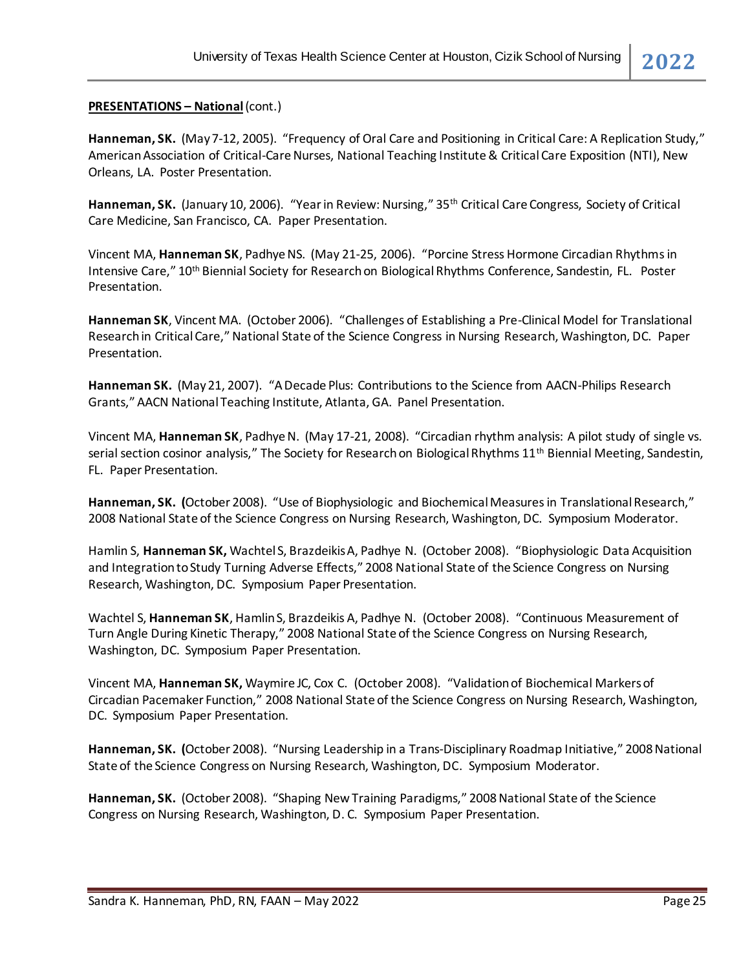#### **PRESENTATIONS – National**(cont.)

**Hanneman, SK.** (May 7-12, 2005). "Frequency of Oral Care and Positioning in Critical Care: A Replication Study," American Association of Critical-Care Nurses, National Teaching Institute & Critical Care Exposition (NTI), New Orleans, LA. Poster Presentation.

**Hanneman, SK.** (January 10, 2006). "Year in Review: Nursing," 35th Critical Care Congress, Society of Critical Care Medicine, San Francisco, CA. Paper Presentation.

Vincent MA, **Hanneman SK**, Padhye NS. (May 21-25, 2006). "Porcine Stress Hormone Circadian Rhythmsin Intensive Care," 10th Biennial Society for Research on Biological Rhythms Conference, Sandestin, FL. Poster Presentation.

**Hanneman SK**, Vincent MA. (October 2006). "Challenges of Establishing a Pre-Clinical Model for Translational Research in Critical Care," National State of the Science Congress in Nursing Research, Washington, DC. Paper Presentation.

**Hanneman SK.** (May 21, 2007). "A Decade Plus: Contributions to the Science from AACN-Philips Research Grants," AACN National Teaching Institute, Atlanta, GA. Panel Presentation.

Vincent MA, **Hanneman SK**, Padhye N. (May 17-21, 2008). "Circadian rhythm analysis: A pilot study of single vs. serial section cosinor analysis," The Society for Research on Biological Rhythms 11<sup>th</sup> Biennial Meeting, Sandestin, FL. Paper Presentation.

**Hanneman, SK. (**October 2008). "Use of Biophysiologic and Biochemical Measures in Translational Research," 2008 National State of the Science Congress on Nursing Research, Washington, DC. Symposium Moderator.

Hamlin S, **Hanneman SK,** Wachtel S, Brazdeikis A, Padhye N. (October 2008). "Biophysiologic Data Acquisition and Integration to Study Turning Adverse Effects," 2008 National State of the Science Congress on Nursing Research, Washington, DC. Symposium Paper Presentation.

Wachtel S, **Hanneman SK**, Hamlin S, Brazdeikis A, Padhye N. (October 2008). "Continuous Measurement of Turn Angle During Kinetic Therapy," 2008 National State of the Science Congress on Nursing Research, Washington, DC. Symposium Paper Presentation.

Vincent MA, **Hanneman SK,** Waymire JC, Cox C. (October 2008). "Validation of Biochemical Markers of Circadian Pacemaker Function," 2008 National State of the Science Congress on Nursing Research, Washington, DC. Symposium Paper Presentation.

**Hanneman, SK. (**October 2008). "Nursing Leadership in a Trans-Disciplinary Roadmap Initiative," 2008 National State of the Science Congress on Nursing Research, Washington, DC. Symposium Moderator.

**Hanneman, SK.** (October 2008). "Shaping New Training Paradigms," 2008 National State of the Science Congress on Nursing Research, Washington, D. C. Symposium Paper Presentation.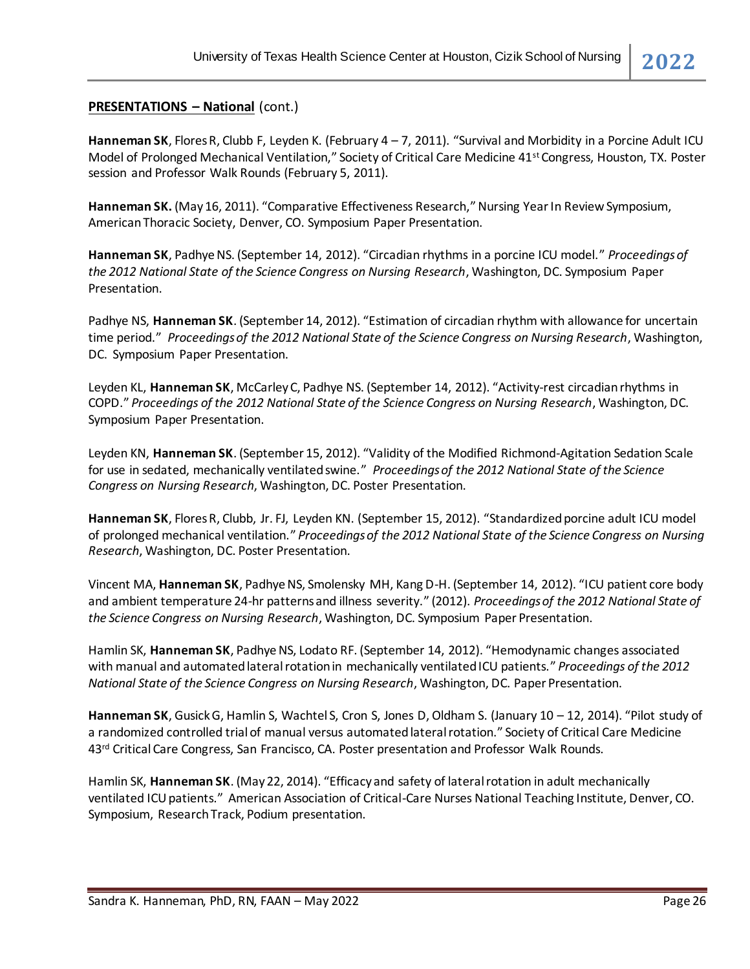#### **PRESENTATIONS – National** (cont.)

**Hanneman SK**, Flores R, Clubb F, Leyden K. (February 4 – 7, 2011). "Survival and Morbidity in a Porcine Adult ICU Model of Prolonged Mechanical Ventilation," Society of Critical Care Medicine 41st Congress, Houston, TX. Poster session and Professor Walk Rounds (February 5, 2011).

**Hanneman SK.** (May 16, 2011). "Comparative Effectiveness Research," Nursing Year In Review Symposium, American Thoracic Society, Denver, CO. Symposium Paper Presentation.

**Hanneman SK**, Padhye NS. (September 14, 2012). "Circadian rhythms in a porcine ICU model." *Proceedings of the 2012 National State of the Science Congress on Nursing Research*, Washington, DC. Symposium Paper Presentation.

Padhye NS, **Hanneman SK**. (September 14, 2012). "Estimation of circadian rhythm with allowance for uncertain time period." *Proceedings of the 2012 National State of the Science Congress on Nursing Research*, Washington, DC. Symposium Paper Presentation.

Leyden KL, **Hanneman SK**, McCarley C, Padhye NS. (September 14, 2012). "Activity-rest circadian rhythms in COPD." *Proceedings of the 2012 National State of the Science Congress on Nursing Research*, Washington, DC. Symposium Paper Presentation.

Leyden KN, **Hanneman SK**. (September 15, 2012). "Validity of the Modified Richmond-Agitation Sedation Scale for use in sedated, mechanically ventilated swine." *Proceedings of the 2012 National State of the Science Congress on Nursing Research*, Washington, DC. Poster Presentation.

**Hanneman SK**, Flores R, Clubb, Jr. FJ, Leyden KN. (September 15, 2012). "Standardized porcine adult ICU model of prolonged mechanical ventilation." *Proceedings of the 2012 National State of the Science Congress on Nursing Research*, Washington, DC. Poster Presentation.

Vincent MA, **Hanneman SK**, Padhye NS, Smolensky MH, Kang D-H. (September 14, 2012). "ICU patient core body and ambient temperature 24-hr patterns and illness severity." (2012). *Proceedings of the 2012 National State of the Science Congress on Nursing Research*, Washington, DC. Symposium Paper Presentation.

Hamlin SK, **Hanneman SK**, Padhye NS, Lodato RF. (September 14, 2012). "Hemodynamic changes associated with manual and automated lateral rotation in mechanically ventilated ICU patients." *Proceedings of the 2012 National State of the Science Congress on Nursing Research*, Washington, DC. Paper Presentation.

**Hanneman SK**, Gusick G, Hamlin S, Wachtel S, Cron S, Jones D, Oldham S. (January 10 – 12, 2014). "Pilot study of a randomized controlled trial of manual versus automated lateral rotation." Society of Critical Care Medicine 43<sup>rd</sup> Critical Care Congress, San Francisco, CA. Poster presentation and Professor Walk Rounds.

Hamlin SK, **Hanneman SK**. (May 22, 2014). "Efficacy and safety of lateral rotation in adult mechanically ventilated ICU patients." American Association of Critical-Care Nurses National Teaching Institute, Denver, CO. Symposium, Research Track, Podium presentation.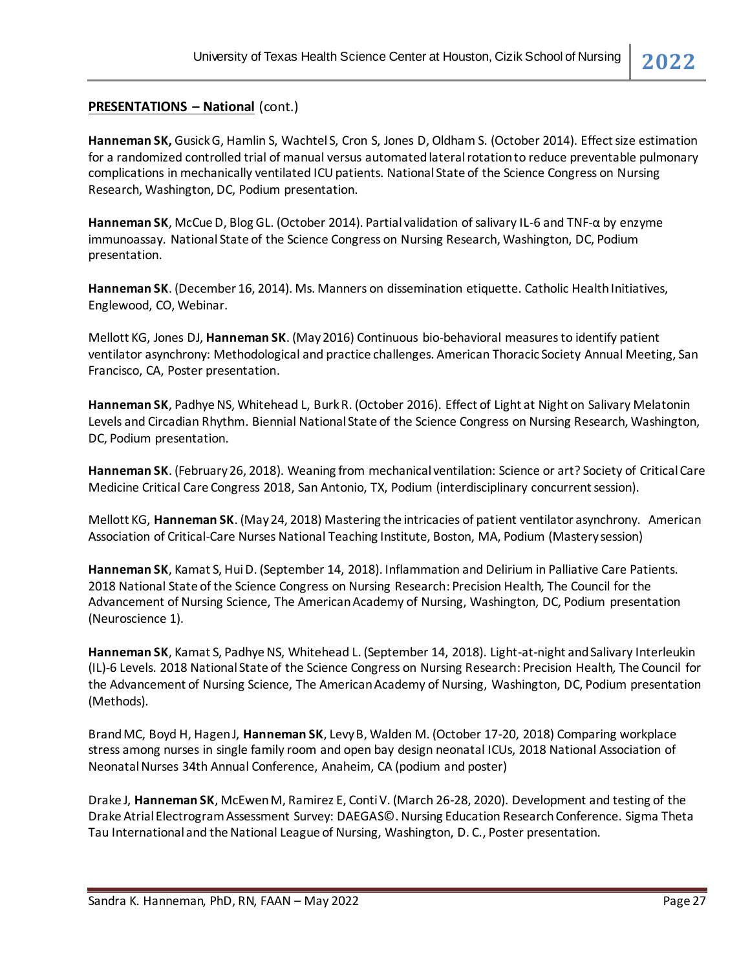#### **PRESENTATIONS – National** (cont.)

**Hanneman SK,** Gusick G, Hamlin S, Wachtel S, Cron S, Jones D, Oldham S. (October 2014). Effect size estimation for a randomized controlled trial of manual versus automated lateral rotation to reduce preventable pulmonary complications in mechanically ventilated ICU patients. National State of the Science Congress on Nursing Research, Washington, DC, Podium presentation.

**Hanneman SK**, McCue D, Blog GL. (October 2014). Partial validation of salivary IL-6 and TNF-α by enzyme immunoassay. National State of the Science Congress on Nursing Research, Washington, DC, Podium presentation.

**Hanneman SK**. (December 16, 2014). Ms. Manners on dissemination etiquette. Catholic Health Initiatives, Englewood, CO, Webinar.

Mellott KG, Jones DJ, **Hanneman SK**. (May2016) Continuous bio-behavioral measures to identify patient ventilator asynchrony: Methodological and practice challenges. American Thoracic Society Annual Meeting, San Francisco, CA, Poster presentation.

Hanneman SK, Padhye NS, Whitehead L, Burk R. (October 2016). Effect of Light at Night on Salivary Melatonin Levels and Circadian Rhythm. Biennial National State of the Science Congress on Nursing Research, Washington, DC, Podium presentation.

**Hanneman SK**. (February 26, 2018). Weaning from mechanical ventilation: Science or art? Society of Critical Care Medicine Critical Care Congress 2018, San Antonio, TX, Podium (interdisciplinary concurrent session).

Mellott KG, **Hanneman SK**. (May 24, 2018) Mastering the intricacies of patient ventilator asynchrony. American Association of Critical-Care Nurses National Teaching Institute, Boston, MA, Podium (Mastery session)

**Hanneman SK**, Kamat S, Hui D. (September 14, 2018). Inflammation and Delirium in Palliative Care Patients. 2018 National State of the Science Congress on Nursing Research: Precision Health*,* The Council for the Advancement of Nursing Science, The American Academy of Nursing, Washington, DC, Podium presentation (Neuroscience 1).

**Hanneman SK**, Kamat S, Padhye NS, Whitehead L. (September 14, 2018). Light-at-night and Salivary Interleukin (IL)-6 Levels. 2018 National State of the Science Congress on Nursing Research: Precision Health*,* The Council for the Advancement of Nursing Science, The American Academy of Nursing, Washington, DC, Podium presentation (Methods).

Brand MC, Boyd H, Hagen J, **Hanneman SK**, Levy B, Walden M. (October 17-20, 2018) Comparing workplace stress among nurses in single family room and open bay design neonatal ICUs, 2018 National Association of Neonatal Nurses 34th Annual Conference, Anaheim, CA (podium and poster)

Drake J, **Hanneman SK**, McEwen M, Ramirez E, Conti V. (March 26-28, 2020). Development and testing of the Drake Atrial Electrogram Assessment Survey: DAEGAS©. Nursing Education Research Conference. Sigma Theta Tau International and the National League of Nursing, Washington, D. C., Poster presentation.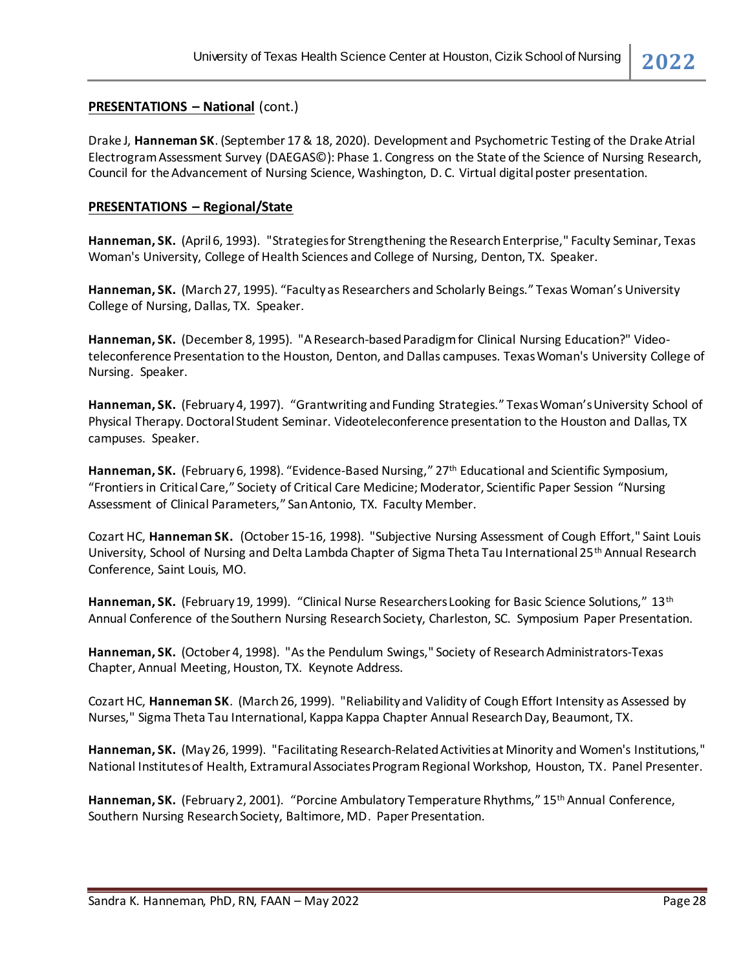#### **PRESENTATIONS – National** (cont.)

Drake J, **Hanneman SK**. (September 17 & 18, 2020). Development and Psychometric Testing of the Drake Atrial Electrogram Assessment Survey (DAEGAS©): Phase 1. Congress on the State of the Science of Nursing Research, Council for the Advancement of Nursing Science, Washington, D. C. Virtual digital poster presentation.

#### **PRESENTATIONS – Regional/State**

**Hanneman, SK.** (April 6, 1993). "Strategies for Strengthening the Research Enterprise," Faculty Seminar, Texas Woman's University, College of Health Sciences and College of Nursing, Denton, TX. Speaker.

**Hanneman, SK.** (March27, 1995). "Faculty as Researchers and Scholarly Beings." Texas Woman's University College of Nursing, Dallas, TX. Speaker.

**Hanneman, SK.** (December 8, 1995). "A Research-based Paradigm for Clinical Nursing Education?" Videoteleconference Presentation to the Houston, Denton, and Dallas campuses. Texas Woman's University College of Nursing. Speaker.

**Hanneman, SK.** (February 4, 1997). "Grantwriting and Funding Strategies." Texas Woman's University School of Physical Therapy. Doctoral Student Seminar. Videoteleconference presentation to the Houston and Dallas, TX campuses. Speaker.

**Hanneman, SK.** (February 6, 1998). "Evidence-Based Nursing," 27th Educational and Scientific Symposium, "Frontiers in Critical Care," Society of Critical Care Medicine; Moderator, Scientific Paper Session "Nursing Assessment of Clinical Parameters," San Antonio, TX. Faculty Member.

Cozart HC, **Hanneman SK.** (October 15-16, 1998). "Subjective Nursing Assessment of Cough Effort," Saint Louis University, School of Nursing and Delta Lambda Chapter of Sigma Theta Tau International 25th Annual Research Conference, Saint Louis, MO.

Hanneman, SK. (February 19, 1999). "Clinical Nurse Researchers Looking for Basic Science Solutions," 13<sup>th</sup> Annual Conference of the Southern Nursing Research Society, Charleston, SC. Symposium Paper Presentation.

**Hanneman, SK.** (October 4, 1998). "As the Pendulum Swings," Society of Research Administrators-Texas Chapter, Annual Meeting, Houston, TX. Keynote Address.

Cozart HC, **Hanneman SK**. (March 26, 1999). "Reliability and Validity of Cough Effort Intensity as Assessed by Nurses," Sigma Theta Tau International, Kappa Kappa Chapter Annual Research Day, Beaumont, TX.

**Hanneman, SK.** (May 26, 1999). "Facilitating Research-Related Activities at Minority and Women's Institutions," National Institutes of Health, Extramural Associates Program Regional Workshop, Houston, TX. Panel Presenter.

**Hanneman, SK.** (February 2, 2001). "Porcine Ambulatory Temperature Rhythms," 15th Annual Conference, Southern Nursing Research Society, Baltimore, MD. Paper Presentation.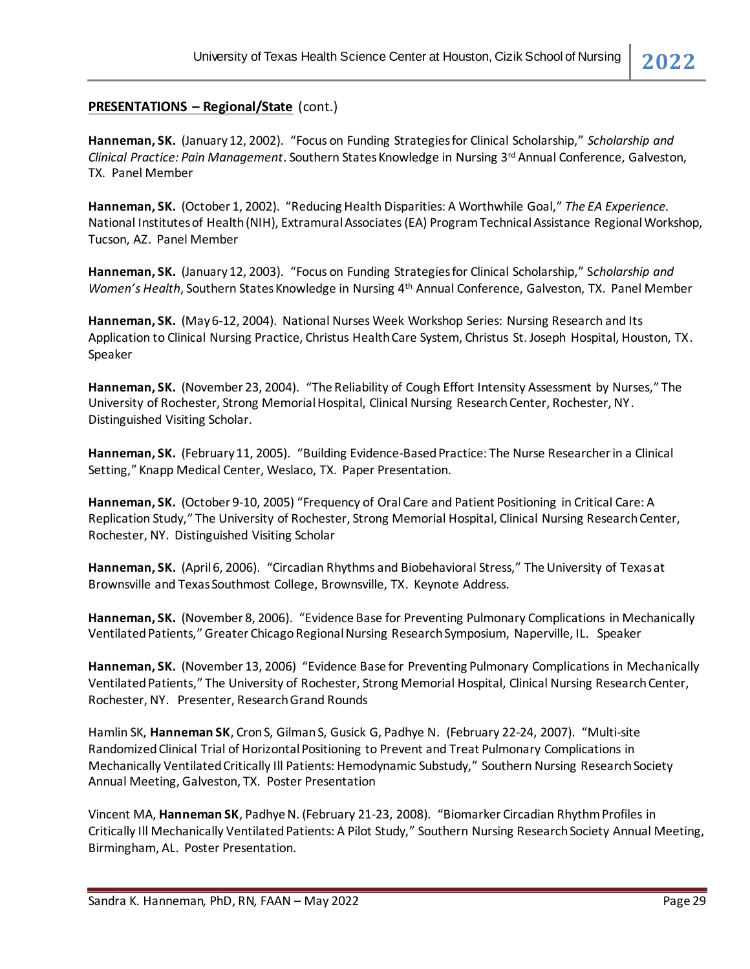#### **PRESENTATIONS – Regional/State** (cont.)

**Hanneman, SK.** (January 12, 2002). "Focus on Funding Strategies for Clinical Scholarship," *Scholarship and Clinical Practice: Pain Management*. Southern States Knowledge in Nursing 3<sup>rd</sup> Annual Conference, Galveston, TX. Panel Member

**Hanneman, SK.** (October 1, 2002). "Reducing Health Disparities: A Worthwhile Goal," *The EA Experience.*  National Institutes of Health (NIH), Extramural Associates (EA) Program Technical Assistance Regional Workshop, Tucson, AZ. Panel Member

**Hanneman, SK.** (January 12, 2003). "Focus on Funding Strategies for Clinical Scholarship," S*cholarship and Women's Health*, Southern States Knowledge in Nursing 4th Annual Conference, Galveston, TX. Panel Member

**Hanneman, SK.** (May 6-12, 2004). National Nurses Week Workshop Series: Nursing Research and Its Application to Clinical Nursing Practice, Christus Health Care System, Christus St. Joseph Hospital, Houston, TX. Speaker

**Hanneman, SK.** (November 23, 2004). "The Reliability of Cough Effort Intensity Assessment by Nurses," The University of Rochester, Strong Memorial Hospital, Clinical Nursing Research Center, Rochester, NY. Distinguished Visiting Scholar.

**Hanneman, SK.** (February 11, 2005). "Building Evidence-Based Practice: The Nurse Researcher in a Clinical Setting," Knapp Medical Center, Weslaco, TX. Paper Presentation.

**Hanneman, SK.** (October 9-10, 2005) "Frequency of Oral Care and Patient Positioning in Critical Care: A Replication Study," The University of Rochester, Strong Memorial Hospital, Clinical Nursing Research Center, Rochester, NY. Distinguished Visiting Scholar

**Hanneman, SK.** (April 6, 2006). "Circadian Rhythms and Biobehavioral Stress," The University of Texas at Brownsville and Texas Southmost College, Brownsville, TX. Keynote Address.

**Hanneman, SK.** (November 8, 2006). "Evidence Base for Preventing Pulmonary Complications in Mechanically Ventilated Patients," Greater Chicago Regional Nursing Research Symposium, Naperville, IL. Speaker

**Hanneman, SK.** (November 13, 2006) "Evidence Base for Preventing Pulmonary Complications in Mechanically Ventilated Patients," The University of Rochester, Strong Memorial Hospital, Clinical Nursing Research Center, Rochester, NY. Presenter, Research Grand Rounds

Hamlin SK, **Hanneman SK**, Cron S, Gilman S, Gusick G, Padhye N. (February 22-24, 2007). "Multi-site Randomized Clinical Trial of Horizontal Positioning to Prevent and Treat Pulmonary Complications in Mechanically Ventilated Critically Ill Patients: Hemodynamic Substudy," Southern Nursing Research Society Annual Meeting, Galveston, TX. Poster Presentation

Vincent MA, **Hanneman SK**, Padhye N. (February 21-23, 2008). "Biomarker Circadian Rhythm Profiles in Critically Ill Mechanically Ventilated Patients: A Pilot Study," Southern Nursing Research Society Annual Meeting, Birmingham, AL. Poster Presentation.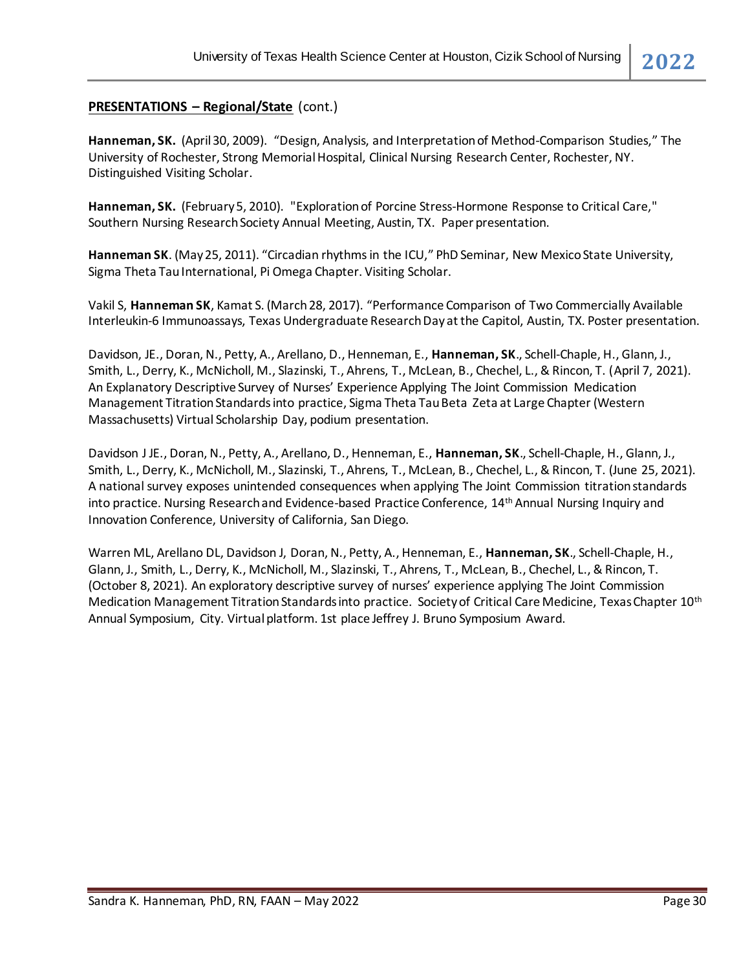#### **PRESENTATIONS – Regional/State** (cont.)

**Hanneman, SK.** (April 30, 2009). "Design, Analysis, and Interpretation of Method-Comparison Studies," The University of Rochester, Strong Memorial Hospital, Clinical Nursing Research Center, Rochester, NY. Distinguished Visiting Scholar.

**Hanneman, SK.** (February 5, 2010). "Exploration of Porcine Stress-Hormone Response to Critical Care," Southern Nursing Research Society Annual Meeting, Austin, TX. Paper presentation.

**Hanneman SK**. (May 25, 2011). "Circadian rhythms in the ICU," PhD Seminar, New Mexico State University, Sigma Theta Tau International, Pi Omega Chapter. Visiting Scholar.

Vakil S, **Hanneman SK**, Kamat S. (March 28, 2017). "Performance Comparison of Two Commercially Available Interleukin-6 Immunoassays, Texas Undergraduate Research Day at the Capitol, Austin, TX. Poster presentation.

Davidson, JE., Doran, N., Petty, A., Arellano, D., Henneman, E., **Hanneman, SK**., Schell-Chaple, H., Glann, J., Smith, L., Derry, K., McNicholl, M., Slazinski, T., Ahrens, T., McLean, B., Chechel, L., & Rincon, T. (April 7, 2021). An Explanatory Descriptive Survey of Nurses' Experience Applying The Joint Commission Medication Management Titration Standards into practice, Sigma Theta Tau Beta Zeta at Large Chapter (Western Massachusetts) Virtual Scholarship Day, podium presentation.

Davidson J JE., Doran, N., Petty, A., Arellano, D., Henneman, E., **Hanneman, SK**., Schell-Chaple, H., Glann, J., Smith, L., Derry, K., McNicholl, M., Slazinski, T., Ahrens, T., McLean, B., Chechel, L., & Rincon, T. (June 25, 2021). A national survey exposes unintended consequences when applying The Joint Commission titration standards into practice. Nursing Research and Evidence-based Practice Conference, 14th Annual Nursing Inquiry and Innovation Conference, University of California, San Diego.

Warren ML, Arellano DL, Davidson J, Doran, N., Petty, A., Henneman, E., **Hanneman, SK**., Schell-Chaple, H., Glann, J., Smith, L., Derry, K., McNicholl, M., Slazinski, T., Ahrens, T., McLean, B., Chechel, L., & Rincon, T. (October 8, 2021). An exploratory descriptive survey of nurses' experience applying The Joint Commission Medication Management Titration Standards into practice. Society of Critical Care Medicine, Texas Chapter 10th Annual Symposium, City. Virtual platform. 1st place Jeffrey J. Bruno Symposium Award.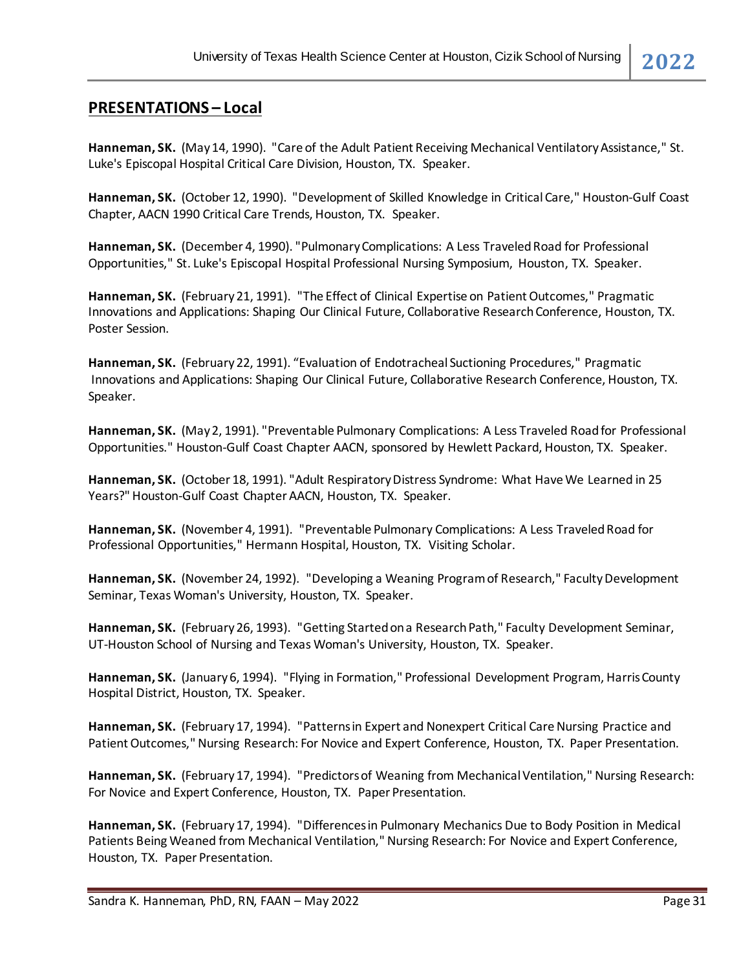**Hanneman, SK.** (May 14, 1990). "Care of the Adult Patient Receiving Mechanical Ventilatory Assistance," St. Luke's Episcopal Hospital Critical Care Division, Houston, TX. Speaker.

**Hanneman, SK.** (October 12, 1990). "Development of Skilled Knowledge in Critical Care," Houston-Gulf Coast Chapter, AACN 1990 Critical Care Trends, Houston, TX. Speaker.

**Hanneman, SK.** (December 4, 1990). "Pulmonary Complications: A Less Traveled Road for Professional Opportunities," St. Luke's Episcopal Hospital Professional Nursing Symposium, Houston, TX. Speaker.

**Hanneman, SK.** (February21, 1991). "The Effect of Clinical Expertise on Patient Outcomes," Pragmatic Innovations and Applications: Shaping Our Clinical Future, Collaborative Research Conference, Houston, TX. Poster Session.

**Hanneman, SK.** (February 22, 1991). "Evaluation of Endotracheal Suctioning Procedures," Pragmatic Innovations and Applications: Shaping Our Clinical Future, Collaborative Research Conference, Houston, TX. Speaker.

**Hanneman, SK.** (May 2, 1991). "Preventable Pulmonary Complications: A Less Traveled Road for Professional Opportunities." Houston-Gulf Coast Chapter AACN, sponsored by Hewlett Packard, Houston, TX. Speaker.

**Hanneman, SK.** (October 18, 1991). "Adult Respiratory Distress Syndrome: What Have We Learned in 25 Years?" Houston-Gulf Coast Chapter AACN, Houston, TX. Speaker.

**Hanneman, SK.** (November 4, 1991). "Preventable Pulmonary Complications: A Less Traveled Road for Professional Opportunities," Hermann Hospital, Houston, TX. Visiting Scholar.

**Hanneman, SK.** (November 24, 1992). "Developing a Weaning Program of Research," Faculty Development Seminar, Texas Woman's University, Houston, TX. Speaker.

**Hanneman, SK.** (February26, 1993). "Getting Started on a Research Path," Faculty Development Seminar, UT-Houston School of Nursing and Texas Woman's University, Houston, TX. Speaker.

**Hanneman, SK.** (January6, 1994). "Flying in Formation," Professional Development Program, Harris County Hospital District, Houston, TX. Speaker.

**Hanneman, SK.** (February17, 1994). "Patterns in Expert and Nonexpert Critical Care Nursing Practice and Patient Outcomes," Nursing Research: For Novice and Expert Conference, Houston, TX. Paper Presentation.

**Hanneman, SK.** (February17, 1994). "Predictors of Weaning from Mechanical Ventilation," Nursing Research: For Novice and Expert Conference, Houston, TX. Paper Presentation.

**Hanneman, SK.** (February17, 1994). "Differences in Pulmonary Mechanics Due to Body Position in Medical Patients Being Weaned from Mechanical Ventilation," Nursing Research: For Novice and Expert Conference, Houston, TX. Paper Presentation.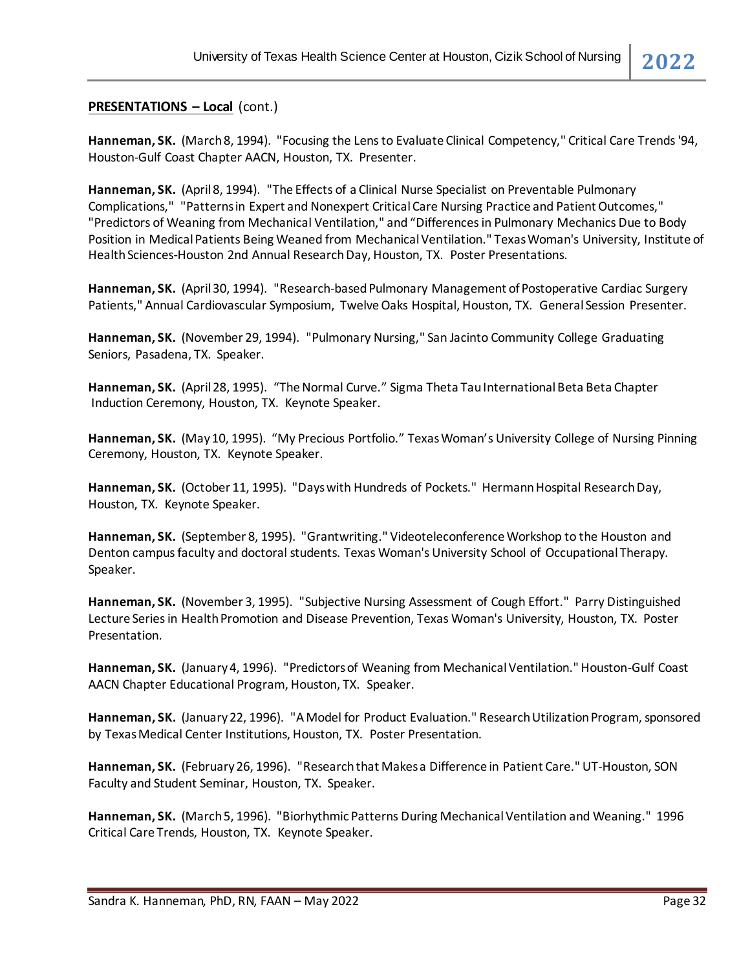**Hanneman, SK.** (March8, 1994). "Focusing the Lens to Evaluate Clinical Competency," Critical Care Trends '94, Houston-Gulf Coast Chapter AACN, Houston, TX. Presenter.

**Hanneman, SK.** (April 8, 1994). "The Effects of a Clinical Nurse Specialist on Preventable Pulmonary Complications," "Patterns in Expert and Nonexpert Critical Care Nursing Practice and Patient Outcomes," "Predictors of Weaning from Mechanical Ventilation," and "Differences in Pulmonary Mechanics Due to Body Position in Medical Patients Being Weaned from Mechanical Ventilation." Texas Woman's University, Institute of Health Sciences-Houston 2nd Annual Research Day, Houston, TX. Poster Presentations.

**Hanneman, SK.** (April 30, 1994). "Research-based Pulmonary Management of Postoperative Cardiac Surgery Patients," Annual Cardiovascular Symposium, Twelve Oaks Hospital, Houston, TX. General Session Presenter.

**Hanneman, SK.** (November 29, 1994). "Pulmonary Nursing," San Jacinto Community College Graduating Seniors, Pasadena, TX. Speaker.

**Hanneman, SK.** (April 28, 1995). "The Normal Curve." Sigma Theta Tau International Beta Beta Chapter Induction Ceremony, Houston, TX. Keynote Speaker.

**Hanneman, SK.** (May 10, 1995). "My Precious Portfolio." Texas Woman's University College of Nursing Pinning Ceremony, Houston, TX. Keynote Speaker.

**Hanneman, SK.** (October 11, 1995). "Days with Hundreds of Pockets." Hermann Hospital Research Day, Houston, TX. Keynote Speaker.

**Hanneman, SK.** (September 8, 1995). "Grantwriting." Videoteleconference Workshop to the Houston and Denton campus faculty and doctoral students. Texas Woman's University School of Occupational Therapy. Speaker.

**Hanneman, SK.** (November 3, 1995). "Subjective Nursing Assessment of Cough Effort." Parry Distinguished Lecture Series in Health Promotion and Disease Prevention, Texas Woman's University, Houston, TX. Poster Presentation.

**Hanneman, SK.** (January 4, 1996). "Predictors of Weaning from Mechanical Ventilation." Houston-Gulf Coast AACN Chapter Educational Program, Houston, TX. Speaker.

**Hanneman, SK.** (January22, 1996). "A Model for Product Evaluation." Research Utilization Program, sponsored by Texas Medical Center Institutions, Houston, TX. Poster Presentation.

**Hanneman, SK.** (February26, 1996). "Research that Makes a Difference in Patient Care." UT-Houston, SON Faculty and Student Seminar, Houston, TX. Speaker.

**Hanneman, SK.** (March5, 1996). "Biorhythmic Patterns During Mechanical Ventilation and Weaning." 1996 Critical Care Trends, Houston, TX. Keynote Speaker.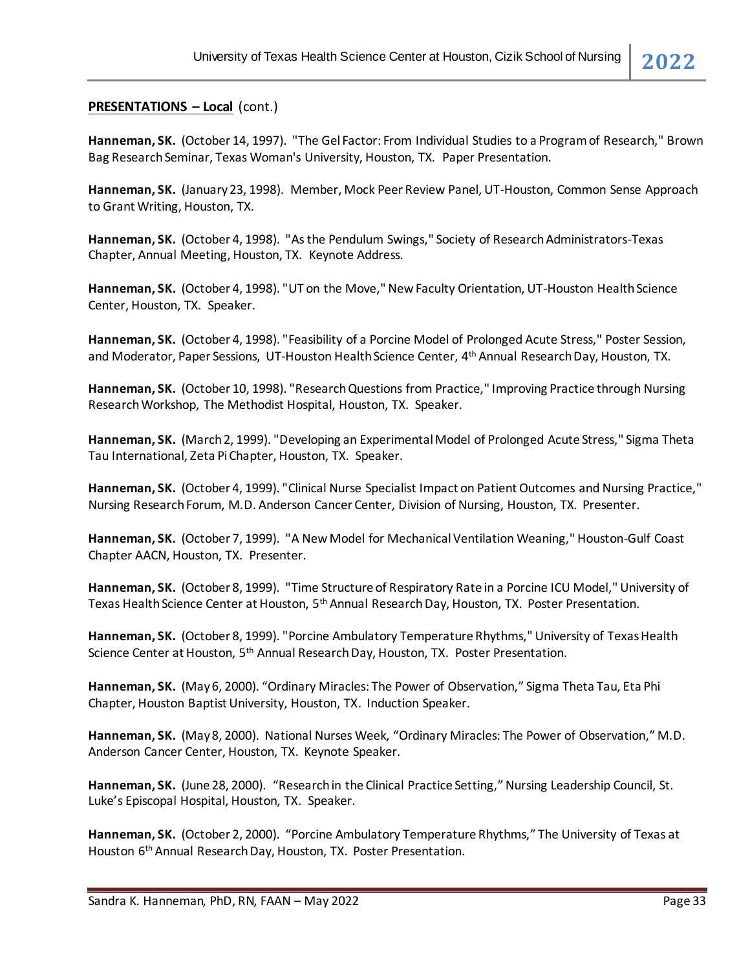**Hanneman, SK.** (October 14, 1997). "The Gel Factor: From Individual Studies to a Program of Research," Brown Bag Research Seminar, Texas Woman's University, Houston, TX. Paper Presentation.

**Hanneman, SK.** (January23, 1998). Member, Mock Peer Review Panel, UT-Houston, Common Sense Approach to Grant Writing, Houston, TX.

**Hanneman, SK.** (October 4, 1998). "As the Pendulum Swings," Society of Research Administrators-Texas Chapter, Annual Meeting, Houston, TX. Keynote Address.

**Hanneman, SK.** (October 4, 1998). "UT on the Move," New Faculty Orientation, UT-Houston Health Science Center, Houston, TX. Speaker.

**Hanneman, SK.** (October 4, 1998). "Feasibility of a Porcine Model of Prolonged Acute Stress," Poster Session, and Moderator, Paper Sessions, UT-Houston Health Science Center, 4th Annual Research Day, Houston, TX.

**Hanneman, SK.** (October 10, 1998). "Research Questions from Practice," Improving Practice through Nursing Research Workshop, The Methodist Hospital, Houston, TX. Speaker.

**Hanneman, SK.** (March 2, 1999). "Developing an Experimental Model of Prolonged Acute Stress," Sigma Theta Tau International, Zeta Pi Chapter, Houston, TX. Speaker.

**Hanneman, SK.** (October 4, 1999). "Clinical Nurse Specialist Impact on Patient Outcomes and Nursing Practice," Nursing Research Forum, M.D. Anderson Cancer Center, Division of Nursing, Houston, TX. Presenter.

**Hanneman, SK.** (October 7, 1999). "A New Model for Mechanical Ventilation Weaning," Houston-Gulf Coast Chapter AACN, Houston, TX. Presenter.

**Hanneman, SK.** (October 8, 1999). "Time Structure of Respiratory Rate in a Porcine ICU Model," University of Texas Health Science Center at Houston, 5<sup>th</sup> Annual Research Day, Houston, TX. Poster Presentation.

**Hanneman, SK.** (October 8, 1999). "Porcine Ambulatory Temperature Rhythms," University of Texas Health Science Center at Houston, 5th Annual Research Day, Houston, TX. Poster Presentation.

**Hanneman, SK.** (May 6, 2000). "Ordinary Miracles: The Power of Observation," Sigma Theta Tau, Eta Phi Chapter, Houston Baptist University, Houston, TX. Induction Speaker.

**Hanneman, SK.** (May 8, 2000). National Nurses Week, "Ordinary Miracles: The Power of Observation," M.D. Anderson Cancer Center, Houston, TX. Keynote Speaker.

**Hanneman, SK.** (June 28, 2000). "Research in the Clinical Practice Setting," Nursing Leadership Council, St. Luke's Episcopal Hospital, Houston, TX. Speaker.

**Hanneman, SK.** (October 2, 2000). "Porcine Ambulatory Temperature Rhythms," The University of Texas at Houston 6th Annual Research Day, Houston, TX. Poster Presentation.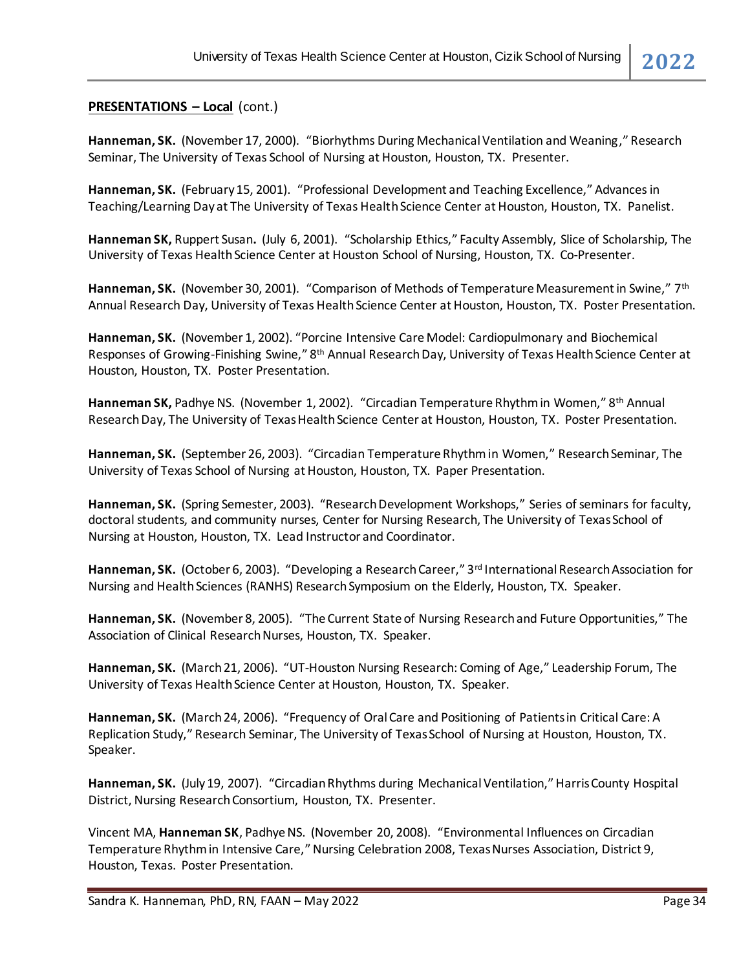**Hanneman, SK.** (November 17, 2000). "Biorhythms During Mechanical Ventilation and Weaning," Research Seminar, The University of Texas School of Nursing at Houston, Houston, TX. Presenter.

**Hanneman, SK.** (February 15, 2001). "Professional Development and Teaching Excellence," Advances in Teaching/Learning Day at The University of Texas Health Science Center at Houston, Houston, TX. Panelist.

**Hanneman SK,** Ruppert Susan**.** (July 6, 2001). "Scholarship Ethics," Faculty Assembly, Slice of Scholarship, The University of Texas Health Science Center at Houston School of Nursing, Houston, TX. Co-Presenter.

**Hanneman, SK.** (November 30, 2001). "Comparison of Methods of Temperature Measurement in Swine," 7th Annual Research Day, University of Texas Health Science Center at Houston, Houston, TX. Poster Presentation.

**Hanneman, SK.** (November 1, 2002). "Porcine Intensive Care Model: Cardiopulmonary and Biochemical Responses of Growing-Finishing Swine," 8th Annual Research Day, University of Texas Health Science Center at Houston, Houston, TX. Poster Presentation.

Hanneman SK, Padhye NS. (November 1, 2002). "Circadian Temperature Rhythm in Women," 8<sup>th</sup> Annual Research Day, The University of Texas Health Science Center at Houston, Houston, TX. Poster Presentation.

**Hanneman, SK.** (September 26, 2003). "Circadian Temperature Rhythm in Women," Research Seminar, The University of Texas School of Nursing at Houston, Houston, TX. Paper Presentation.

**Hanneman, SK.** (Spring Semester, 2003). "Research Development Workshops," Series of seminars for faculty, doctoral students, and community nurses, Center for Nursing Research, The University of Texas School of Nursing at Houston, Houston, TX. Lead Instructor and Coordinator.

Hanneman, SK. (October 6, 2003). "Developing a Research Career," 3<sup>rd</sup> International Research Association for Nursing and Health Sciences (RANHS) Research Symposium on the Elderly, Houston, TX. Speaker.

**Hanneman, SK.** (November 8, 2005). "The Current State of Nursing Research and Future Opportunities," The Association of Clinical Research Nurses, Houston, TX. Speaker.

**Hanneman, SK.** (March 21, 2006). "UT-Houston Nursing Research: Coming of Age," Leadership Forum, The University of Texas Health Science Center at Houston, Houston, TX. Speaker.

**Hanneman, SK.** (March 24, 2006). "Frequency of Oral Care and Positioning of Patients in Critical Care: A Replication Study," Research Seminar, The University of Texas School of Nursing at Houston, Houston, TX. Speaker.

**Hanneman, SK.** (July 19, 2007). "Circadian Rhythms during Mechanical Ventilation," Harris County Hospital District, Nursing Research Consortium, Houston, TX. Presenter.

Vincent MA, **Hanneman SK**, Padhye NS. (November 20, 2008). "Environmental Influences on Circadian Temperature Rhythm in Intensive Care," Nursing Celebration 2008, Texas Nurses Association, District 9, Houston, Texas. Poster Presentation.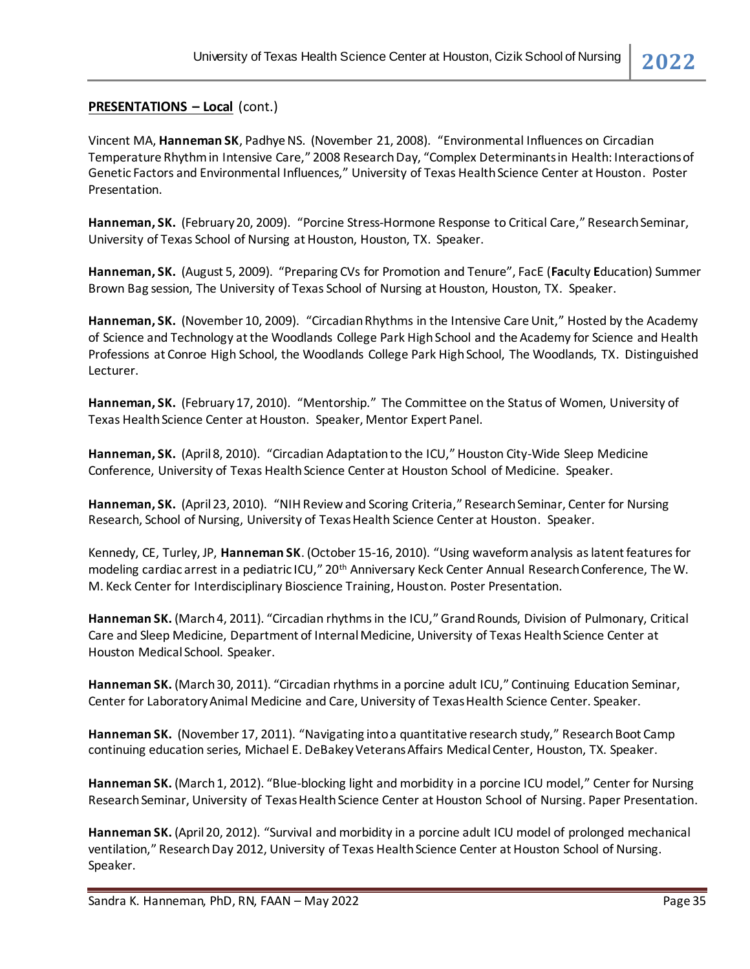Vincent MA, **Hanneman SK**, Padhye NS. (November 21, 2008). "Environmental Influences on Circadian Temperature Rhythm in Intensive Care," 2008 Research Day, "Complex Determinants in Health: Interactions of Genetic Factors and Environmental Influences," University of Texas Health Science Center at Houston. Poster Presentation.

**Hanneman, SK.** (February 20, 2009). "Porcine Stress-Hormone Response to Critical Care," Research Seminar, University of Texas School of Nursing at Houston, Houston, TX. Speaker.

**Hanneman, SK.** (August 5, 2009). "Preparing CVs for Promotion and Tenure", FacE (**Fac**ulty **E**ducation) Summer Brown Bag session, The University of Texas School of Nursing at Houston, Houston, TX. Speaker.

**Hanneman, SK.** (November 10, 2009). "Circadian Rhythms in the Intensive Care Unit," Hosted by the Academy of Science and Technology at the Woodlands College Park High School and the Academy for Science and Health Professions at Conroe High School, the Woodlands College Park High School, The Woodlands, TX. Distinguished Lecturer.

**Hanneman, SK.** (February 17, 2010). "Mentorship." The Committee on the Status of Women, University of Texas Health Science Center at Houston. Speaker, Mentor Expert Panel.

**Hanneman, SK.** (April 8, 2010). "Circadian Adaptation to the ICU," Houston City-Wide Sleep Medicine Conference, University of Texas Health Science Center at Houston School of Medicine. Speaker.

**Hanneman, SK.** (April 23, 2010). "NIH Review and Scoring Criteria," Research Seminar, Center for Nursing Research, School of Nursing, University of Texas Health Science Center at Houston. Speaker.

Kennedy, CE, Turley, JP, **Hanneman SK**. (October 15-16, 2010). "Using waveform analysis as latent features for modeling cardiac arrest in a pediatric ICU," 20th Anniversary Keck Center Annual Research Conference, The W. M. Keck Center for Interdisciplinary Bioscience Training, Houston. Poster Presentation.

**Hanneman SK.** (March 4, 2011). "Circadian rhythms in the ICU," Grand Rounds, Division of Pulmonary, Critical Care and Sleep Medicine, Department of Internal Medicine, University of Texas Health Science Center at Houston Medical School. Speaker.

**Hanneman SK.** (March 30, 2011). "Circadian rhythms in a porcine adult ICU," Continuing Education Seminar, Center for Laboratory Animal Medicine and Care, University of Texas Health Science Center. Speaker.

**Hanneman SK.** (November 17, 2011). "Navigating into a quantitative research study," Research Boot Camp continuing education series, Michael E. DeBakey Veterans Affairs Medical Center, Houston, TX. Speaker.

**Hanneman SK.** (March 1, 2012). "Blue-blocking light and morbidity in a porcine ICU model," Center for Nursing Research Seminar, University of Texas Health Science Center at Houston School of Nursing. Paper Presentation.

**Hanneman SK.** (April 20, 2012). "Survival and morbidity in a porcine adult ICU model of prolonged mechanical ventilation," Research Day 2012, University of Texas Health Science Center at Houston School of Nursing. Speaker.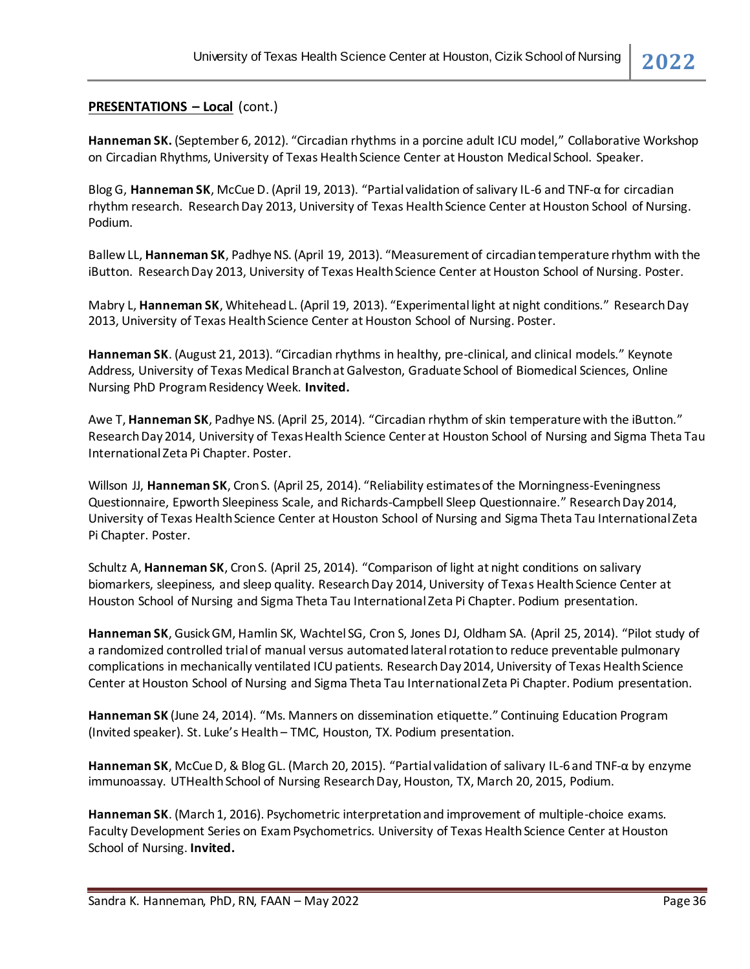**Hanneman SK.** (September 6, 2012). "Circadian rhythms in a porcine adult ICU model," Collaborative Workshop on Circadian Rhythms, University of Texas Health Science Center at Houston Medical School. Speaker.

Blog G, **Hanneman SK**, McCue D. (April 19, 2013). "Partial validation of salivary IL-6 and TNF-α for circadian rhythm research. Research Day 2013, University of Texas Health Science Center at Houston School of Nursing. Podium.

Ballew LL, **Hanneman SK**, Padhye NS. (April 19, 2013). "Measurement of circadian temperature rhythm with the iButton. Research Day 2013, University of Texas Health Science Center at Houston School of Nursing. Poster.

Mabry L, **Hanneman SK**, Whitehead L. (April 19, 2013). "Experimental light at night conditions." Research Day 2013, University of Texas Health Science Center at Houston School of Nursing. Poster.

**Hanneman SK**. (August 21, 2013). "Circadian rhythms in healthy, pre-clinical, and clinical models." Keynote Address, University of Texas Medical Branch at Galveston, Graduate School of Biomedical Sciences, Online Nursing PhD Program Residency Week. **Invited.**

Awe T, **Hanneman SK**, Padhye NS. (April 25, 2014). "Circadian rhythm of skin temperature with the iButton." Research Day 2014, University of Texas Health Science Center at Houston School of Nursing and Sigma Theta Tau International Zeta Pi Chapter. Poster.

Willson JJ, **Hanneman SK**, Cron S. (April 25, 2014). "Reliability estimates of the Morningness-Eveningness Questionnaire, Epworth Sleepiness Scale, and Richards-Campbell Sleep Questionnaire." Research Day 2014, University of Texas Health Science Center at Houston School of Nursing and Sigma Theta Tau International Zeta Pi Chapter. Poster.

Schultz A, **Hanneman SK**, Cron S. (April 25, 2014). "Comparison of light at night conditions on salivary biomarkers, sleepiness, and sleep quality. Research Day 2014, University of Texas Health Science Center at Houston School of Nursing and Sigma Theta Tau International Zeta Pi Chapter. Podium presentation.

**Hanneman SK**, Gusick GM, Hamlin SK, Wachtel SG, Cron S, Jones DJ, Oldham SA. (April 25, 2014). "Pilot study of a randomized controlled trial of manual versus automated lateral rotation to reduce preventable pulmonary complications in mechanically ventilated ICU patients. Research Day 2014, University of Texas Health Science Center at Houston School of Nursing and Sigma Theta Tau International Zeta Pi Chapter. Podium presentation.

**Hanneman SK** (June 24, 2014). "Ms. Manners on dissemination etiquette." Continuing Education Program (Invited speaker). St. Luke's Health – TMC, Houston, TX. Podium presentation.

**Hanneman SK**, McCue D, & Blog GL. (March 20, 2015). "Partial validation of salivary IL-6 and TNF-α by enzyme immunoassay. UTHealth School of Nursing Research Day, Houston, TX, March 20, 2015, Podium.

**Hanneman SK**. (March 1, 2016). Psychometric interpretation and improvement of multiple-choice exams. Faculty Development Series on Exam Psychometrics. University of Texas Health Science Center at Houston School of Nursing. **Invited.**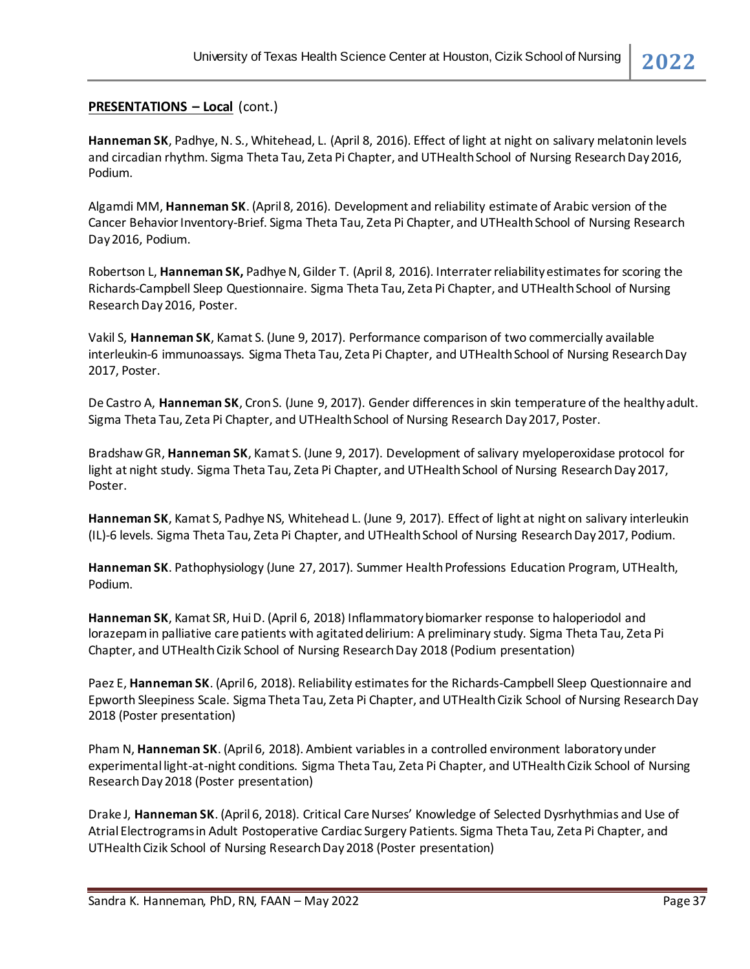#### **PRESENTATIONS – Local** (cont.)

**Hanneman SK**, Padhye, N. S., Whitehead, L. (April 8, 2016). Effect of light at night on salivary melatonin levels and circadian rhythm. Sigma Theta Tau, Zeta Pi Chapter, and UTHealth School of Nursing Research Day 2016, Podium.

Algamdi MM, **Hanneman SK**. (April 8, 2016). Development and reliability estimate of Arabic version of the Cancer Behavior Inventory-Brief. Sigma Theta Tau, Zeta Pi Chapter, and UTHealth School of Nursing Research Day 2016, Podium.

Robertson L, **Hanneman SK,** Padhye N, Gilder T. (April 8, 2016). Interrater reliability estimates for scoring the Richards-Campbell Sleep Questionnaire. Sigma Theta Tau, Zeta Pi Chapter, and UTHealth School of Nursing Research Day 2016, Poster.

Vakil S, **Hanneman SK**, Kamat S. (June 9, 2017). Performance comparison of two commercially available interleukin-6 immunoassays. Sigma Theta Tau, Zeta Pi Chapter, and UTHealth School of Nursing Research Day 2017, Poster.

De Castro A, **Hanneman SK**, Cron S. (June 9, 2017). Gender differences in skin temperature of the healthy adult. Sigma Theta Tau, Zeta Pi Chapter, and UTHealth School of Nursing Research Day 2017, Poster.

Bradshaw GR, **Hanneman SK**, Kamat S. (June 9, 2017). Development of salivary myeloperoxidase protocol for light at night study. Sigma Theta Tau, Zeta Pi Chapter, and UTHealth School of Nursing Research Day 2017, Poster.

**Hanneman SK**, Kamat S, Padhye NS, Whitehead L. (June 9, 2017). Effect of light at night on salivary interleukin (IL)-6 levels. Sigma Theta Tau, Zeta Pi Chapter, and UTHealth School of Nursing Research Day 2017, Podium.

**Hanneman SK**. Pathophysiology (June 27, 2017). Summer Health Professions Education Program, UTHealth, Podium.

**Hanneman SK**, Kamat SR, Hui D. (April 6, 2018) Inflammatory biomarker response to haloperiodol and lorazepam in palliative care patients with agitated delirium: A preliminary study. Sigma Theta Tau, Zeta Pi Chapter, and UTHealth Cizik School of Nursing Research Day 2018 (Podium presentation)

Paez E, **Hanneman SK**. (April 6, 2018). Reliability estimates for the Richards-Campbell Sleep Questionnaire and Epworth Sleepiness Scale. Sigma Theta Tau, Zeta Pi Chapter, and UTHealth Cizik School of Nursing Research Day 2018 (Poster presentation)

Pham N, **Hanneman SK**. (April 6, 2018). Ambient variables in a controlled environment laboratory under experimental light-at-night conditions. Sigma Theta Tau, Zeta Pi Chapter, and UTHealth Cizik School of Nursing Research Day 2018 (Poster presentation)

Drake J, **Hanneman SK**. (April 6, 2018). Critical Care Nurses' Knowledge of Selected Dysrhythmias and Use of Atrial Electrograms in Adult Postoperative Cardiac Surgery Patients. Sigma Theta Tau, Zeta Pi Chapter, and UTHealth Cizik School of Nursing Research Day 2018 (Poster presentation)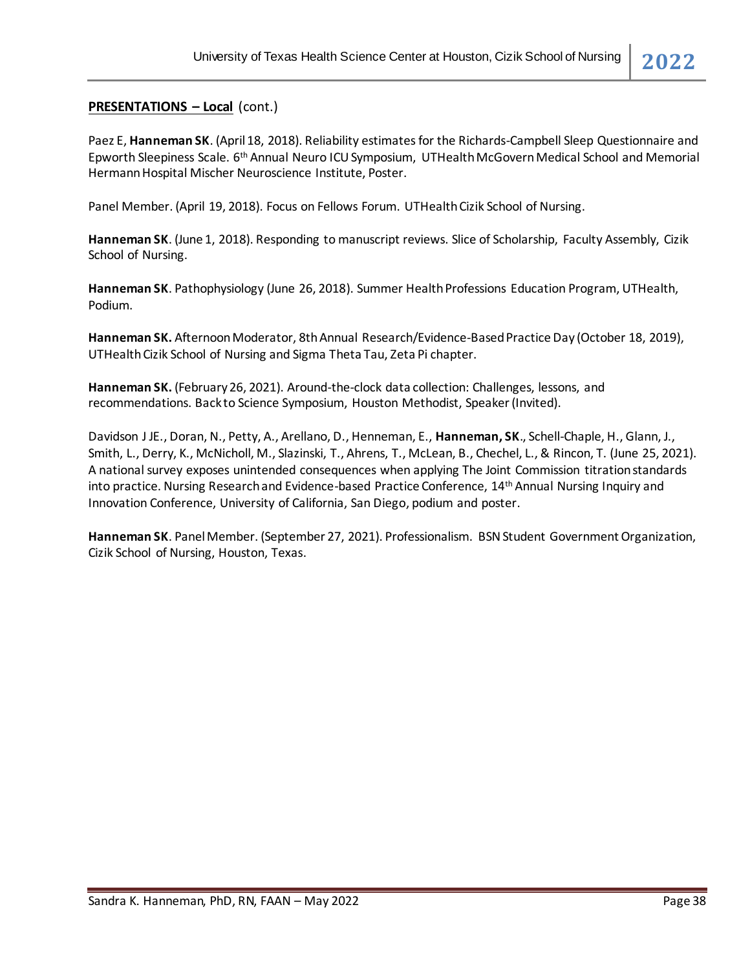#### **PRESENTATIONS – Local** (cont.)

Paez E, **Hanneman SK**. (April 18, 2018). Reliability estimates for the Richards-Campbell Sleep Questionnaire and Epworth Sleepiness Scale. 6th Annual Neuro ICU Symposium, UTHealth McGovern Medical School and Memorial Hermann Hospital Mischer Neuroscience Institute, Poster.

Panel Member. (April 19, 2018). Focus on Fellows Forum. UTHealth Cizik School of Nursing.

**Hanneman SK**. (June 1, 2018). Responding to manuscript reviews. Slice of Scholarship, Faculty Assembly, Cizik School of Nursing.

**Hanneman SK**. Pathophysiology (June 26, 2018). Summer Health Professions Education Program, UTHealth, Podium.

**Hanneman SK.** Afternoon Moderator, 8th Annual Research/Evidence-Based Practice Day (October 18, 2019), UTHealth Cizik School of Nursing and Sigma Theta Tau, Zeta Pi chapter.

**Hanneman SK.** (February 26, 2021). Around-the-clock data collection: Challenges, lessons, and recommendations. Back to Science Symposium, Houston Methodist, Speaker (Invited).

Davidson J JE., Doran, N., Petty, A., Arellano, D., Henneman, E., **Hanneman, SK**., Schell-Chaple, H., Glann, J., Smith, L., Derry, K., McNicholl, M., Slazinski, T., Ahrens, T., McLean, B., Chechel, L., & Rincon, T. (June 25, 2021). A national survey exposes unintended consequences when applying The Joint Commission titration standards into practice. Nursing Research and Evidence-based Practice Conference, 14th Annual Nursing Inquiry and Innovation Conference, University of California, San Diego, podium and poster.

**Hanneman SK**. Panel Member. (September 27, 2021). Professionalism. BSN Student Government Organization, Cizik School of Nursing, Houston, Texas.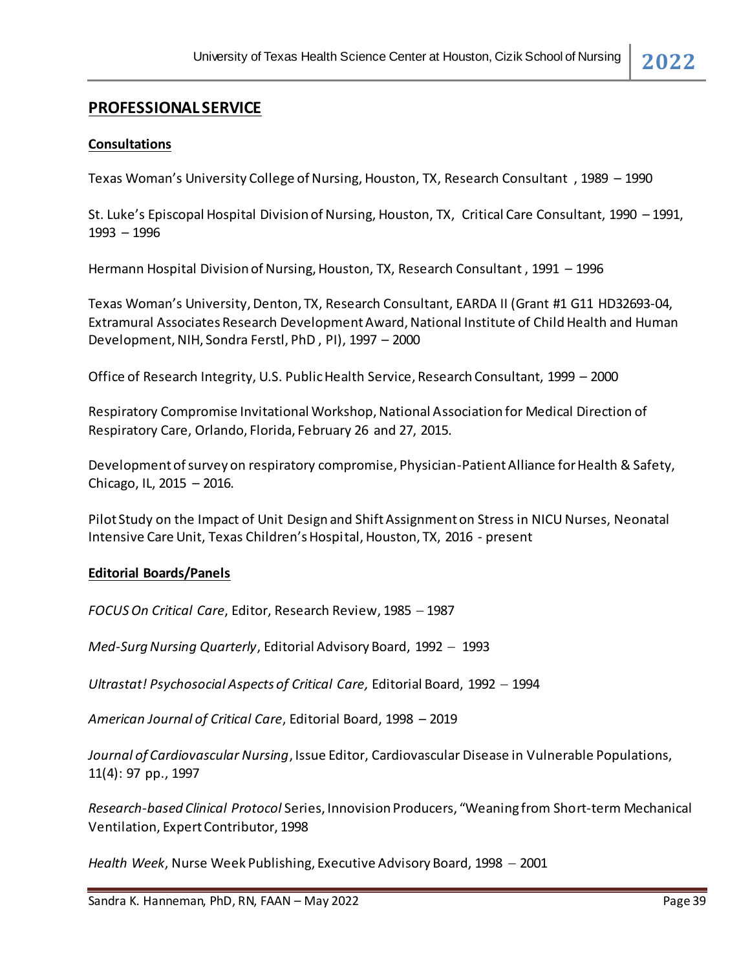# **PROFESSIONAL SERVICE**

#### **Consultations**

Texas Woman's University College of Nursing, Houston, TX, Research Consultant , 1989 – 1990

St. Luke's Episcopal Hospital Division of Nursing, Houston, TX, Critical Care Consultant, 1990 – 1991, 1993 – 1996

Hermann Hospital Division of Nursing, Houston, TX, Research Consultant , 1991 – 1996

Texas Woman's University, Denton, TX, Research Consultant, EARDA II (Grant #1 G11 HD32693-04, Extramural Associates Research Development Award, National Institute of Child Health and Human Development, NIH, Sondra Ferstl, PhD , PI), 1997 – 2000

Office of Research Integrity, U.S. Public Health Service, Research Consultant, 1999 – 2000

Respiratory Compromise Invitational Workshop, National Association for Medical Direction of Respiratory Care, Orlando, Florida, February 26 and 27, 2015.

Development of survey on respiratory compromise, Physician-Patient Alliance for Health & Safety, Chicago, IL, 2015 – 2016.

Pilot Study on the Impact of Unit Design and Shift Assignment on Stress in NICU Nurses, Neonatal Intensive Care Unit, Texas Children's Hospital, Houston, TX, 2016 - present

#### **Editorial Boards/Panels**

*FOCUS On Critical Care*, Editor, Research Review, 1985 − 1987

*Med-Surg Nursing Quarterly*, Editorial Advisory Board, 1992 − 1993

*Ultrastat! Psychosocial Aspects of Critical Care,* Editorial Board, 1992 − 1994

*American Journal of Critical Care*, Editorial Board, 1998 – 2019

*Journal of Cardiovascular Nursing*, Issue Editor, Cardiovascular Disease in Vulnerable Populations, 11(4): 97 pp., 1997

*Research-based Clinical Protocol* Series, Innovision Producers, "Weaning from Short-term Mechanical Ventilation, Expert Contributor, 1998

*Health Week*, Nurse Week Publishing, Executive Advisory Board, 1998 − 2001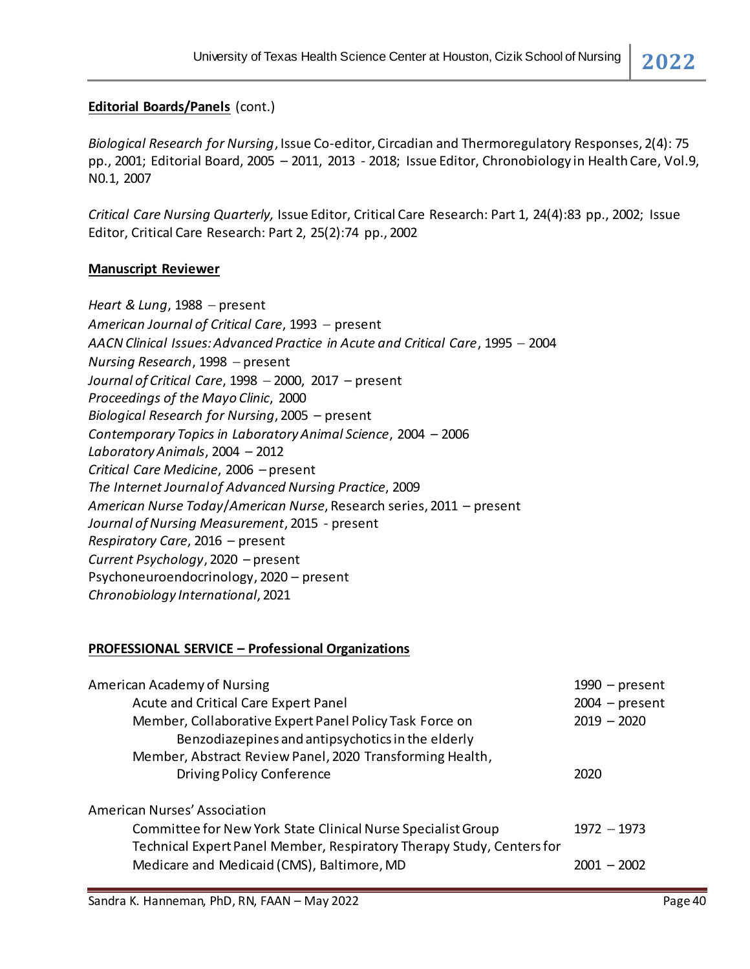# **Editorial Boards/Panels** (cont.)

*Biological Research for Nursing*, Issue Co-editor, Circadian and Thermoregulatory Responses, 2(4): 75 pp., 2001; Editorial Board, 2005 – 2011, 2013 - 2018; Issue Editor, Chronobiology in Health Care, Vol.9, N0.1, 2007

*Critical Care Nursing Quarterly,* Issue Editor, Critical Care Research: Part 1, 24(4):83 pp., 2002; Issue Editor, Critical Care Research: Part 2, 25(2):74 pp., 2002

### **Manuscript Reviewer**

*Heart & Lung*, 1988 − present *American Journal of Critical Care*, 1993 − present *AACN Clinical Issues: Advanced Practice in Acute and Critical Care*, 1995 − 2004 *Nursing Research*, 1998 − present *Journal of Critical Care*, 1998 − 2000, 2017 – present *Proceedings of the Mayo Clinic*, 2000 *Biological Research for Nursing*, 2005 – present *Contemporary Topics in Laboratory Animal Science*, 2004 – 2006 *Laboratory Animals*, 2004 – 2012 *Critical Care Medicine*, 2006 – present *The Internet Journal of Advanced Nursing Practice*, 2009 *American Nurse Today*/*American Nurse*, Research series, 2011 – present *Journal of Nursing Measurement*, 2015 - present *Respiratory Care*, 2016 – present *Current Psychology*, 2020 – present Psychoneuroendocrinology, 2020 – present *Chronobiology International*, 2021

# **PROFESSIONAL SERVICE – Professional Organizations**

| American Academy of Nursing                                                                                         | $1990$ – present |
|---------------------------------------------------------------------------------------------------------------------|------------------|
| Acute and Critical Care Expert Panel                                                                                | $2004 - present$ |
| Member, Collaborative Expert Panel Policy Task Force on                                                             | $2019 - 2020$    |
| Benzodiazepines and antipsychotics in the elderly                                                                   |                  |
| Member, Abstract Review Panel, 2020 Transforming Health,                                                            |                  |
| <b>Driving Policy Conference</b>                                                                                    | 2020             |
| American Nurses' Association                                                                                        |                  |
| Committee for New York State Clinical Nurse Specialist Group                                                        | $1972 - 1973$    |
| Technical Expert Panel Member, Respiratory Therapy Study, Centers for<br>Medicare and Medicaid (CMS), Baltimore, MD | $2001 - 2002$    |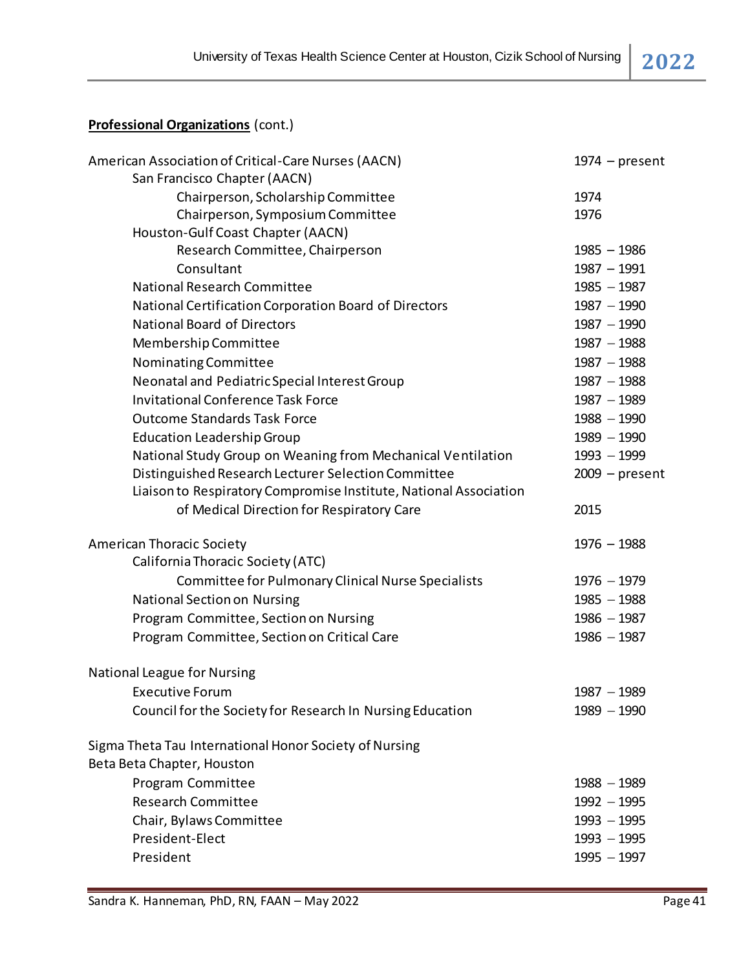# **Professional Organizations** (cont.)

| American Association of Critical-Care Nurses (AACN)                                  | $1974$ – present               |
|--------------------------------------------------------------------------------------|--------------------------------|
| San Francisco Chapter (AACN)                                                         |                                |
| Chairperson, Scholarship Committee                                                   | 1974                           |
| Chairperson, Symposium Committee                                                     | 1976                           |
| Houston-Gulf Coast Chapter (AACN)                                                    |                                |
| Research Committee, Chairperson                                                      | $1985 - 1986$                  |
| Consultant                                                                           | $1987 - 1991$                  |
| National Research Committee                                                          | $1985 - 1987$                  |
| National Certification Corporation Board of Directors                                | $1987 - 1990$                  |
| <b>National Board of Directors</b>                                                   | $1987 - 1990$                  |
| Membership Committee                                                                 | $1987 - 1988$                  |
| Nominating Committee                                                                 | $1987 - 1988$                  |
| Neonatal and Pediatric Special Interest Group                                        | $1987 - 1988$                  |
| <b>Invitational Conference Task Force</b>                                            | $1987 - 1989$                  |
| <b>Outcome Standards Task Force</b>                                                  | $1988 - 1990$                  |
| <b>Education Leadership Group</b>                                                    | $1989 - 1990$                  |
| National Study Group on Weaning from Mechanical Ventilation                          | $1993 - 1999$                  |
| Distinguished Research Lecturer Selection Committee                                  | $2009$ – present               |
| Liaison to Respiratory Compromise Institute, National Association                    |                                |
| of Medical Direction for Respiratory Care                                            | 2015                           |
| <b>American Thoracic Society</b>                                                     | $1976 - 1988$                  |
| California Thoracic Society (ATC)                                                    |                                |
| Committee for Pulmonary Clinical Nurse Specialists                                   | $1976 - 1979$                  |
| <b>National Section on Nursing</b>                                                   | $1985 - 1988$                  |
| Program Committee, Section on Nursing                                                | $1986 - 1987$                  |
| Program Committee, Section on Critical Care                                          | $1986 - 1987$                  |
| <b>National League for Nursing</b>                                                   |                                |
| <b>Executive Forum</b>                                                               | $1987 - 1989$                  |
| Council for the Society for Research In Nursing Education                            | $1989 - 1990$                  |
|                                                                                      |                                |
| Sigma Theta Tau International Honor Society of Nursing<br>Beta Beta Chapter, Houston |                                |
|                                                                                      |                                |
| Program Committee<br><b>Research Committee</b>                                       | $1988 - 1989$<br>$1992 - 1995$ |
|                                                                                      |                                |
| Chair, Bylaws Committee                                                              | $1993 - 1995$                  |
| President-Elect                                                                      | $1993 - 1995$                  |
| President                                                                            | $1995 - 1997$                  |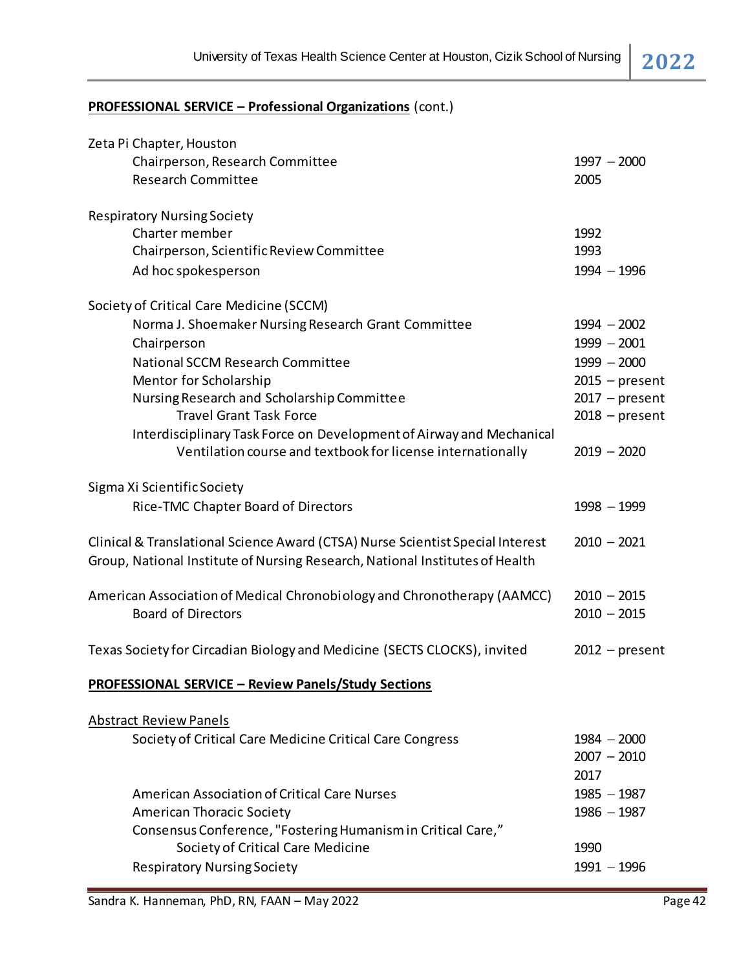# **PROFESSIONAL SERVICE – Professional Organizations** (cont.)

| Zeta Pi Chapter, Houston                                                       |                  |
|--------------------------------------------------------------------------------|------------------|
| Chairperson, Research Committee                                                | $1997 - 2000$    |
| <b>Research Committee</b>                                                      | 2005             |
|                                                                                |                  |
| <b>Respiratory Nursing Society</b>                                             |                  |
| Charter member                                                                 | 1992             |
| Chairperson, Scientific Review Committee                                       | 1993             |
| Ad hoc spokesperson                                                            | $1994 - 1996$    |
| Society of Critical Care Medicine (SCCM)                                       |                  |
| Norma J. Shoemaker Nursing Research Grant Committee                            | $1994 - 2002$    |
| Chairperson                                                                    | $1999 - 2001$    |
| National SCCM Research Committee                                               | $1999 - 2000$    |
| Mentor for Scholarship                                                         | $2015$ – present |
| Nursing Research and Scholarship Committee                                     | $2017$ – present |
| <b>Travel Grant Task Force</b>                                                 | $2018$ – present |
| Interdisciplinary Task Force on Development of Airway and Mechanical           |                  |
| Ventilation course and textbook for license internationally                    | $2019 - 2020$    |
| Sigma Xi Scientific Society                                                    |                  |
| Rice-TMC Chapter Board of Directors                                            | $1998 - 1999$    |
|                                                                                |                  |
| Clinical & Translational Science Award (CTSA) Nurse Scientist Special Interest | $2010 - 2021$    |
| Group, National Institute of Nursing Research, National Institutes of Health   |                  |
|                                                                                |                  |
| American Association of Medical Chronobiology and Chronotherapy (AAMCC)        | $2010 - 2015$    |
| <b>Board of Directors</b>                                                      | $2010 - 2015$    |
|                                                                                |                  |
| Texas Society for Circadian Biology and Medicine (SECTS CLOCKS), invited       | $2012$ – present |
| <b>PROFESSIONAL SERVICE - Review Panels/Study Sections</b>                     |                  |
| <b>Abstract Review Panels</b>                                                  |                  |
| Society of Critical Care Medicine Critical Care Congress                       | $1984 - 2000$    |
|                                                                                | $2007 - 2010$    |
|                                                                                | 2017             |
| <b>American Association of Critical Care Nurses</b>                            | $1985 - 1987$    |
|                                                                                |                  |
| <b>American Thoracic Society</b>                                               | $1986 - 1987$    |
| Consensus Conference, "Fostering Humanism in Critical Care,"                   |                  |
| Society of Critical Care Medicine                                              | 1990             |
| <b>Respiratory Nursing Society</b>                                             | $1991 - 1996$    |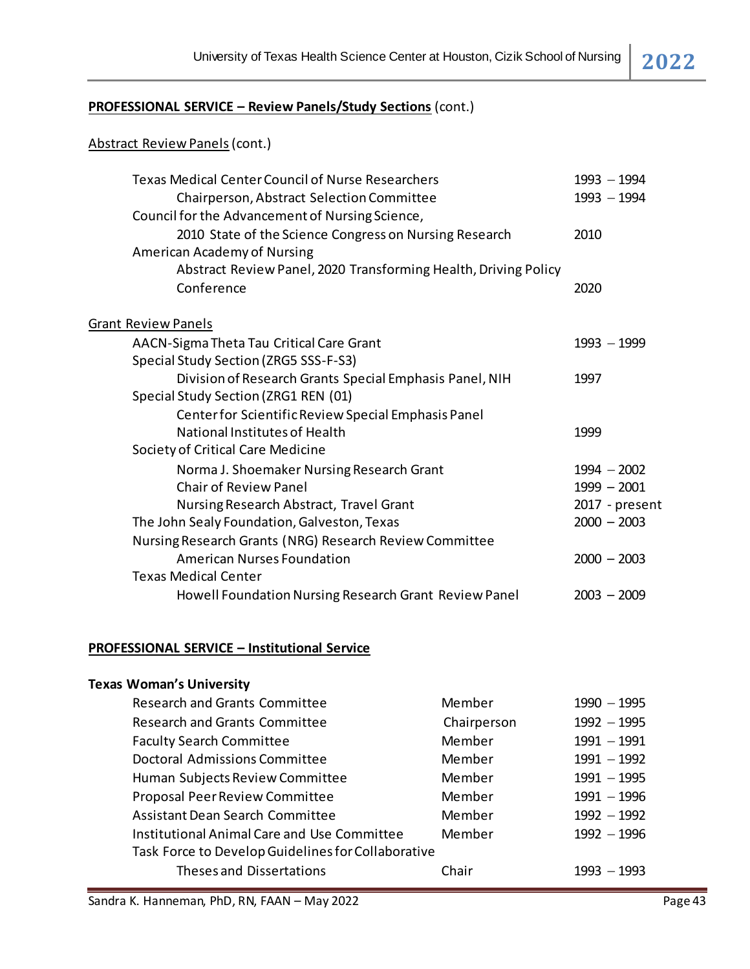### **PROFESSIONAL SERVICE – Review Panels/Study Sections** (cont.)

# Abstract Review Panels(cont.)

| <b>Texas Medical Center Council of Nurse Researchers</b>        |             | $1993 - 1994$       |
|-----------------------------------------------------------------|-------------|---------------------|
| Chairperson, Abstract Selection Committee                       |             | $1993 - 1994$       |
| Council for the Advancement of Nursing Science,                 |             |                     |
| 2010 State of the Science Congress on Nursing Research          |             | 2010                |
| American Academy of Nursing                                     |             |                     |
| Abstract Review Panel, 2020 Transforming Health, Driving Policy |             |                     |
| Conference                                                      |             | 2020                |
| <b>Grant Review Panels</b>                                      |             |                     |
| AACN-Sigma Theta Tau Critical Care Grant                        |             | $1993 - 1999$       |
| Special Study Section (ZRG5 SSS-F-S3)                           |             |                     |
| Division of Research Grants Special Emphasis Panel, NIH         |             | 1997                |
| Special Study Section (ZRG1 REN (01)                            |             |                     |
| Center for Scientific Review Special Emphasis Panel             |             |                     |
| National Institutes of Health                                   |             | 1999                |
| Society of Critical Care Medicine                               |             |                     |
| Norma J. Shoemaker Nursing Research Grant                       |             | $1994 - 2002$       |
| <b>Chair of Review Panel</b>                                    |             | $1999 - 2001$       |
| Nursing Research Abstract, Travel Grant                         |             | 2017 - present      |
| The John Sealy Foundation, Galveston, Texas                     |             | $2000 - 2003$       |
| Nursing Research Grants (NRG) Research Review Committee         |             |                     |
| <b>American Nurses Foundation</b>                               |             | $2000 - 2003$       |
| <b>Texas Medical Center</b>                                     |             |                     |
| Howell Foundation Nursing Research Grant Review Panel           |             | $2003 - 2009$       |
|                                                                 |             |                     |
| <b>PROFESSIONAL SERVICE - Institutional Service</b>             |             |                     |
| <b>Texas Woman's University</b>                                 |             |                     |
| <b>Research and Grants Committee</b>                            | Member      | $1990 - 1995$       |
| <b>Research and Grants Committee</b>                            | Chairperson | <u> 1992 — 1995</u> |
| <b>Faculty Search Committee</b>                                 | Member      | $1991 - 1991$       |
| <b>Doctoral Admissions Committee</b>                            | Member      | $1991 - 1992$       |
| Human Subjects Review Committee                                 | Member      | $1991 - 1995$       |
| <b>Proposal Peer Review Committee</b>                           | Member      | $1991 - 1996$       |
| <b>Assistant Dean Search Committee</b>                          | Member      | $1992 - 1992$       |
| <b>Institutional Animal Care and Use Committee</b>              | Member      | $1992 - 1996$       |
| Task Force to Develop Guidelines for Collaborative              |             |                     |
| Theses and Dissertations                                        | Chair       | $1993 - 1993$       |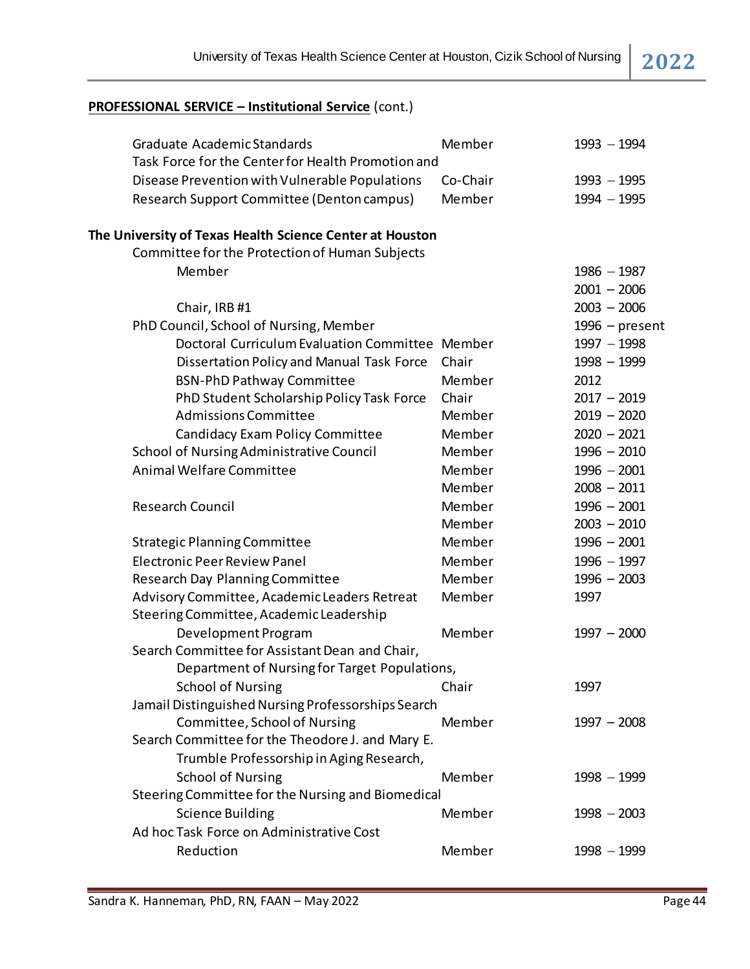| Graduate Academic Standards                              | Member   | $1993 - 1994$    |
|----------------------------------------------------------|----------|------------------|
| Task Force for the Center for Health Promotion and       |          |                  |
| Disease Prevention with Vulnerable Populations           | Co-Chair | $1993 - 1995$    |
| Research Support Committee (Denton campus)               | Member   | $1994 - 1995$    |
| The University of Texas Health Science Center at Houston |          |                  |
| Committee for the Protection of Human Subjects           |          |                  |
| Member                                                   |          | $1986 - 1987$    |
|                                                          |          | $2001 - 2006$    |
| Chair, IRB #1                                            |          | $2003 - 2006$    |
| PhD Council, School of Nursing, Member                   |          | $1996$ – present |
| Doctoral Curriculum Evaluation Committee Member          |          | $1997 - 1998$    |
| Dissertation Policy and Manual Task Force                | Chair    | $1998 - 1999$    |
| <b>BSN-PhD Pathway Committee</b>                         | Member   | 2012             |
| PhD Student Scholarship Policy Task Force                | Chair    | $2017 - 2019$    |
| <b>Admissions Committee</b>                              | Member   | $2019 - 2020$    |
| Candidacy Exam Policy Committee                          | Member   | $2020 - 2021$    |
| School of Nursing Administrative Council                 | Member   | $1996 - 2010$    |
| Animal Welfare Committee                                 | Member   | $1996 - 2001$    |
|                                                          | Member   | $2008 - 2011$    |
| <b>Research Council</b>                                  | Member   | $1996 - 2001$    |
|                                                          | Member   | $2003 - 2010$    |
| <b>Strategic Planning Committee</b>                      | Member   | $1996 - 2001$    |
| <b>Electronic Peer Review Panel</b>                      | Member   | $1996 - 1997$    |
| Research Day Planning Committee                          | Member   | $1996 - 2003$    |
| Advisory Committee, Academic Leaders Retreat             | Member   | 1997             |
| Steering Committee, Academic Leadership                  |          |                  |
| Development Program                                      | Member   | $1997 - 2000$    |
| Search Committee for Assistant Dean and Chair,           |          |                  |
| Department of Nursing for Target Populations,            |          |                  |
| <b>School of Nursing</b>                                 | Chair    | 1997             |
| Jamail Distinguished Nursing Professorships Search       |          |                  |
| Committee, School of Nursing                             | Member   | $1997 - 2008$    |
| Search Committee for the Theodore J. and Mary E.         |          |                  |
| Trumble Professorship in Aging Research,                 |          |                  |
| <b>School of Nursing</b>                                 | Member   | $1998 - 1999$    |
| Steering Committee for the Nursing and Biomedical        |          |                  |
| <b>Science Building</b>                                  | Member   | $1998 - 2003$    |
| Ad hoc Task Force on Administrative Cost                 |          |                  |
| Reduction                                                | Member   | $1998 - 1999$    |
|                                                          |          |                  |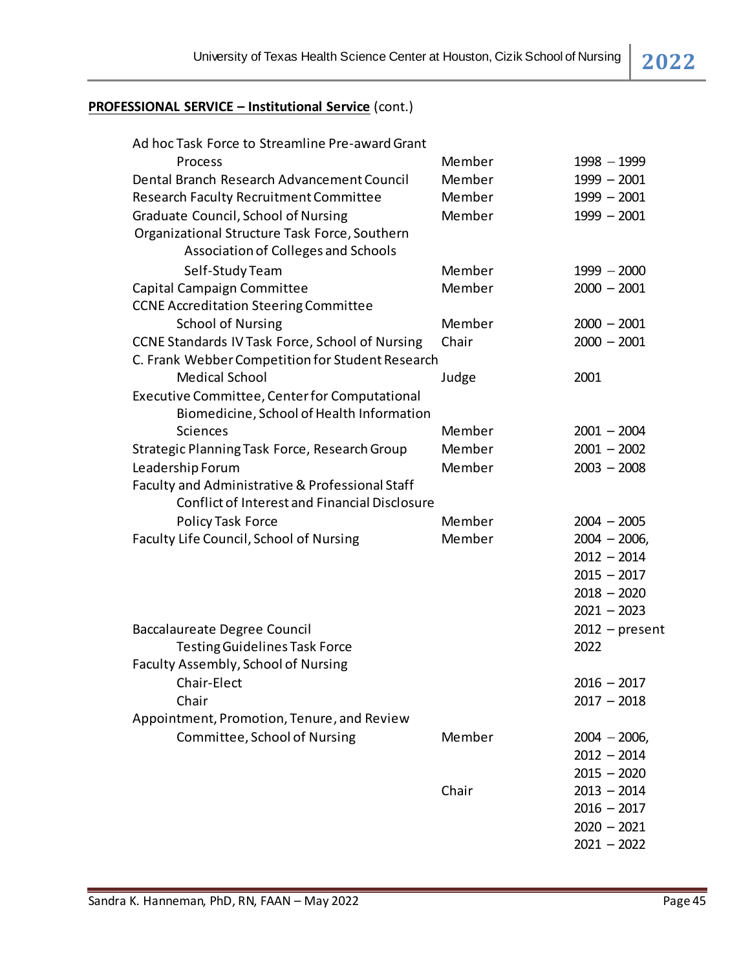| Ad hoc Task Force to Streamline Pre-award Grant  |        |                  |
|--------------------------------------------------|--------|------------------|
| Process                                          | Member | $1998 - 1999$    |
| Dental Branch Research Advancement Council       | Member | $1999 - 2001$    |
| <b>Research Faculty Recruitment Committee</b>    | Member | $1999 - 2001$    |
| Graduate Council, School of Nursing              | Member | $1999 - 2001$    |
| Organizational Structure Task Force, Southern    |        |                  |
| Association of Colleges and Schools              |        |                  |
| Self-Study Team                                  | Member | $1999 - 2000$    |
| Capital Campaign Committee                       | Member | $2000 - 2001$    |
| <b>CCNE Accreditation Steering Committee</b>     |        |                  |
| <b>School of Nursing</b>                         | Member | $2000 - 2001$    |
| CCNE Standards IV Task Force, School of Nursing  | Chair  | $2000 - 2001$    |
| C. Frank Webber Competition for Student Research |        |                  |
| <b>Medical School</b>                            | Judge  | 2001             |
| Executive Committee, Center for Computational    |        |                  |
| Biomedicine, School of Health Information        |        |                  |
| Sciences                                         | Member | $2001 - 2004$    |
| Strategic Planning Task Force, Research Group    | Member | $2001 - 2002$    |
| Leadership Forum                                 | Member | $2003 - 2008$    |
| Faculty and Administrative & Professional Staff  |        |                  |
| Conflict of Interest and Financial Disclosure    |        |                  |
| Policy Task Force                                | Member | $2004 - 2005$    |
| Faculty Life Council, School of Nursing          | Member | $2004 - 2006$    |
|                                                  |        | $2012 - 2014$    |
|                                                  |        | $2015 - 2017$    |
|                                                  |        | $2018 - 2020$    |
|                                                  |        | $2021 - 2023$    |
| <b>Baccalaureate Degree Council</b>              |        | $2012$ – present |
| <b>Testing Guidelines Task Force</b>             |        | 2022             |
| Faculty Assembly, School of Nursing              |        |                  |
| Chair-Elect                                      |        | $2016 - 2017$    |
| Chair                                            |        | $2017 - 2018$    |
| Appointment, Promotion, Tenure, and Review       |        |                  |
| Committee, School of Nursing                     | Member | $2004 - 2006$    |
|                                                  |        | $2012 - 2014$    |
|                                                  |        | $2015 - 2020$    |
|                                                  | Chair  | $2013 - 2014$    |
|                                                  |        | $2016 - 2017$    |
|                                                  |        | $2020 - 2021$    |
|                                                  |        | $2021 - 2022$    |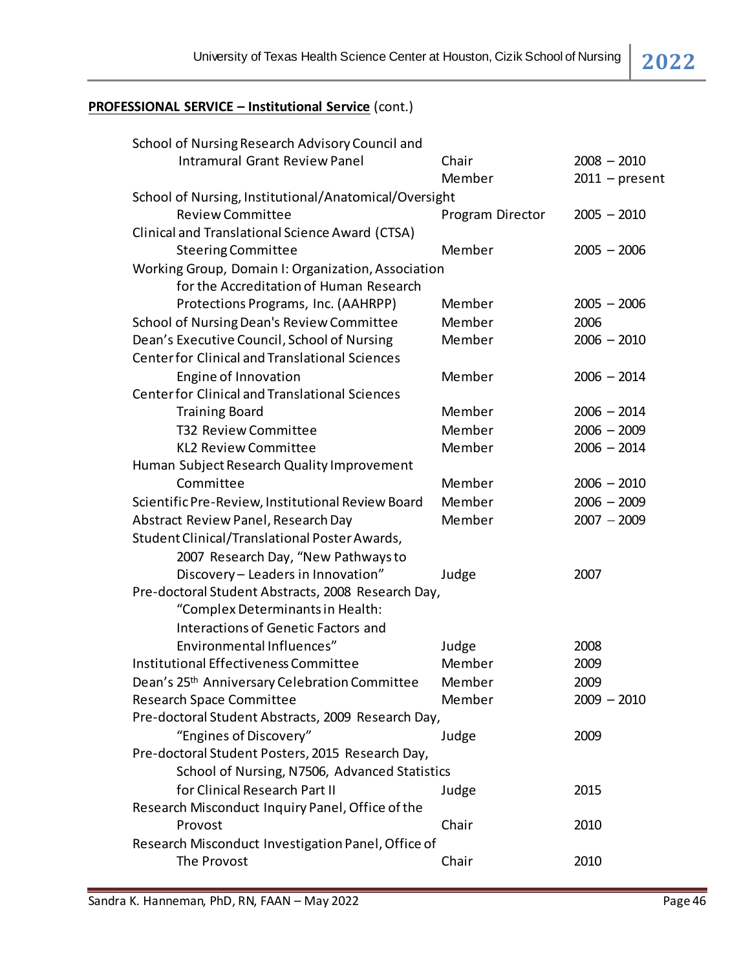| School of Nursing Research Advisory Council and       |                  |                  |  |
|-------------------------------------------------------|------------------|------------------|--|
| <b>Intramural Grant Review Panel</b>                  | Chair            | $2008 - 2010$    |  |
|                                                       | Member           | $2011$ – present |  |
| School of Nursing, Institutional/Anatomical/Oversight |                  |                  |  |
| <b>Review Committee</b>                               | Program Director | $2005 - 2010$    |  |
| Clinical and Translational Science Award (CTSA)       |                  |                  |  |
| <b>Steering Committee</b>                             | Member           | $2005 - 2006$    |  |
| Working Group, Domain I: Organization, Association    |                  |                  |  |
| for the Accreditation of Human Research               |                  |                  |  |
| Protections Programs, Inc. (AAHRPP)                   | Member           | $2005 - 2006$    |  |
| School of Nursing Dean's Review Committee             | Member           | 2006             |  |
| Dean's Executive Council, School of Nursing           | Member           | $2006 - 2010$    |  |
| <b>Center for Clinical and Translational Sciences</b> |                  |                  |  |
| Engine of Innovation                                  | Member           | $2006 - 2014$    |  |
| <b>Center for Clinical and Translational Sciences</b> |                  |                  |  |
| <b>Training Board</b>                                 | Member           | $2006 - 2014$    |  |
| T32 Review Committee                                  | Member           | $2006 - 2009$    |  |
| <b>KL2 Review Committee</b>                           | Member           | $2006 - 2014$    |  |
| Human Subject Research Quality Improvement            |                  |                  |  |
| Committee                                             | Member           | $2006 - 2010$    |  |
| Scientific Pre-Review, Institutional Review Board     | Member           | $2006 - 2009$    |  |
| Abstract Review Panel, Research Day                   | Member           | $2007 - 2009$    |  |
| Student Clinical/Translational Poster Awards,         |                  |                  |  |
| 2007 Research Day, "New Pathways to                   |                  |                  |  |
| Discovery - Leaders in Innovation"                    | Judge            | 2007             |  |
| Pre-doctoral Student Abstracts, 2008 Research Day,    |                  |                  |  |
| "Complex Determinants in Health:                      |                  |                  |  |
| <b>Interactions of Genetic Factors and</b>            |                  |                  |  |
| Environmental Influences"                             | Judge            | 2008             |  |
| Institutional Effectiveness Committee                 | Member           | 2009             |  |
| Dean's 25th Anniversary Celebration Committee         | Member           | 2009             |  |
| Research Space Committee                              | Member           | $2009 - 2010$    |  |
| Pre-doctoral Student Abstracts, 2009 Research Day,    |                  |                  |  |
| "Engines of Discovery"                                | Judge            | 2009             |  |
| Pre-doctoral Student Posters, 2015 Research Day,      |                  |                  |  |
| School of Nursing, N7506, Advanced Statistics         |                  |                  |  |
| for Clinical Research Part II                         | Judge            | 2015             |  |
| Research Misconduct Inquiry Panel, Office of the      |                  |                  |  |
| Provost                                               | Chair            | 2010             |  |
| Research Misconduct Investigation Panel, Office of    |                  |                  |  |
| The Provost                                           | Chair            | 2010             |  |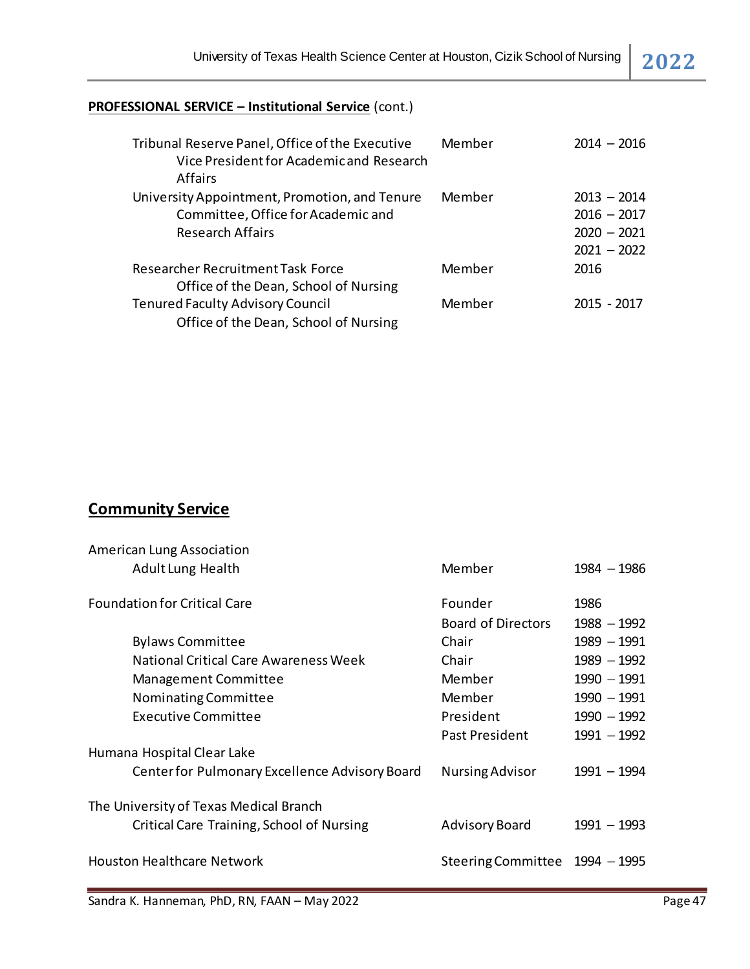| Tribunal Reserve Panel, Office of the Executive<br>Vice President for Academic and Research<br><b>Affairs</b>  | Member | $2014 - 2016$                                                    |
|----------------------------------------------------------------------------------------------------------------|--------|------------------------------------------------------------------|
| University Appointment, Promotion, and Tenure<br>Committee, Office for Academic and<br><b>Research Affairs</b> | Member | $2013 - 2014$<br>$2016 - 2017$<br>$2020 - 2021$<br>$2021 - 2022$ |
| Researcher Recruitment Task Force<br>Office of the Dean, School of Nursing                                     | Member | 2016                                                             |
| <b>Tenured Faculty Advisory Council</b><br>Office of the Dean, School of Nursing                               | Member | $2015 - 2017$                                                    |

# **Community Service**

| <b>American Lung Association</b>               |                                |               |
|------------------------------------------------|--------------------------------|---------------|
| <b>Adult Lung Health</b>                       | Member                         | $1984 - 1986$ |
| <b>Foundation for Critical Care</b>            | Founder                        | 1986          |
|                                                | <b>Board of Directors</b>      | $1988 - 1992$ |
| <b>Bylaws Committee</b>                        | Chair                          | $1989 - 1991$ |
| National Critical Care Awareness Week          | Chair                          | $1989 - 1992$ |
| Management Committee                           | Member                         | $1990 - 1991$ |
| Nominating Committee                           | Member                         | $1990 - 1991$ |
| <b>Executive Committee</b>                     | President                      | $1990 - 1992$ |
|                                                | Past President                 | $1991 - 1992$ |
| Humana Hospital Clear Lake                     |                                |               |
| Center for Pulmonary Excellence Advisory Board | <b>Nursing Advisor</b>         | 1991 - 1994   |
| The University of Texas Medical Branch         |                                |               |
| Critical Care Training, School of Nursing      | <b>Advisory Board</b>          | $1991 - 1993$ |
| <b>Houston Healthcare Network</b>              | Steering Committee 1994 - 1995 |               |

Sandra K. Hanneman, PhD, RN, FAAN – May 2022 **Page 47** Page 47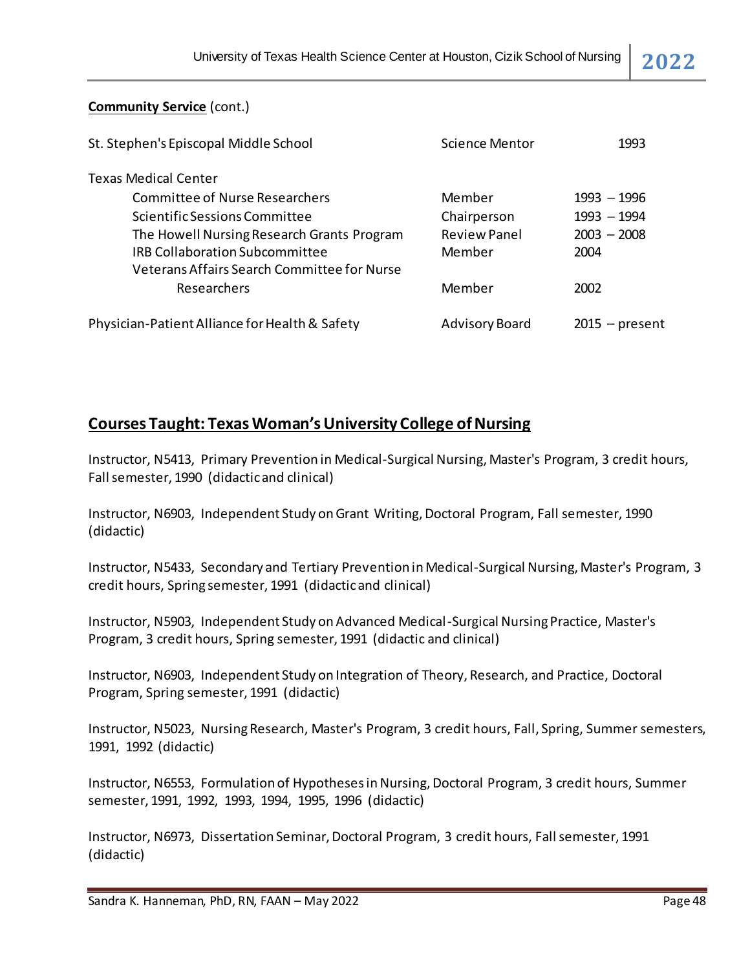### **Community Service** (cont.)

| St. Stephen's Episcopal Middle School          | Science Mentor        | 1993             |
|------------------------------------------------|-----------------------|------------------|
| <b>Texas Medical Center</b>                    |                       |                  |
| Committee of Nurse Researchers                 | Member                | $1993 - 1996$    |
| Scientific Sessions Committee                  | Chairperson           | $1993 - 1994$    |
| The Howell Nursing Research Grants Program     | <b>Review Panel</b>   | $2003 - 2008$    |
| <b>IRB Collaboration Subcommittee</b>          | Member                | 2004             |
| Veterans Affairs Search Committee for Nurse    |                       |                  |
| Researchers                                    | Member                | 2002             |
| Physician-Patient Alliance for Health & Safety | <b>Advisory Board</b> | $2015$ – present |

# **Courses Taught: Texas Woman's University College of Nursing**

Instructor, N5413, Primary Prevention in Medical-Surgical Nursing, Master's Program, 3 credit hours, Fall semester, 1990 (didactic and clinical)

Instructor, N6903, Independent Study on Grant Writing, Doctoral Program, Fall semester, 1990 (didactic)

Instructor, N5433, Secondary and Tertiary Prevention in Medical-Surgical Nursing, Master's Program, 3 credit hours, Spring semester, 1991 (didactic and clinical)

Instructor, N5903, Independent Study on Advanced Medical-Surgical Nursing Practice, Master's Program, 3 credit hours, Spring semester, 1991 (didactic and clinical)

Instructor, N6903, Independent Study on Integration of Theory, Research, and Practice, Doctoral Program, Spring semester, 1991 (didactic)

Instructor, N5023, Nursing Research, Master's Program, 3 credit hours, Fall, Spring, Summer semesters, 1991, 1992 (didactic)

Instructor, N6553, Formulation of Hypotheses in Nursing, Doctoral Program, 3 credit hours, Summer semester, 1991, 1992, 1993, 1994, 1995, 1996 (didactic)

Instructor, N6973, Dissertation Seminar, Doctoral Program, 3 credit hours, Fall semester, 1991 (didactic)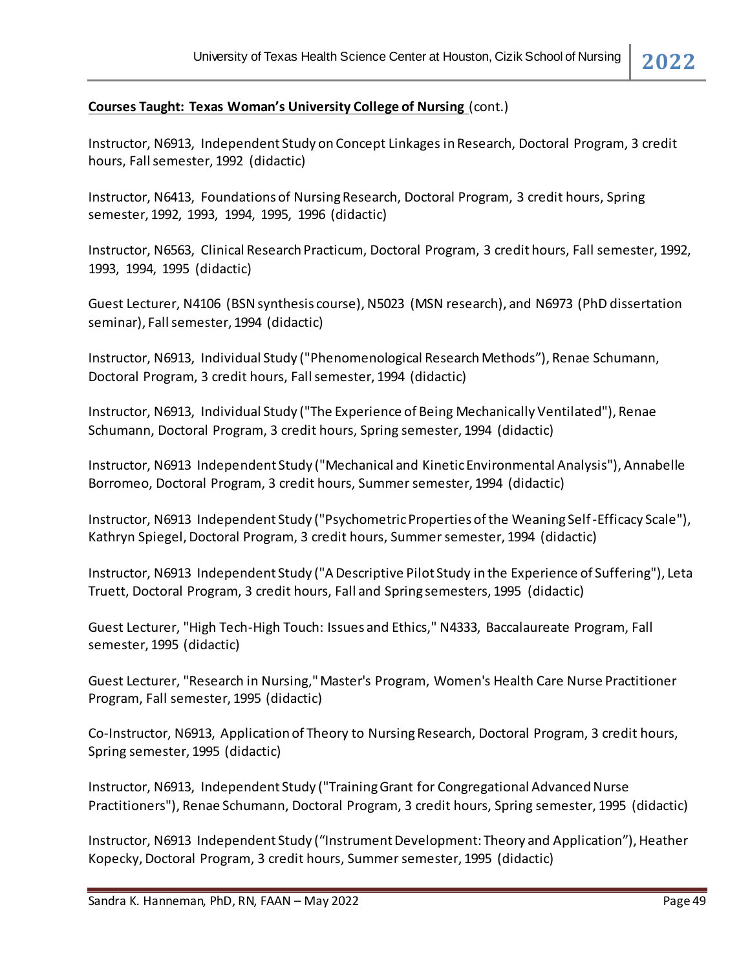#### **Courses Taught: Texas Woman's University College of Nursing** (cont.)

Instructor, N6913, Independent Study on Concept Linkages in Research, Doctoral Program, 3 credit hours, Fall semester, 1992 (didactic)

Instructor, N6413, Foundations of Nursing Research, Doctoral Program, 3 credit hours, Spring semester, 1992, 1993, 1994, 1995, 1996 (didactic)

Instructor, N6563, Clinical Research Practicum, Doctoral Program, 3 credit hours, Fall semester, 1992, 1993, 1994, 1995 (didactic)

Guest Lecturer, N4106 (BSN synthesis course), N5023 (MSN research), and N6973 (PhD dissertation seminar), Fall semester, 1994 (didactic)

Instructor, N6913, Individual Study ("Phenomenological Research Methods"), Renae Schumann, Doctoral Program, 3 credit hours, Fall semester, 1994 (didactic)

Instructor, N6913, Individual Study ("The Experience of Being Mechanically Ventilated"), Renae Schumann, Doctoral Program, 3 credit hours, Spring semester, 1994 (didactic)

Instructor, N6913 Independent Study ("Mechanical and Kinetic Environmental Analysis"), Annabelle Borromeo, Doctoral Program, 3 credit hours, Summer semester, 1994 (didactic)

Instructor, N6913 Independent Study ("Psychometric Properties of the Weaning Self-Efficacy Scale"), Kathryn Spiegel, Doctoral Program, 3 credit hours, Summer semester, 1994 (didactic)

Instructor, N6913 Independent Study ("A Descriptive Pilot Study in the Experience of Suffering"), Leta Truett, Doctoral Program, 3 credit hours, Fall and Spring semesters, 1995 (didactic)

Guest Lecturer, "High Tech-High Touch: Issues and Ethics," N4333, Baccalaureate Program, Fall semester, 1995 (didactic)

Guest Lecturer, "Research in Nursing," Master's Program, Women's Health Care Nurse Practitioner Program, Fall semester, 1995 (didactic)

Co-Instructor, N6913, Application of Theory to Nursing Research, Doctoral Program, 3 credit hours, Spring semester, 1995 (didactic)

Instructor, N6913, Independent Study ("Training Grant for Congregational Advanced Nurse Practitioners"), Renae Schumann, Doctoral Program, 3 credit hours, Spring semester, 1995 (didactic)

Instructor, N6913 Independent Study ("Instrument Development: Theory and Application"), Heather Kopecky, Doctoral Program, 3 credit hours, Summer semester, 1995 (didactic)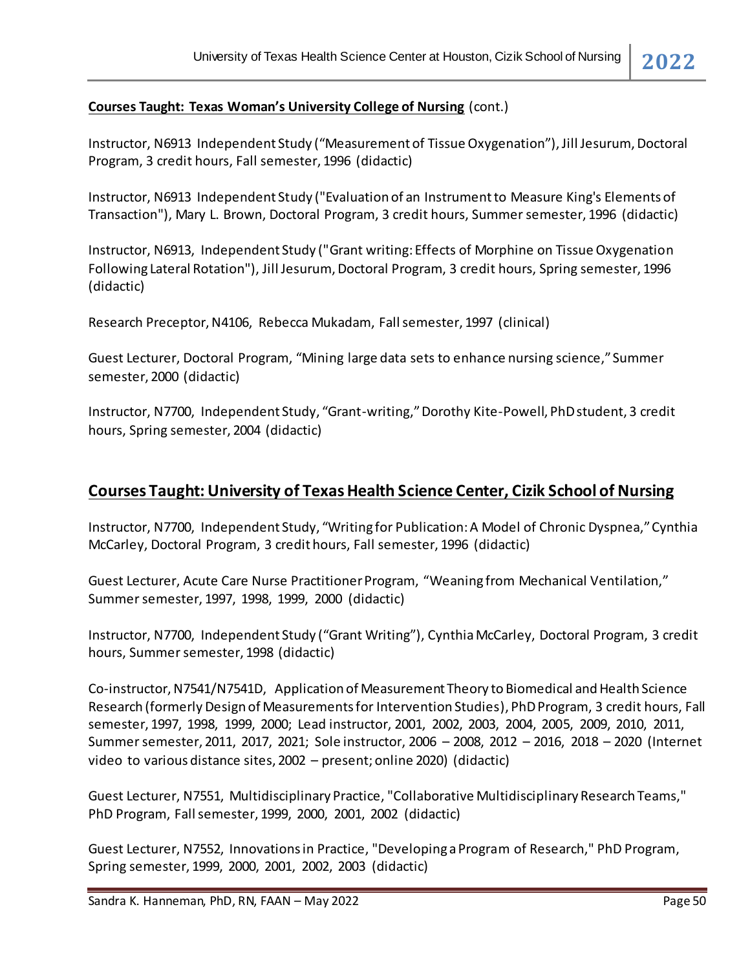#### **Courses Taught: Texas Woman's University College of Nursing** (cont.)

Instructor, N6913 Independent Study ("Measurement of Tissue Oxygenation"), Jill Jesurum, Doctoral Program, 3 credit hours, Fall semester, 1996 (didactic)

Instructor, N6913 Independent Study ("Evaluation of an Instrument to Measure King's Elements of Transaction"), Mary L. Brown, Doctoral Program, 3 credit hours, Summer semester, 1996 (didactic)

Instructor, N6913, Independent Study ("Grant writing: Effects of Morphine on Tissue Oxygenation Following Lateral Rotation"), Jill Jesurum, Doctoral Program, 3 credit hours, Spring semester, 1996 (didactic)

Research Preceptor, N4106, Rebecca Mukadam, Fall semester, 1997 (clinical)

Guest Lecturer, Doctoral Program, "Mining large data sets to enhance nursing science," Summer semester, 2000 (didactic)

Instructor, N7700, Independent Study, "Grant-writing," Dorothy Kite-Powell, PhD student, 3 credit hours, Spring semester, 2004 (didactic)

# **Courses Taught: University of Texas Health Science Center, Cizik School of Nursing**

Instructor, N7700, Independent Study, "Writing for Publication: A Model of Chronic Dyspnea," Cynthia McCarley, Doctoral Program, 3 credit hours, Fall semester, 1996 (didactic)

Guest Lecturer, Acute Care Nurse Practitioner Program, "Weaning from Mechanical Ventilation," Summer semester, 1997, 1998, 1999, 2000 (didactic)

Instructor, N7700, Independent Study ("Grant Writing"), Cynthia McCarley, Doctoral Program, 3 credit hours, Summer semester, 1998 (didactic)

Co-instructor, N7541/N7541D, Application of Measurement Theory to Biomedical and Health Science Research (formerly Design of Measurements for Intervention Studies), PhDProgram, 3 credit hours, Fall semester, 1997, 1998, 1999, 2000; Lead instructor, 2001, 2002, 2003, 2004, 2005, 2009, 2010, 2011, Summer semester, 2011, 2017, 2021; Sole instructor, 2006 – 2008, 2012 – 2016, 2018 – 2020 (Internet video to various distance sites, 2002 – present; online 2020) (didactic)

Guest Lecturer, N7551, Multidisciplinary Practice, "Collaborative Multidisciplinary Research Teams," PhD Program, Fall semester, 1999, 2000, 2001, 2002 (didactic)

Guest Lecturer, N7552, Innovations in Practice, "Developing a Program of Research," PhD Program, Spring semester, 1999, 2000, 2001, 2002, 2003 (didactic)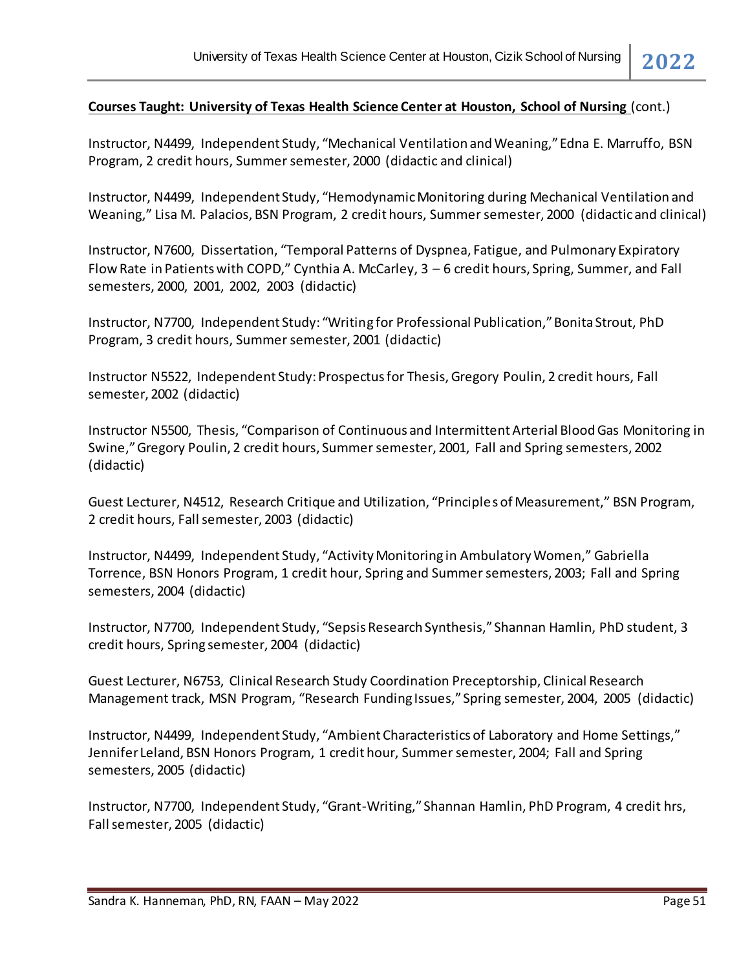Instructor, N4499, Independent Study, "Mechanical Ventilation and Weaning," Edna E. Marruffo, BSN Program, 2 credit hours, Summer semester, 2000 (didactic and clinical)

Instructor, N4499, Independent Study, "Hemodynamic Monitoring during Mechanical Ventilation and Weaning," Lisa M. Palacios, BSN Program, 2 credit hours, Summer semester, 2000 (didactic and clinical)

Instructor, N7600, Dissertation, "Temporal Patterns of Dyspnea, Fatigue, and Pulmonary Expiratory Flow Rate in Patients with COPD," Cynthia A. McCarley, 3 – 6 credit hours, Spring, Summer, and Fall semesters, 2000, 2001, 2002, 2003 (didactic)

Instructor, N7700, Independent Study: "Writing for Professional Publication," Bonita Strout, PhD Program, 3 credit hours, Summer semester, 2001 (didactic)

Instructor N5522, Independent Study: Prospectus for Thesis, Gregory Poulin, 2 credit hours, Fall semester, 2002 (didactic)

Instructor N5500, Thesis, "Comparison of Continuous and Intermittent Arterial Blood Gas Monitoring in Swine," Gregory Poulin, 2 credit hours, Summer semester, 2001, Fall and Spring semesters, 2002 (didactic)

Guest Lecturer, N4512, Research Critique and Utilization, "Principles of Measurement," BSN Program, 2 credit hours, Fall semester, 2003 (didactic)

Instructor, N4499, Independent Study, "Activity Monitoring in Ambulatory Women," Gabriella Torrence, BSN Honors Program, 1 credit hour, Spring and Summer semesters, 2003; Fall and Spring semesters, 2004 (didactic)

Instructor, N7700, Independent Study, "Sepsis Research Synthesis," Shannan Hamlin, PhD student, 3 credit hours, Spring semester, 2004 (didactic)

Guest Lecturer, N6753, Clinical Research Study Coordination Preceptorship, Clinical Research Management track, MSN Program, "Research Funding Issues," Spring semester, 2004, 2005 (didactic)

Instructor, N4499, Independent Study, "Ambient Characteristics of Laboratory and Home Settings," Jennifer Leland, BSN Honors Program, 1 credit hour, Summer semester, 2004; Fall and Spring semesters, 2005 (didactic)

Instructor, N7700, Independent Study, "Grant-Writing," Shannan Hamlin, PhD Program, 4 credit hrs, Fall semester, 2005 (didactic)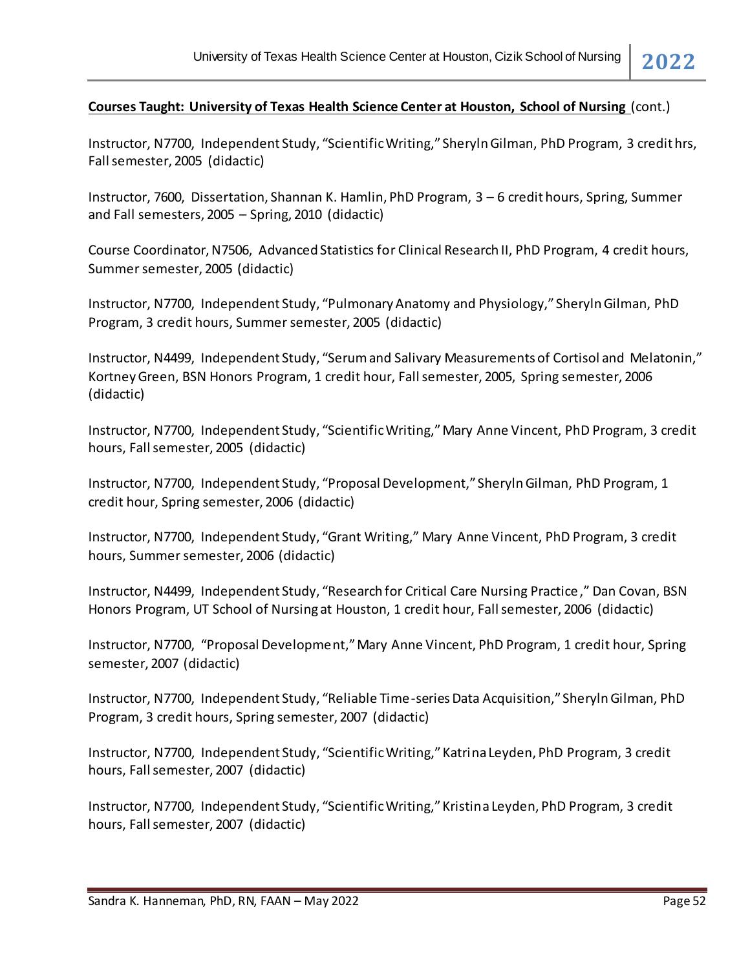Instructor, N7700, Independent Study, "Scientific Writing," Sheryln Gilman, PhD Program, 3 credit hrs, Fall semester, 2005 (didactic)

Instructor, 7600, Dissertation, Shannan K. Hamlin, PhD Program, 3 – 6 credit hours, Spring, Summer and Fall semesters, 2005 – Spring, 2010 (didactic)

Course Coordinator, N7506, Advanced Statistics for Clinical Research II, PhD Program, 4 credit hours, Summer semester, 2005 (didactic)

Instructor, N7700, Independent Study, "Pulmonary Anatomy and Physiology," Sheryln Gilman, PhD Program, 3 credit hours, Summer semester, 2005 (didactic)

Instructor, N4499, Independent Study, "Serum and Salivary Measurements of Cortisol and Melatonin," Kortney Green, BSN Honors Program, 1 credit hour, Fall semester, 2005, Spring semester, 2006 (didactic)

Instructor, N7700, Independent Study, "Scientific Writing," Mary Anne Vincent, PhD Program, 3 credit hours, Fall semester, 2005 (didactic)

Instructor, N7700, Independent Study, "Proposal Development," Sheryln Gilman, PhD Program, 1 credit hour, Spring semester, 2006 (didactic)

Instructor, N7700, Independent Study, "Grant Writing," Mary Anne Vincent, PhD Program, 3 credit hours, Summer semester, 2006 (didactic)

Instructor, N4499, Independent Study, "Research for Critical Care Nursing Practice," Dan Covan, BSN Honors Program, UT School of Nursing at Houston, 1 credit hour, Fall semester, 2006 (didactic)

Instructor, N7700, "Proposal Development," Mary Anne Vincent, PhD Program, 1 credit hour, Spring semester, 2007 (didactic)

Instructor, N7700, Independent Study, "Reliable Time-series Data Acquisition," Sheryln Gilman, PhD Program, 3 credit hours, Spring semester, 2007 (didactic)

Instructor, N7700, Independent Study, "Scientific Writing," Katrina Leyden, PhD Program, 3 credit hours, Fall semester, 2007 (didactic)

Instructor, N7700, Independent Study, "Scientific Writing," Kristina Leyden, PhD Program, 3 credit hours, Fall semester, 2007 (didactic)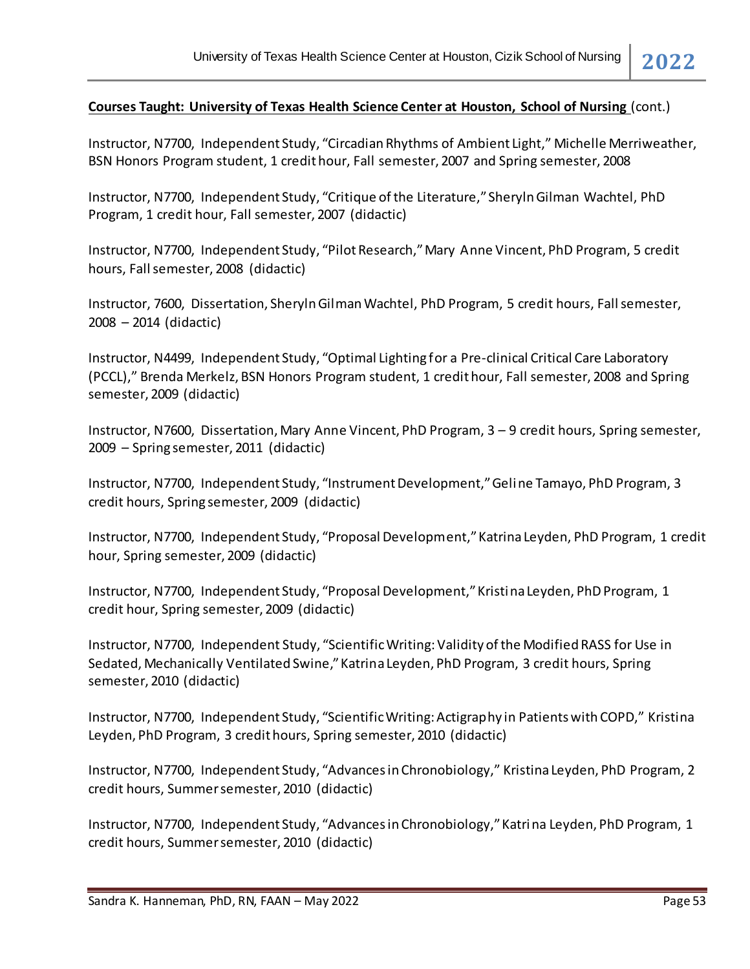Instructor, N7700, Independent Study, "Circadian Rhythms of Ambient Light," Michelle Merriweather, BSN Honors Program student, 1 credit hour, Fall semester, 2007 and Spring semester, 2008

Instructor, N7700, Independent Study, "Critique of the Literature," Sheryln Gilman Wachtel, PhD Program, 1 credit hour, Fall semester, 2007 (didactic)

Instructor, N7700, Independent Study, "Pilot Research," Mary Anne Vincent, PhD Program, 5 credit hours, Fall semester, 2008 (didactic)

Instructor, 7600, Dissertation, Sheryln Gilman Wachtel, PhD Program, 5 credit hours, Fall semester, 2008 – 2014 (didactic)

Instructor, N4499, Independent Study, "Optimal Lighting for a Pre-clinical Critical Care Laboratory (PCCL)," Brenda Merkelz, BSN Honors Program student, 1 credit hour, Fall semester, 2008 and Spring semester, 2009 (didactic)

Instructor, N7600, Dissertation, Mary Anne Vincent, PhD Program, 3 – 9 credit hours, Spring semester, 2009 – Spring semester, 2011 (didactic)

Instructor, N7700, Independent Study, "Instrument Development," Geline Tamayo, PhD Program, 3 credit hours, Spring semester, 2009 (didactic)

Instructor, N7700, Independent Study, "Proposal Development," Katrina Leyden, PhD Program, 1 credit hour, Spring semester, 2009 (didactic)

Instructor, N7700, Independent Study, "Proposal Development," Kristina Leyden, PhD Program, 1 credit hour, Spring semester, 2009 (didactic)

Instructor, N7700, Independent Study, "Scientific Writing: Validity of the Modified RASS for Use in Sedated, Mechanically Ventilated Swine," Katrina Leyden, PhD Program, 3 credit hours, Spring semester, 2010 (didactic)

Instructor, N7700, Independent Study, "Scientific Writing: Actigraphy in Patients with COPD," Kristina Leyden, PhD Program, 3 credit hours, Spring semester, 2010 (didactic)

Instructor, N7700, Independent Study, "Advances in Chronobiology," Kristina Leyden, PhD Program, 2 credit hours, Summer semester, 2010 (didactic)

Instructor, N7700, Independent Study, "Advances in Chronobiology," Katrina Leyden, PhD Program, 1 credit hours, Summer semester, 2010 (didactic)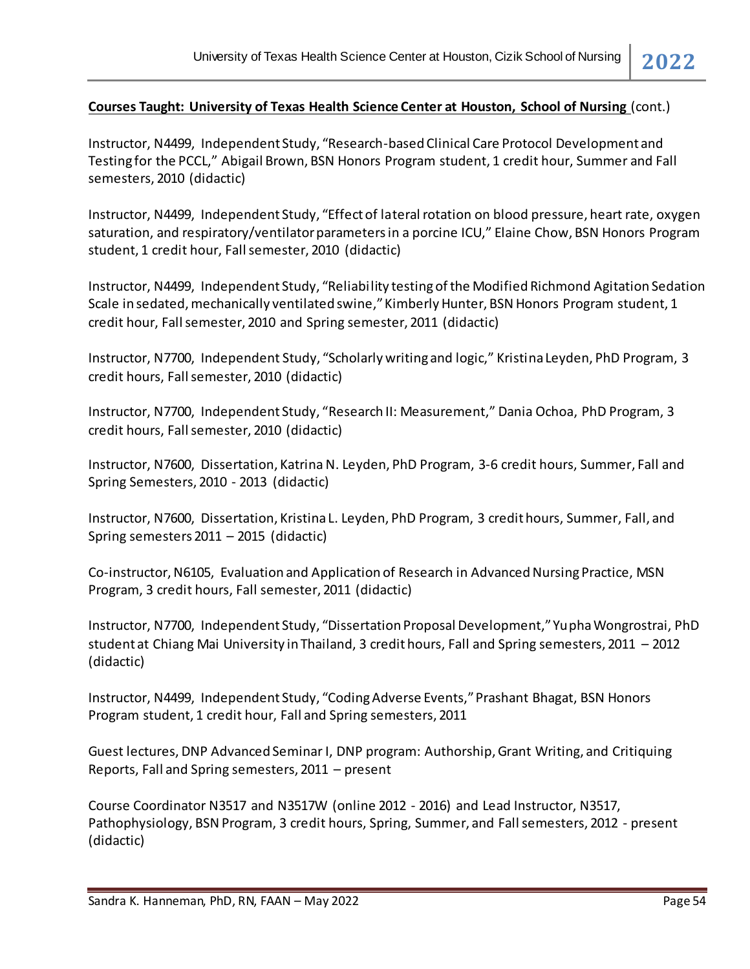Instructor, N4499, Independent Study, "Research-based Clinical Care Protocol Development and Testing for the PCCL," Abigail Brown, BSN Honors Program student, 1 credit hour, Summer and Fall semesters, 2010 (didactic)

Instructor, N4499, Independent Study, "Effect of lateral rotation on blood pressure, heart rate, oxygen saturation, and respiratory/ventilator parameters in a porcine ICU," Elaine Chow, BSN Honors Program student, 1 credit hour, Fall semester, 2010 (didactic)

Instructor, N4499, Independent Study, "Reliability testing of the Modified Richmond Agitation Sedation Scale in sedated, mechanically ventilated swine," Kimberly Hunter, BSN Honors Program student, 1 credit hour, Fall semester, 2010 and Spring semester, 2011 (didactic)

Instructor, N7700, Independent Study, "Scholarly writing and logic," Kristina Leyden, PhD Program, 3 credit hours, Fall semester, 2010 (didactic)

Instructor, N7700, Independent Study, "Research II: Measurement," Dania Ochoa, PhD Program, 3 credit hours, Fall semester, 2010 (didactic)

Instructor, N7600, Dissertation, Katrina N. Leyden, PhD Program, 3-6 credit hours, Summer, Fall and Spring Semesters, 2010 - 2013 (didactic)

Instructor, N7600, Dissertation, Kristina L. Leyden, PhD Program, 3 credit hours, Summer, Fall, and Spring semesters 2011 – 2015 (didactic)

Co-instructor, N6105, Evaluation and Application of Research in Advanced Nursing Practice, MSN Program, 3 credit hours, Fall semester, 2011 (didactic)

Instructor, N7700, Independent Study, "Dissertation Proposal Development," Yupha Wongrostrai, PhD student at Chiang Mai University in Thailand, 3 credit hours, Fall and Spring semesters, 2011 – 2012 (didactic)

Instructor, N4499, Independent Study, "Coding Adverse Events," Prashant Bhagat, BSN Honors Program student, 1 credit hour, Fall and Spring semesters, 2011

Guest lectures, DNP Advanced Seminar I, DNP program: Authorship, Grant Writing, and Critiquing Reports, Fall and Spring semesters, 2011 – present

Course Coordinator N3517 and N3517W (online 2012 - 2016) and Lead Instructor, N3517, Pathophysiology, BSN Program, 3 credit hours, Spring, Summer, and Fallsemesters, 2012 - present (didactic)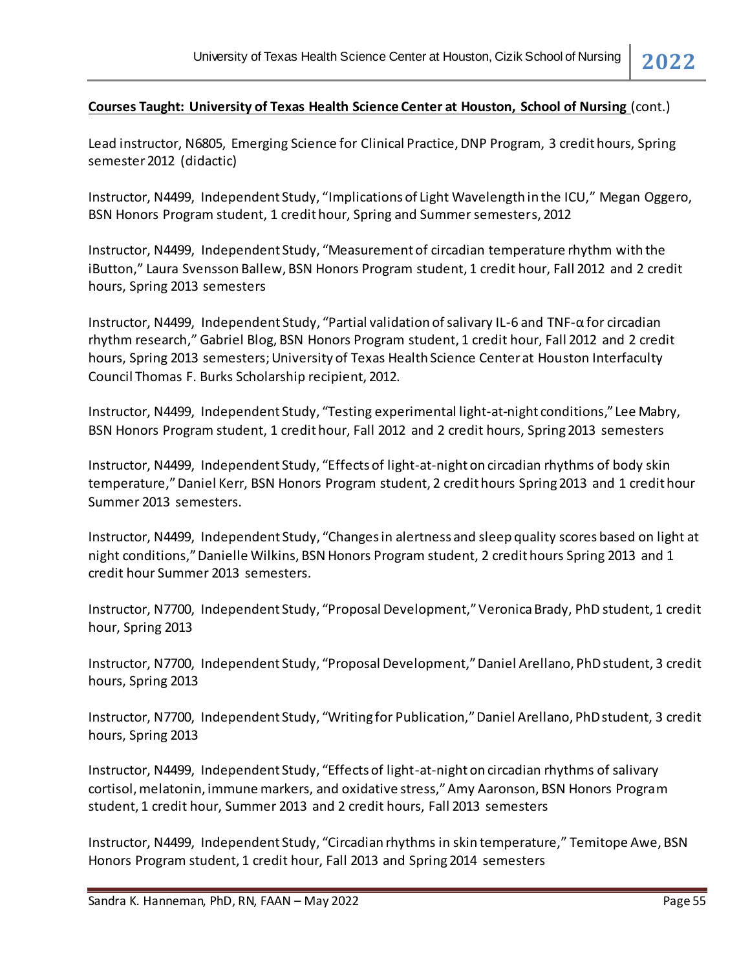Lead instructor, N6805, Emerging Science for Clinical Practice, DNP Program, 3 credit hours, Spring semester 2012 (didactic)

Instructor, N4499, Independent Study, "Implications of Light Wavelength in the ICU," Megan Oggero, BSN Honors Program student, 1 credit hour, Spring and Summer semesters, 2012

Instructor, N4499, Independent Study, "Measurement of circadian temperature rhythm with the iButton," Laura Svensson Ballew, BSN Honors Program student, 1 credit hour, Fall 2012 and 2 credit hours, Spring 2013 semesters

Instructor, N4499, Independent Study, "Partial validation of salivary IL-6 and TNF-α for circadian rhythm research," Gabriel Blog, BSN Honors Program student, 1 credit hour, Fall 2012 and 2 credit hours, Spring 2013 semesters; University of Texas Health Science Center at Houston Interfaculty Council Thomas F. Burks Scholarship recipient, 2012.

Instructor, N4499, Independent Study, "Testing experimental light-at-night conditions," Lee Mabry, BSN Honors Program student, 1 credit hour, Fall 2012 and 2 credit hours, Spring 2013 semesters

Instructor, N4499, Independent Study, "Effects of light-at-night on circadian rhythms of body skin temperature," Daniel Kerr, BSN Honors Program student, 2 credit hours Spring 2013 and 1 credit hour Summer 2013 semesters.

Instructor, N4499, Independent Study, "Changes in alertness and sleep quality scores based on light at night conditions," Danielle Wilkins, BSN Honors Program student, 2 credit hours Spring 2013 and 1 credit hour Summer 2013 semesters.

Instructor, N7700, Independent Study, "Proposal Development," Veronica Brady, PhD student, 1 credit hour, Spring 2013

Instructor, N7700, Independent Study, "Proposal Development," Daniel Arellano, PhD student, 3 credit hours, Spring 2013

Instructor, N7700, Independent Study, "Writing for Publication," Daniel Arellano, PhD student, 3 credit hours, Spring 2013

Instructor, N4499, Independent Study, "Effects of light-at-night on circadian rhythms of salivary cortisol, melatonin, immune markers, and oxidative stress," Amy Aaronson, BSN Honors Program student, 1 credit hour, Summer 2013 and 2 credit hours, Fall 2013 semesters

Instructor, N4499, Independent Study, "Circadian rhythms in skin temperature," Temitope Awe, BSN Honors Program student, 1 credit hour, Fall 2013 and Spring 2014 semesters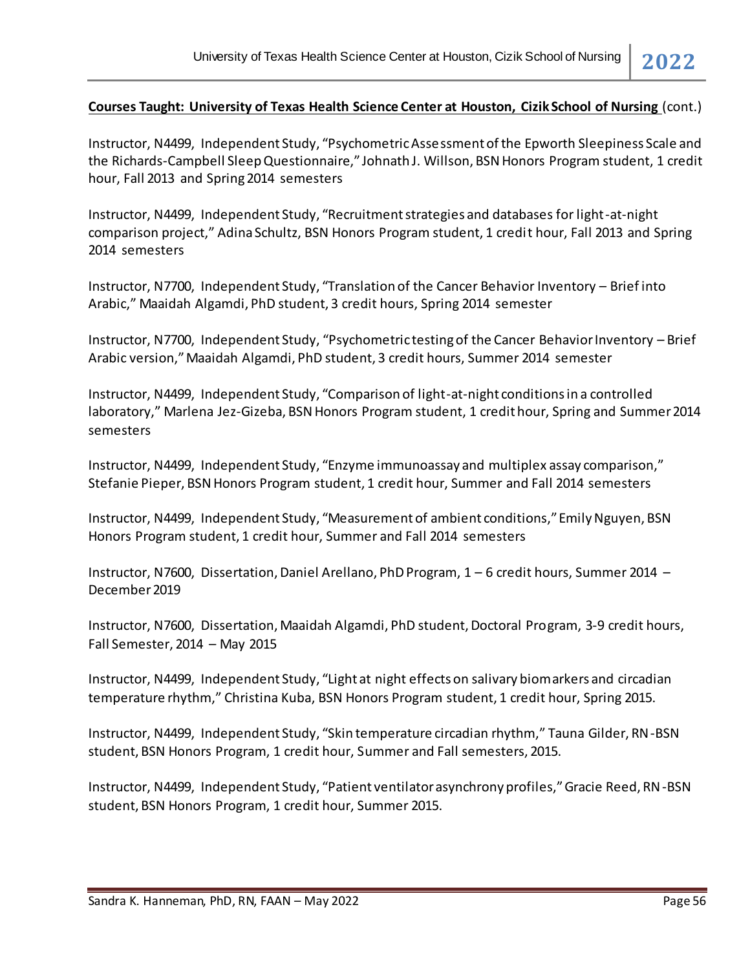Instructor, N4499, Independent Study, "Psychometric Assessment of the Epworth Sleepiness Scale and the Richards-Campbell Sleep Questionnaire," Johnath J. Willson, BSN Honors Program student, 1 credit hour, Fall 2013 and Spring 2014 semesters

Instructor, N4499, Independent Study, "Recruitment strategies and databases for light-at-night comparison project," Adina Schultz, BSN Honors Program student, 1 credit hour, Fall 2013 and Spring 2014 semesters

Instructor, N7700, Independent Study, "Translation of the Cancer Behavior Inventory – Brief into Arabic," Maaidah Algamdi, PhD student, 3 credit hours, Spring 2014 semester

Instructor, N7700, Independent Study, "Psychometric testing of the Cancer Behavior Inventory – Brief Arabic version," Maaidah Algamdi, PhD student, 3 credit hours, Summer 2014 semester

Instructor, N4499, Independent Study, "Comparison of light-at-night conditions in a controlled laboratory," Marlena Jez-Gizeba, BSN Honors Program student, 1 credit hour, Spring and Summer 2014 semesters

Instructor, N4499, Independent Study, "Enzyme immunoassay and multiplex assay comparison," Stefanie Pieper, BSN Honors Program student, 1 credit hour, Summer and Fall 2014 semesters

Instructor, N4499, Independent Study, "Measurement of ambient conditions," Emily Nguyen, BSN Honors Program student, 1 credit hour, Summer and Fall 2014 semesters

Instructor, N7600, Dissertation, Daniel Arellano, PhD Program, 1 – 6 credit hours, Summer 2014 – December 2019

Instructor, N7600, Dissertation, Maaidah Algamdi, PhD student, Doctoral Program, 3-9 credit hours, Fall Semester, 2014 – May 2015

Instructor, N4499, Independent Study, "Light at night effects on salivary biomarkers and circadian temperature rhythm," Christina Kuba, BSN Honors Program student, 1 credit hour, Spring 2015.

Instructor, N4499, Independent Study, "Skin temperature circadian rhythm," Tauna Gilder, RN-BSN student, BSN Honors Program, 1 credit hour, Summer and Fall semesters, 2015.

Instructor, N4499, Independent Study, "Patient ventilator asynchrony profiles," Gracie Reed, RN-BSN student, BSN Honors Program, 1 credit hour, Summer 2015.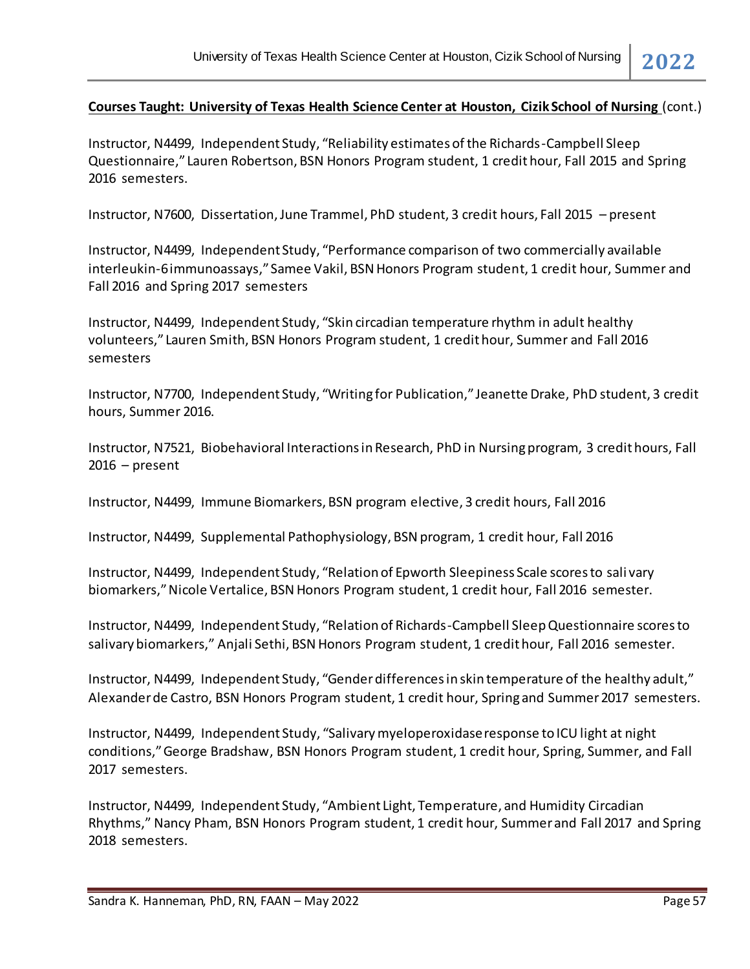Instructor, N4499, Independent Study, "Reliability estimates of the Richards-Campbell Sleep Questionnaire," Lauren Robertson, BSN Honors Program student, 1 credit hour, Fall 2015 and Spring 2016 semesters.

Instructor, N7600, Dissertation, June Trammel, PhD student, 3 credit hours, Fall 2015 – present

Instructor, N4499, Independent Study, "Performance comparison of two commercially available interleukin-6 immunoassays," Samee Vakil, BSN Honors Program student, 1 credit hour, Summer and Fall 2016 and Spring 2017 semesters

Instructor, N4499, Independent Study, "Skin circadian temperature rhythm in adult healthy volunteers," Lauren Smith, BSN Honors Program student, 1 credit hour, Summer and Fall 2016 semesters

Instructor, N7700, Independent Study, "Writing for Publication," Jeanette Drake, PhD student, 3 credit hours, Summer 2016.

Instructor, N7521, Biobehavioral Interactions in Research, PhD in Nursing program, 3 credit hours, Fall  $2016$  – present

Instructor, N4499, Immune Biomarkers, BSN program elective, 3 credit hours, Fall 2016

Instructor, N4499, Supplemental Pathophysiology, BSN program, 1 credit hour, Fall 2016

Instructor, N4499, Independent Study, "Relation of Epworth Sleepiness Scale scores to sali vary biomarkers," Nicole Vertalice, BSN Honors Program student, 1 credit hour, Fall 2016 semester.

Instructor, N4499, Independent Study, "Relation of Richards-Campbell Sleep Questionnaire scores to salivary biomarkers," Anjali Sethi, BSN Honors Program student, 1 credit hour, Fall 2016 semester.

Instructor, N4499, Independent Study, "Gender differences in skin temperature of the healthy adult," Alexander de Castro, BSN Honors Program student, 1 credit hour, Spring and Summer 2017 semesters.

Instructor, N4499, Independent Study, "Salivary myeloperoxidase response to ICU light at night conditions," George Bradshaw, BSN Honors Program student, 1 credit hour, Spring, Summer, and Fall 2017 semesters.

Instructor, N4499, Independent Study, "Ambient Light, Temperature, and Humidity Circadian Rhythms," Nancy Pham, BSN Honors Program student, 1 credit hour, Summer and Fall 2017 and Spring 2018 semesters.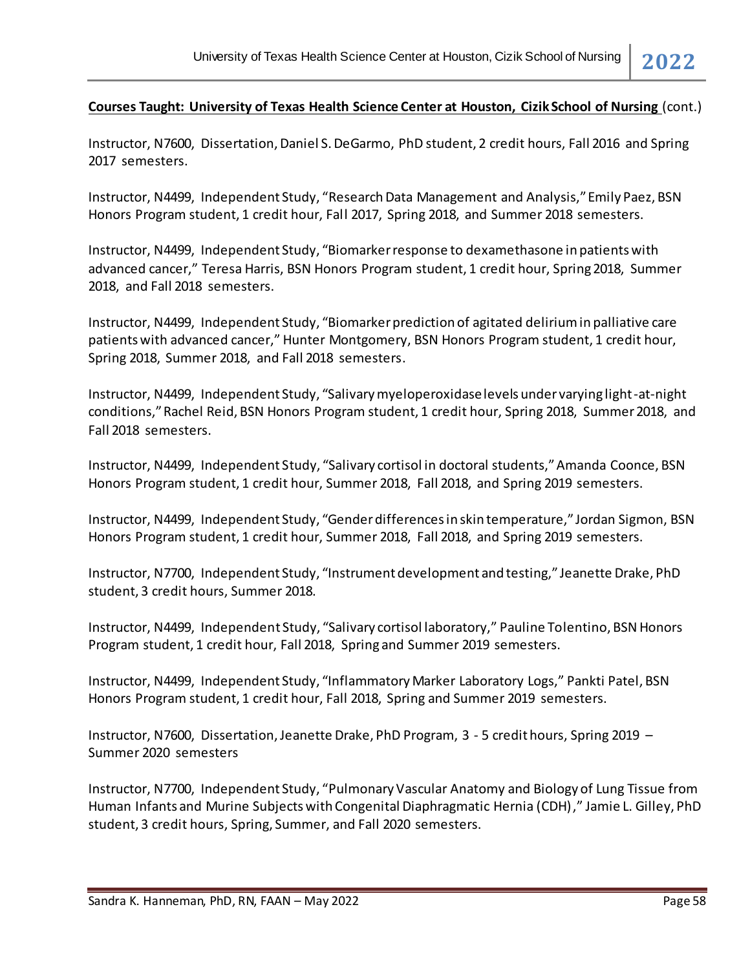Instructor, N7600, Dissertation, Daniel S. DeGarmo, PhD student, 2 credit hours, Fall 2016 and Spring 2017 semesters.

Instructor, N4499, Independent Study, "Research Data Management and Analysis," Emily Paez, BSN Honors Program student, 1 credit hour, Fall 2017, Spring 2018, and Summer 2018 semesters.

Instructor, N4499, Independent Study, "Biomarker response to dexamethasone in patients with advanced cancer," Teresa Harris, BSN Honors Program student, 1 credit hour, Spring 2018, Summer 2018, and Fall 2018 semesters.

Instructor, N4499, Independent Study, "Biomarker prediction of agitated delirium in palliative care patients with advanced cancer," Hunter Montgomery, BSN Honors Program student, 1 credit hour, Spring 2018, Summer 2018, and Fall 2018 semesters.

Instructor, N4499, Independent Study, "Salivary myeloperoxidase levels under varying light-at-night conditions," Rachel Reid, BSN Honors Program student, 1 credit hour, Spring 2018, Summer 2018, and Fall 2018 semesters.

Instructor, N4499, Independent Study, "Salivary cortisol in doctoral students," Amanda Coonce, BSN Honors Program student, 1 credit hour, Summer 2018, Fall 2018, and Spring 2019 semesters.

Instructor, N4499, Independent Study, "Gender differences in skin temperature," Jordan Sigmon, BSN Honors Program student, 1 credit hour, Summer 2018, Fall 2018, and Spring 2019 semesters.

Instructor, N7700, Independent Study, "Instrument development and testing," Jeanette Drake, PhD student, 3 credit hours, Summer 2018.

Instructor, N4499, Independent Study, "Salivary cortisol laboratory," Pauline Tolentino, BSN Honors Program student, 1 credit hour, Fall 2018, Spring and Summer 2019 semesters.

Instructor, N4499, Independent Study, "Inflammatory Marker Laboratory Logs," Pankti Patel, BSN Honors Program student, 1 credit hour, Fall 2018, Spring and Summer 2019 semesters.

Instructor, N7600, Dissertation, Jeanette Drake, PhD Program, 3 - 5 credit hours, Spring 2019 – Summer 2020 semesters

Instructor, N7700, Independent Study, "Pulmonary Vascular Anatomy and Biology of Lung Tissue from Human Infants and Murine Subjects with Congenital Diaphragmatic Hernia (CDH)," Jamie L. Gilley, PhD student, 3 credit hours, Spring, Summer, and Fall 2020 semesters.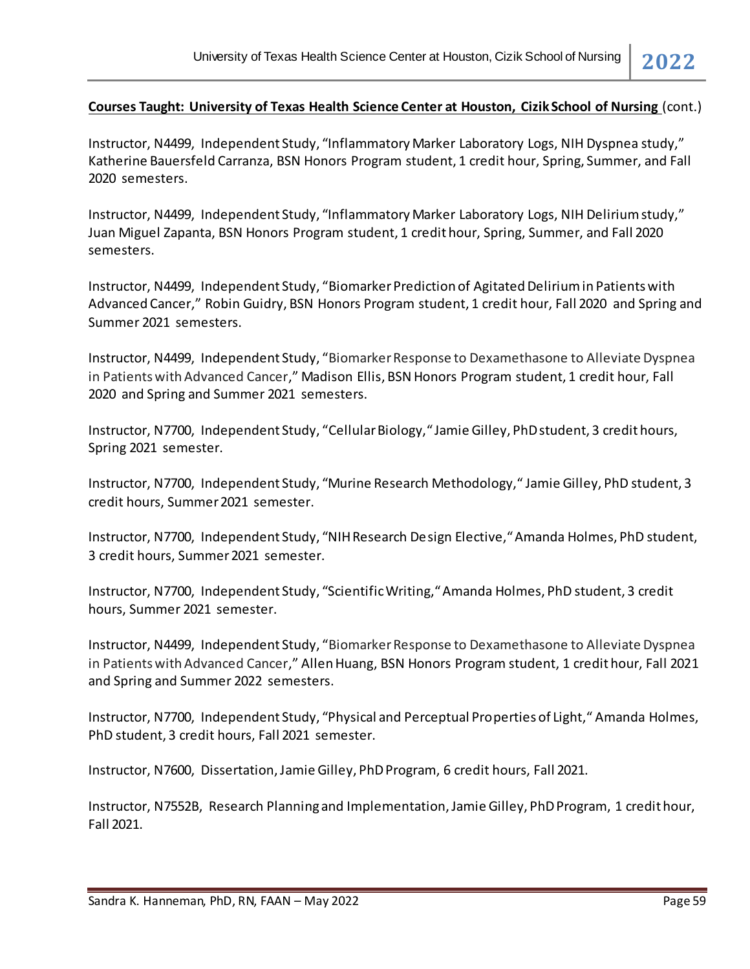Instructor, N4499, Independent Study, "Inflammatory Marker Laboratory Logs, NIH Dyspnea study," Katherine Bauersfeld Carranza, BSN Honors Program student, 1 credit hour, Spring, Summer, and Fall 2020 semesters.

Instructor, N4499, Independent Study, "Inflammatory Marker Laboratory Logs, NIH Delirium study," Juan Miguel Zapanta, BSN Honors Program student, 1 credit hour, Spring, Summer, and Fall 2020 semesters.

Instructor, N4499, Independent Study, "Biomarker Prediction of Agitated Delirium in Patients with Advanced Cancer," Robin Guidry, BSN Honors Program student, 1 credit hour, Fall 2020 and Spring and Summer 2021 semesters.

Instructor, N4499, Independent Study, "Biomarker Response to Dexamethasone to Alleviate Dyspnea in Patients with Advanced Cancer," Madison Ellis, BSN Honors Program student, 1 credit hour, Fall 2020 and Spring and Summer 2021 semesters.

Instructor, N7700, Independent Study, "Cellular Biology," Jamie Gilley, PhD student, 3 credit hours, Spring 2021 semester.

Instructor, N7700, Independent Study, "Murine Research Methodology," Jamie Gilley, PhD student, 3 credit hours, Summer 2021 semester.

Instructor, N7700, Independent Study, "NIH Research Design Elective," Amanda Holmes, PhD student, 3 credit hours, Summer 2021 semester.

Instructor, N7700, Independent Study, "Scientific Writing," Amanda Holmes, PhD student, 3 credit hours, Summer 2021 semester.

Instructor, N4499, Independent Study, "Biomarker Response to Dexamethasone to Alleviate Dyspnea in Patients with Advanced Cancer," Allen Huang, BSN Honors Program student, 1 credit hour, Fall 2021 and Spring and Summer 2022 semesters.

Instructor, N7700, Independent Study, "Physical and Perceptual Properties of Light," Amanda Holmes, PhD student, 3 credit hours, Fall 2021 semester.

Instructor, N7600, Dissertation, Jamie Gilley, PhD Program, 6 credit hours, Fall 2021.

Instructor, N7552B, Research Planning and Implementation, Jamie Gilley, PhD Program, 1 credit hour, Fall 2021.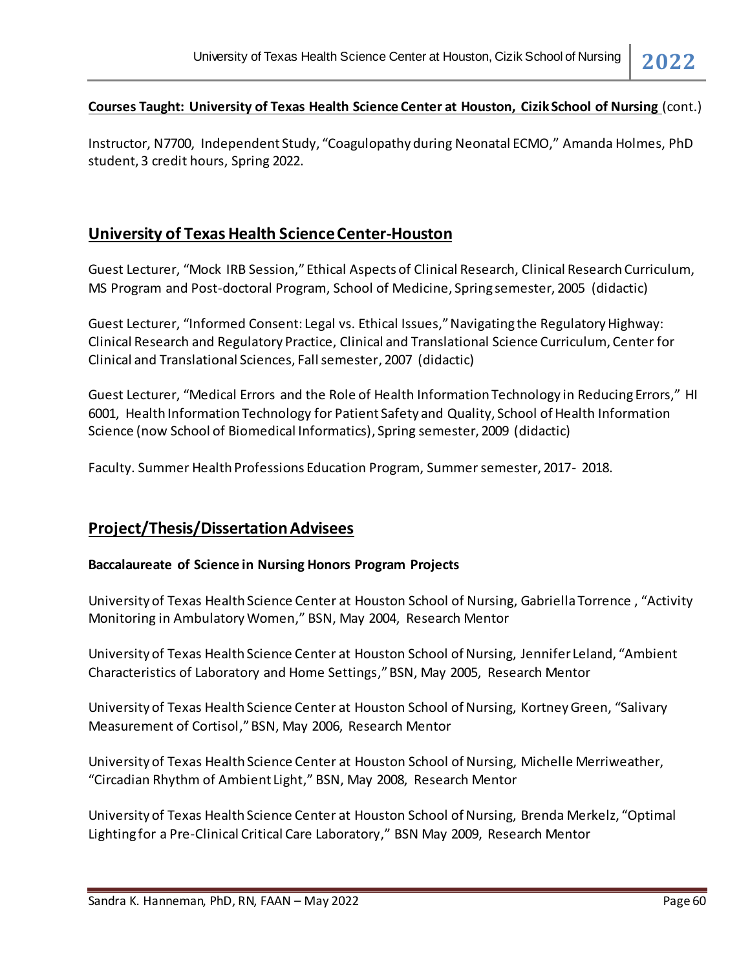Instructor, N7700, Independent Study, "Coagulopathy during Neonatal ECMO," Amanda Holmes, PhD student, 3 credit hours, Spring 2022.

# **University of Texas Health Science Center-Houston**

Guest Lecturer, "Mock IRB Session," Ethical Aspects of Clinical Research, Clinical Research Curriculum, MS Program and Post-doctoral Program, School of Medicine, Spring semester, 2005 (didactic)

Guest Lecturer, "Informed Consent: Legal vs. Ethical Issues," Navigating the Regulatory Highway: Clinical Research and Regulatory Practice, Clinical and Translational Science Curriculum, Center for Clinical and Translational Sciences, Fall semester, 2007 (didactic)

Guest Lecturer, "Medical Errors and the Role of Health Information Technology in Reducing Errors," HI 6001, Health Information Technology for Patient Safety and Quality, School of Health Information Science (now School of Biomedical Informatics), Spring semester, 2009 (didactic)

Faculty. Summer Health Professions Education Program, Summer semester, 2017- 2018.

# **Project/Thesis/Dissertation Advisees**

#### **Baccalaureate of Science in Nursing Honors Program Projects**

University of Texas Health Science Center at Houston School of Nursing, Gabriella Torrence , "Activity Monitoring in Ambulatory Women," BSN, May 2004, Research Mentor

University of Texas Health Science Center at Houston School of Nursing, Jennifer Leland, "Ambient Characteristics of Laboratory and Home Settings," BSN, May 2005, Research Mentor

University of Texas Health Science Center at Houston School of Nursing, Kortney Green, "Salivary Measurement of Cortisol," BSN, May 2006, Research Mentor

University of Texas Health Science Center at Houston School of Nursing, Michelle Merriweather, "Circadian Rhythm of Ambient Light," BSN, May 2008, Research Mentor

University of Texas Health Science Center at Houston School of Nursing, Brenda Merkelz, "Optimal Lighting for a Pre-Clinical Critical Care Laboratory," BSN May 2009, Research Mentor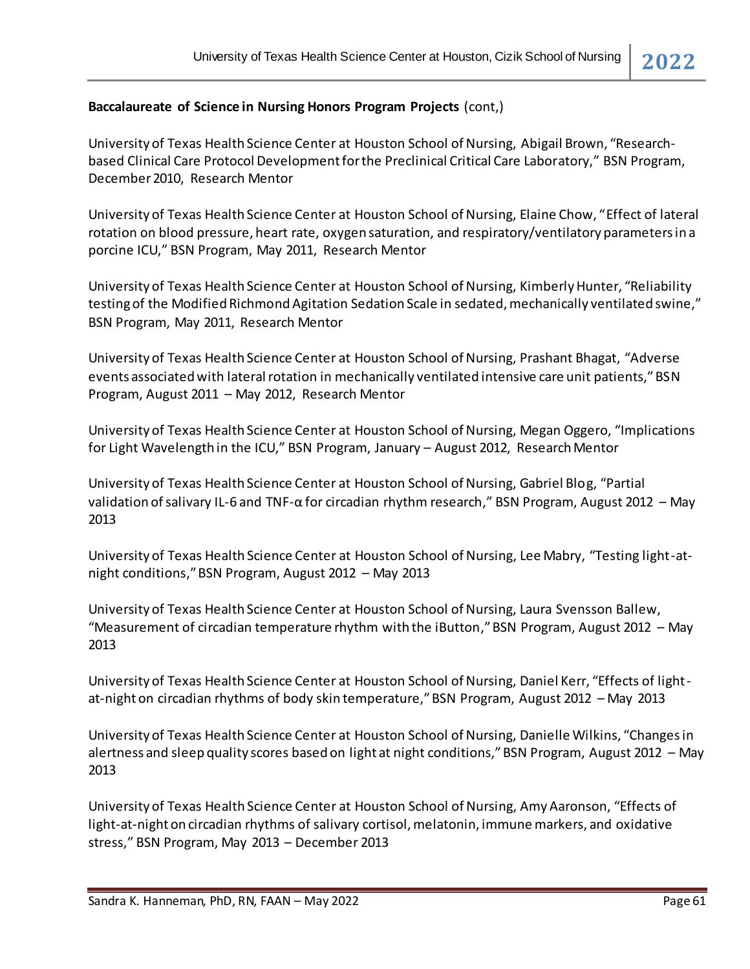#### **Baccalaureate of Science in Nursing Honors Program Projects** (cont,)

University of Texas Health Science Center at Houston School of Nursing, Abigail Brown, "Researchbased Clinical Care Protocol Development for the Preclinical Critical Care Laboratory," BSN Program, December 2010, Research Mentor

University of Texas Health Science Center at Houston School of Nursing, Elaine Chow, "Effect of lateral rotation on blood pressure, heart rate, oxygen saturation, and respiratory/ventilatory parameters in a porcine ICU," BSN Program, May 2011, Research Mentor

University of Texas Health Science Center at Houston School of Nursing, Kimberly Hunter, "Reliability testing of the Modified Richmond Agitation Sedation Scale in sedated, mechanically ventilated swine," BSN Program, May 2011, Research Mentor

University of Texas Health Science Center at Houston School of Nursing, Prashant Bhagat, "Adverse events associated with lateral rotation in mechanically ventilated intensive care unit patients," BSN Program, August 2011 – May 2012, Research Mentor

University of Texas Health Science Center at Houston School of Nursing, Megan Oggero, "Implications for Light Wavelength in the ICU," BSN Program, January – August 2012, Research Mentor

University of Texas Health Science Center at Houston School of Nursing, Gabriel Blog, "Partial validation of salivary IL-6 and TNF-α for circadian rhythm research," BSN Program, August 2012 – May 2013

University of Texas Health Science Center at Houston School of Nursing, Lee Mabry, "Testing light-atnight conditions," BSN Program, August 2012 – May 2013

University of Texas Health Science Center at Houston School of Nursing, Laura Svensson Ballew, "Measurement of circadian temperature rhythm with the iButton," BSN Program, August 2012 – May 2013

University of Texas Health Science Center at Houston School of Nursing, Daniel Kerr, "Effects of lightat-night on circadian rhythms of body skin temperature," BSN Program, August 2012 – May 2013

University of Texas Health Science Center at Houston School of Nursing, Danielle Wilkins, "Changes in alertness and sleep quality scores based on light at night conditions," BSN Program, August 2012 – May 2013

University of Texas Health Science Center at Houston School of Nursing, Amy Aaronson, "Effects of light-at-night on circadian rhythms of salivary cortisol, melatonin, immune markers, and oxidative stress," BSN Program, May 2013 – December 2013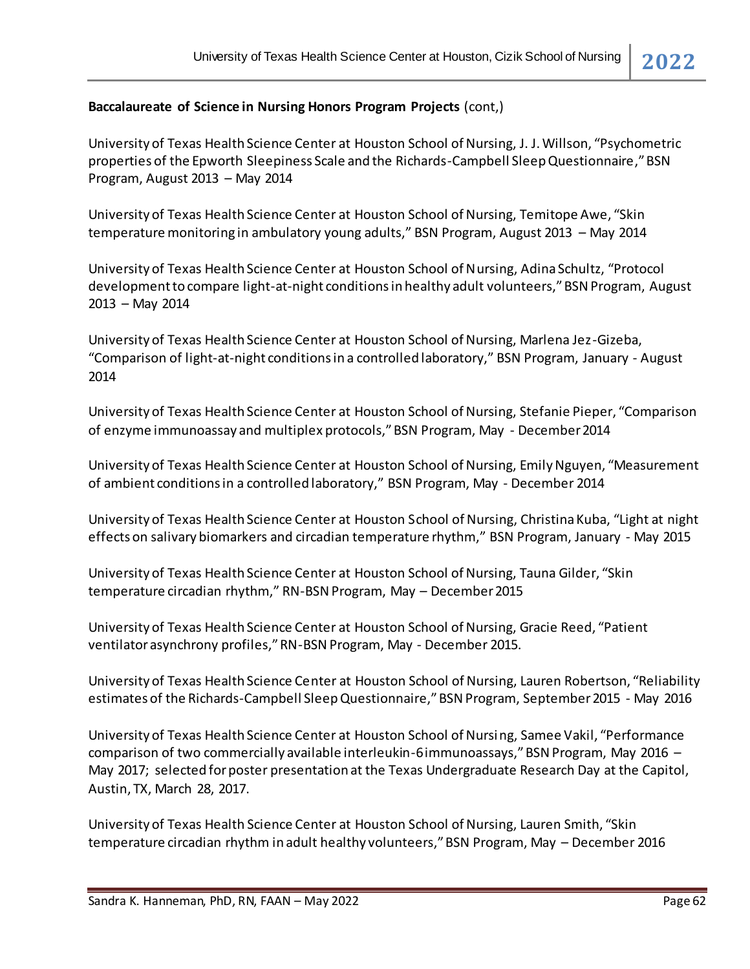#### **Baccalaureate of Science in Nursing Honors Program Projects** (cont,)

University of Texas Health Science Center at Houston School of Nursing, J. J. Willson, "Psychometric properties of the Epworth Sleepiness Scale and the Richards-Campbell Sleep Questionnaire," BSN Program, August 2013 – May 2014

University of Texas Health Science Center at Houston School of Nursing, Temitope Awe, "Skin temperature monitoring in ambulatory young adults," BSN Program, August 2013 – May 2014

University of Texas Health Science Center at Houston School of Nursing, Adina Schultz, "Protocol development to compare light-at-night conditions in healthy adult volunteers," BSN Program, August 2013 – May 2014

University of Texas Health Science Center at Houston School of Nursing, Marlena Jez-Gizeba, "Comparison of light-at-night conditions in a controlled laboratory," BSN Program, January - August 2014

University of Texas Health Science Center at Houston School of Nursing, Stefanie Pieper, "Comparison of enzyme immunoassay and multiplex protocols," BSN Program, May - December 2014

University of Texas Health Science Center at Houston School of Nursing, Emily Nguyen, "Measurement of ambient conditions in a controlled laboratory," BSN Program, May - December 2014

University of Texas Health Science Center at Houston School of Nursing, Christina Kuba, "Light at night effects on salivary biomarkers and circadian temperature rhythm," BSN Program, January - May 2015

University of Texas Health Science Center at Houston School of Nursing, Tauna Gilder, "Skin temperature circadian rhythm," RN-BSN Program, May – December 2015

University of Texas Health Science Center at Houston School of Nursing, Gracie Reed, "Patient ventilator asynchrony profiles," RN-BSN Program, May - December 2015.

University of Texas Health Science Center at Houston School of Nursing, Lauren Robertson, "Reliability estimates of the Richards-Campbell Sleep Questionnaire," BSN Program, September 2015 - May 2016

University of Texas Health Science Center at Houston School of Nursing, Samee Vakil, "Performance comparison of two commercially available interleukin-6 immunoassays," BSN Program, May 2016 – May 2017; selected for poster presentation at the Texas Undergraduate Research Day at the Capitol, Austin, TX, March 28, 2017.

University of Texas Health Science Center at Houston School of Nursing, Lauren Smith, "Skin temperature circadian rhythm in adult healthy volunteers," BSN Program, May – December 2016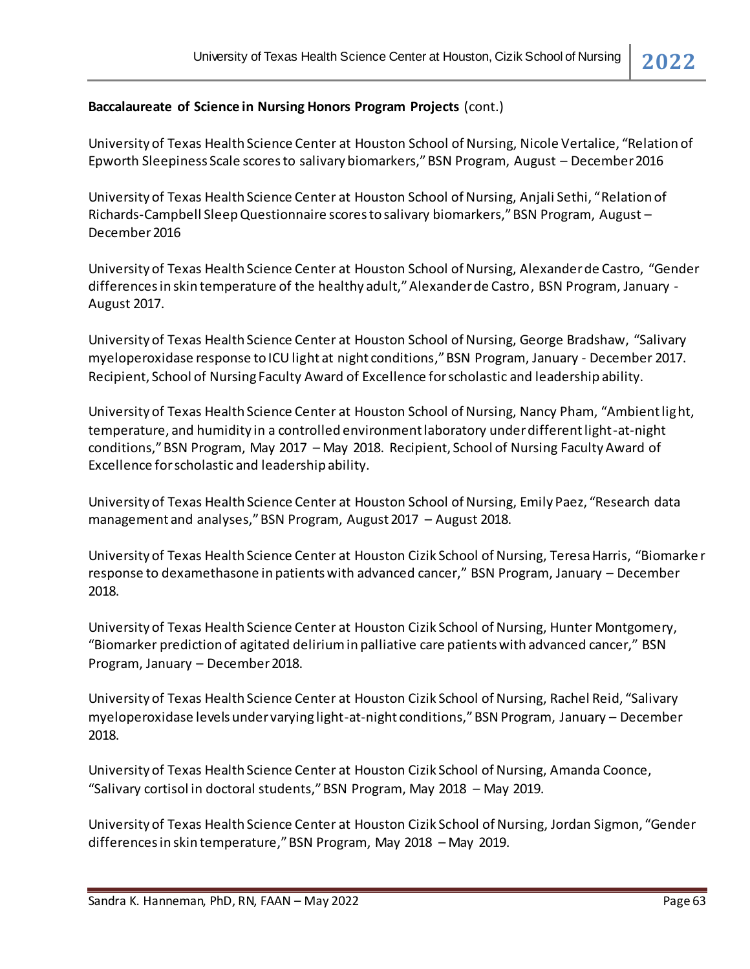#### **Baccalaureate of Science in Nursing Honors Program Projects** (cont.)

University of Texas Health Science Center at Houston School of Nursing, Nicole Vertalice, "Relation of Epworth Sleepiness Scale scores to salivary biomarkers," BSN Program, August – December 2016

University of Texas Health Science Center at Houston School of Nursing, Anjali Sethi, "Relation of Richards-Campbell Sleep Questionnaire scores to salivary biomarkers," BSN Program, August – December 2016

University of Texas Health Science Center at Houston School of Nursing, Alexander de Castro, "Gender differences in skin temperature of the healthy adult," Alexander de Castro, BSN Program, January - August 2017.

University of Texas Health Science Center at Houston School of Nursing, George Bradshaw, "Salivary myeloperoxidase response to ICU light at night conditions," BSN Program, January - December 2017. Recipient, School of Nursing Faculty Award of Excellence for scholastic and leadership ability.

University of Texas Health Science Center at Houston School of Nursing, Nancy Pham, "Ambient light, temperature, and humidity in a controlled environment laboratory under different light-at-night conditions," BSN Program, May 2017 – May 2018. Recipient, School of Nursing Faculty Award of Excellence for scholastic and leadership ability.

University of Texas Health Science Center at Houston School of Nursing, Emily Paez, "Research data management and analyses," BSN Program, August 2017 – August 2018.

University of Texas Health Science Center at Houston Cizik School of Nursing, Teresa Harris, "Biomarke r response to dexamethasone in patients with advanced cancer," BSN Program, January – December 2018.

University of Texas Health Science Center at Houston Cizik School of Nursing, Hunter Montgomery, "Biomarker prediction of agitated delirium in palliative care patients with advanced cancer," BSN Program, January – December 2018.

University of Texas Health Science Center at Houston Cizik School of Nursing, Rachel Reid, "Salivary myeloperoxidase levels under varying light-at-night conditions," BSN Program, January – December 2018.

University of Texas Health Science Center at Houston Cizik School of Nursing, Amanda Coonce, "Salivary cortisol in doctoral students," BSN Program, May 2018 – May 2019.

University of Texas Health Science Center at Houston Cizik School of Nursing, Jordan Sigmon, "Gender differences in skin temperature," BSN Program, May 2018 – May 2019.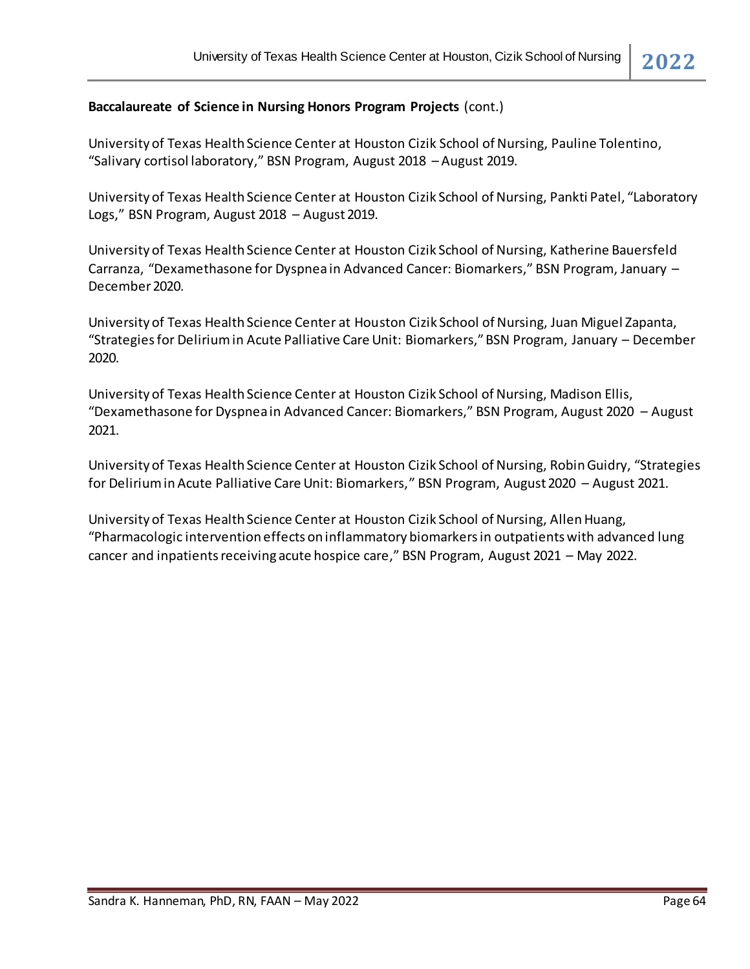#### **Baccalaureate of Science in Nursing Honors Program Projects** (cont.)

University of Texas Health Science Center at Houston Cizik School of Nursing, Pauline Tolentino, "Salivary cortisol laboratory," BSN Program, August 2018 – August 2019.

University of Texas Health Science Center at Houston Cizik School of Nursing, Pankti Patel, "Laboratory Logs," BSN Program, August 2018 – August 2019.

University of Texas Health Science Center at Houston Cizik School of Nursing, Katherine Bauersfeld Carranza, "Dexamethasone for Dyspnea in Advanced Cancer: Biomarkers," BSN Program, January – December 2020.

University of Texas Health Science Center at Houston Cizik School of Nursing, Juan Miguel Zapanta, "Strategies for Delirium in Acute Palliative Care Unit: Biomarkers," BSN Program, January – December 2020.

University of Texas Health Science Center at Houston Cizik School of Nursing, Madison Ellis, "Dexamethasone for Dyspnea in Advanced Cancer: Biomarkers," BSN Program, August 2020 – August 2021.

University of Texas Health Science Center at Houston Cizik School of Nursing, Robin Guidry, "Strategies for Delirium in Acute Palliative Care Unit: Biomarkers," BSN Program, August 2020 – August 2021.

University of Texas Health Science Center at Houston Cizik School of Nursing, Allen Huang, "Pharmacologic intervention effects on inflammatory biomarkers in outpatients with advanced lung cancer and inpatients receiving acute hospice care," BSN Program, August 2021 – May 2022.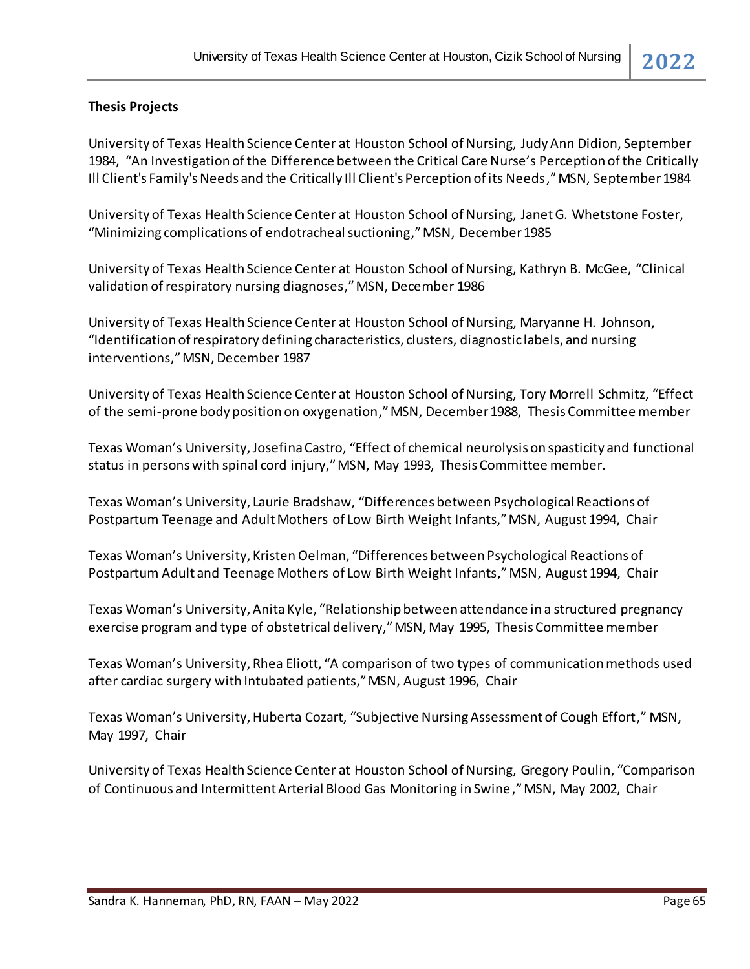### **Thesis Projects**

University of Texas Health Science Center at Houston School of Nursing, Judy Ann Didion, September 1984, "An Investigation of the Difference between the Critical Care Nurse's Perception of the Critically Ill Client's Family's Needs and the Critically Ill Client's Perception of its Needs,"MSN, September 1984

University of Texas Health Science Center at Houston School of Nursing, Janet G. Whetstone Foster, "Minimizing complications of endotracheal suctioning,"MSN, December 1985

University of Texas Health Science Center at Houston School of Nursing, Kathryn B. McGee, "Clinical validation of respiratory nursing diagnoses,"MSN, December 1986

University of Texas Health Science Center at Houston School of Nursing, Maryanne H. Johnson, "Identification of respiratory defining characteristics, clusters, diagnostic labels, and nursing interventions,"MSN, December 1987

University of Texas Health Science Center at Houston School of Nursing, Tory Morrell Schmitz, "Effect of the semi-prone body position on oxygenation,"MSN, December 1988, Thesis Committee member

Texas Woman's University, Josefina Castro, "Effect of chemical neurolysis on spasticity and functional status in persons with spinal cord injury," MSN, May 1993, Thesis Committee member.

Texas Woman's University, Laurie Bradshaw, "Differences between Psychological Reactions of Postpartum Teenage and Adult Mothers of Low Birth Weight Infants," MSN, August 1994, Chair

Texas Woman's University, Kristen Oelman, "Differences between Psychological Reactions of Postpartum Adult and Teenage Mothers of Low Birth Weight Infants," MSN, August 1994, Chair

Texas Woman's University, Anita Kyle, "Relationship between attendance in a structured pregnancy exercise program and type of obstetrical delivery," MSN, May 1995, Thesis Committee member

Texas Woman's University, Rhea Eliott, "A comparison of two types of communication methods used after cardiac surgery with Intubated patients," MSN, August 1996, Chair

Texas Woman's University, Huberta Cozart, "Subjective Nursing Assessment of Cough Effort," MSN, May 1997, Chair

University of Texas Health Science Center at Houston School of Nursing, Gregory Poulin, "Comparison of Continuous and Intermittent Arterial Blood Gas Monitoring in Swine,"MSN, May 2002, Chair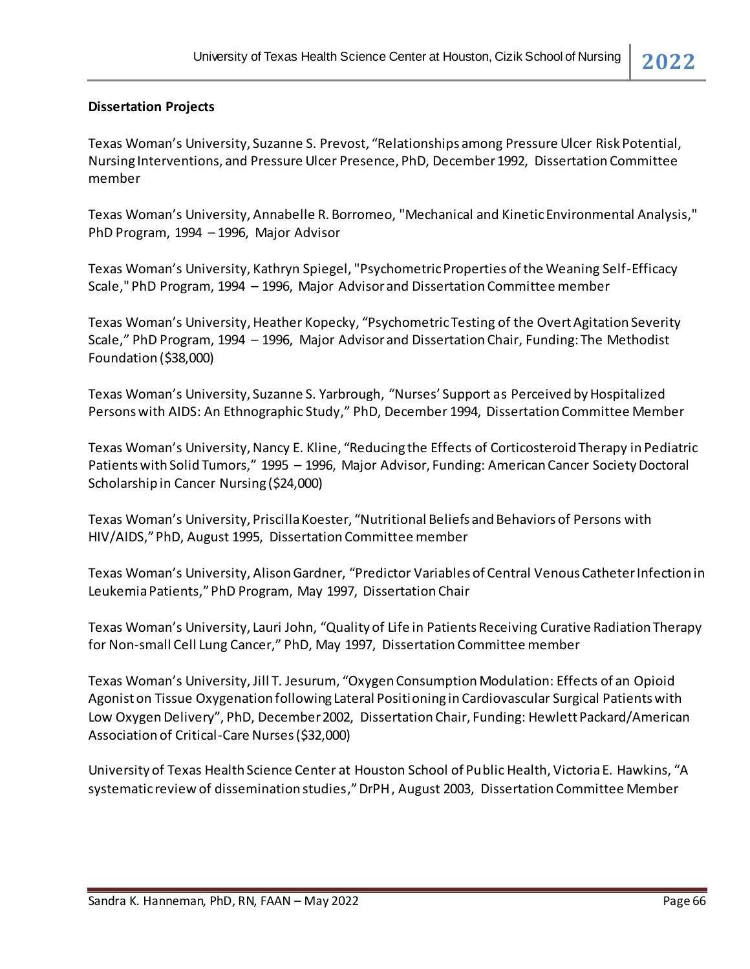#### **Dissertation Projects**

Texas Woman's University, Suzanne S. Prevost, "Relationships among Pressure Ulcer Risk Potential, Nursing Interventions, and Pressure Ulcer Presence, PhD, December 1992, Dissertation Committee member

Texas Woman's University, Annabelle R. Borromeo, "Mechanical and Kinetic Environmental Analysis," PhD Program, 1994 – 1996, Major Advisor

Texas Woman's University, Kathryn Spiegel, "Psychometric Properties of the Weaning Self-Efficacy Scale," PhD Program, 1994 – 1996, Major Advisor and Dissertation Committee member

Texas Woman's University, Heather Kopecky, "Psychometric Testing of the Overt Agitation Severity Scale," PhD Program, 1994 – 1996, Major Advisor and Dissertation Chair, Funding: The Methodist Foundation (\$38,000)

Texas Woman's University, Suzanne S. Yarbrough, "Nurses' Support as Perceived by Hospitalized Persons with AIDS: An Ethnographic Study," PhD, December 1994, Dissertation Committee Member

Texas Woman's University, Nancy E. Kline, "Reducing the Effects of Corticosteroid Therapy in Pediatric Patients with Solid Tumors," 1995 – 1996, Major Advisor, Funding: American Cancer Society Doctoral Scholarship in Cancer Nursing (\$24,000)

Texas Woman's University, Priscilla Koester, "Nutritional Beliefs and Behaviors of Persons with HIV/AIDS," PhD, August 1995, Dissertation Committee member

Texas Woman's University, Alison Gardner, "Predictor Variables of Central Venous Catheter Infection in Leukemia Patients,"PhD Program, May 1997, Dissertation Chair

Texas Woman's University, Lauri John, "Quality of Life in Patients Receiving Curative Radiation Therapy for Non-small Cell Lung Cancer," PhD, May 1997, Dissertation Committee member

Texas Woman's University, Jill T. Jesurum, "Oxygen Consumption Modulation: Effects of an Opioid Agonist on Tissue Oxygenation following Lateral Positioning in Cardiovascular Surgical Patients with Low Oxygen Delivery", PhD, December 2002, Dissertation Chair, Funding: Hewlett Packard/American Association of Critical-Care Nurses (\$32,000)

University of Texas Health Science Center at Houston School of Public Health, Victoria E. Hawkins, "A systematic review of dissemination studies," DrPH, August 2003, Dissertation Committee Member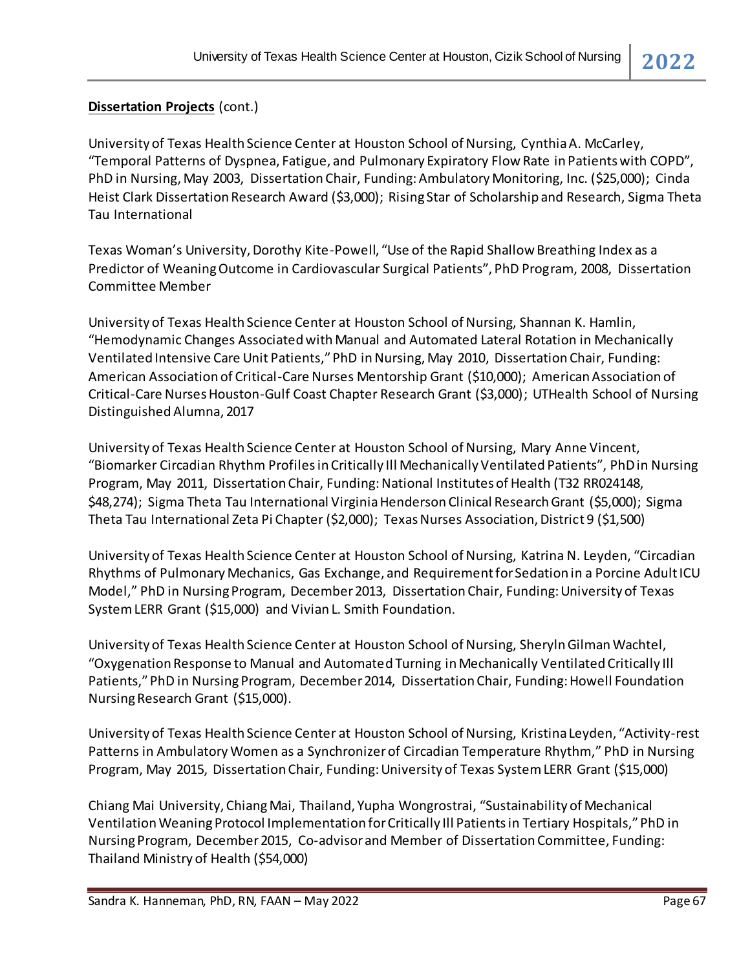# **Dissertation Projects** (cont.)

University of Texas Health Science Center at Houston School of Nursing, Cynthia A. McCarley, "Temporal Patterns of Dyspnea, Fatigue, and Pulmonary Expiratory Flow Rate in Patients with COPD", PhD in Nursing, May 2003, Dissertation Chair, Funding: Ambulatory Monitoring, Inc. (\$25,000); Cinda Heist Clark Dissertation Research Award (\$3,000); Rising Star of Scholarship and Research, Sigma Theta Tau International

Texas Woman's University, Dorothy Kite-Powell, "Use of the Rapid Shallow Breathing Index as a Predictor of Weaning Outcome in Cardiovascular Surgical Patients", PhD Program, 2008, Dissertation Committee Member

University of Texas Health Science Center at Houston School of Nursing, Shannan K. Hamlin, "Hemodynamic Changes Associated with Manual and Automated Lateral Rotation in Mechanically Ventilated Intensive Care Unit Patients,"PhD in Nursing, May 2010, Dissertation Chair, Funding: American Association of Critical-Care Nurses Mentorship Grant (\$10,000); American Association of Critical-Care Nurses Houston-Gulf Coast Chapter Research Grant (\$3,000); UTHealth School of Nursing Distinguished Alumna, 2017

University of Texas Health Science Center at Houston School of Nursing, Mary Anne Vincent, "Biomarker Circadian Rhythm Profiles in Critically Ill Mechanically Ventilated Patients", PhD in Nursing Program, May 2011, Dissertation Chair, Funding: National Institutes of Health (T32 RR024148, \$48,274); Sigma Theta Tau International Virginia Henderson Clinical Research Grant (\$5,000); Sigma Theta Tau International Zeta Pi Chapter (\$2,000); Texas Nurses Association, District 9 (\$1,500)

University of Texas Health Science Center at Houston School of Nursing, Katrina N. Leyden, "Circadian Rhythms of Pulmonary Mechanics, Gas Exchange, and Requirement for Sedation in a Porcine Adult ICU Model," PhD in Nursing Program, December 2013, Dissertation Chair, Funding: University of Texas System LERR Grant (\$15,000) and Vivian L. Smith Foundation.

University of Texas Health Science Center at Houston School of Nursing, Sheryln Gilman Wachtel, "Oxygenation Response to Manual and Automated Turning in Mechanically Ventilated Critically Ill Patients," PhD in Nursing Program, December 2014, Dissertation Chair, Funding: Howell Foundation Nursing Research Grant (\$15,000).

University of Texas Health Science Center at Houston School of Nursing, Kristina Leyden, "Activity-rest Patterns in Ambulatory Women as a Synchronizer of Circadian Temperature Rhythm," PhD in Nursing Program, May 2015, Dissertation Chair, Funding: University of Texas System LERR Grant (\$15,000)

Chiang Mai University, Chiang Mai, Thailand, Yupha Wongrostrai, "Sustainability of Mechanical Ventilation Weaning Protocol Implementation for Critically Ill Patients in Tertiary Hospitals," PhD in Nursing Program, December 2015, Co-advisor and Member of Dissertation Committee, Funding: Thailand Ministry of Health (\$54,000)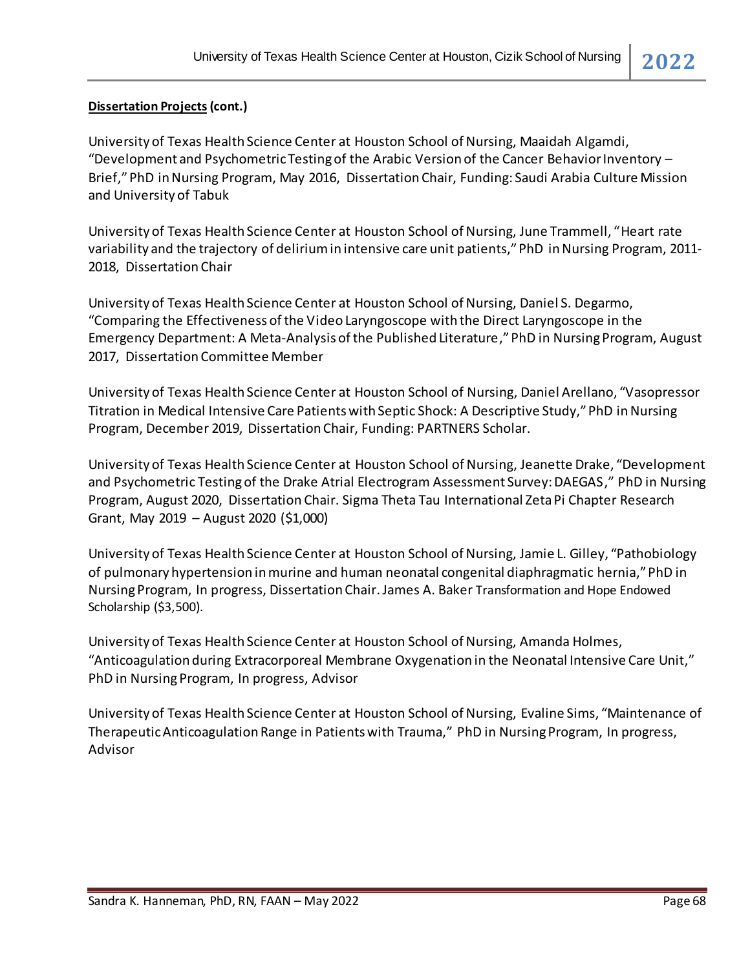#### **Dissertation Projects(cont.)**

University of Texas Health Science Center at Houston School of Nursing, Maaidah Algamdi, "Development and Psychometric Testing of the Arabic Version of the Cancer Behavior Inventory  $-$ Brief," PhD in Nursing Program, May 2016, Dissertation Chair, Funding: Saudi Arabia Culture Mission and University of Tabuk

University of Texas Health Science Center at Houston School of Nursing, June Trammell, "Heart rate variability and the trajectory of delirium in intensive care unit patients," PhD in Nursing Program, 2011- 2018, Dissertation Chair

University of Texas Health Science Center at Houston School of Nursing, Daniel S. Degarmo, "Comparing the Effectiveness of the Video Laryngoscope with the Direct Laryngoscope in the Emergency Department: A Meta-Analysis of the Published Literature," PhD in Nursing Program, August 2017, Dissertation Committee Member

University of Texas Health Science Center at Houston School of Nursing, Daniel Arellano, "Vasopressor Titration in Medical Intensive Care Patients with Septic Shock: A Descriptive Study," PhD in Nursing Program, December 2019, Dissertation Chair, Funding: PARTNERS Scholar.

University of Texas Health Science Center at Houston School of Nursing, Jeanette Drake, "Development and Psychometric Testing of the Drake Atrial Electrogram Assessment Survey: DAEGAS," PhD in Nursing Program, August 2020, Dissertation Chair. Sigma Theta Tau International Zeta Pi Chapter Research Grant, May 2019 – August 2020 (\$1,000)

University of Texas Health Science Center at Houston School of Nursing, Jamie L. Gilley, "Pathobiology of pulmonary hypertension in murine and human neonatal congenital diaphragmatic hernia," PhD in Nursing Program, In progress, Dissertation Chair. James A. Baker Transformation and Hope Endowed Scholarship (\$3,500).

University of Texas Health Science Center at Houston School of Nursing, Amanda Holmes, "Anticoagulation during Extracorporeal Membrane Oxygenation in the Neonatal Intensive Care Unit," PhD in Nursing Program, In progress, Advisor

University of Texas Health Science Center at Houston School of Nursing, Evaline Sims, "Maintenance of Therapeutic Anticoagulation Range in Patients with Trauma," PhD in Nursing Program, In progress, Advisor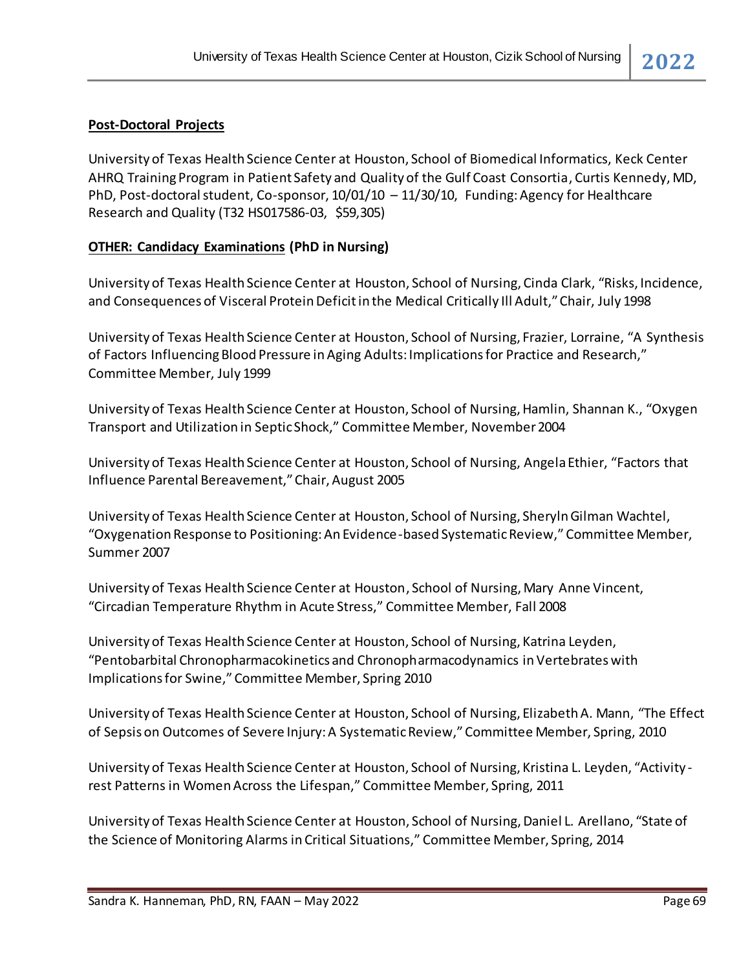### **Post-Doctoral Projects**

University of Texas Health Science Center at Houston, School of Biomedical Informatics, Keck Center AHRQ Training Program in Patient Safety and Quality of the Gulf Coast Consortia, Curtis Kennedy, MD, PhD, Post-doctoral student, Co-sponsor, 10/01/10 – 11/30/10, Funding: Agency for Healthcare Research and Quality (T32 HS017586-03, \$59,305)

#### **OTHER: Candidacy Examinations (PhD in Nursing)**

University of Texas Health Science Center at Houston, School of Nursing, Cinda Clark, "Risks, Incidence, and Consequences of Visceral Protein Deficit in the Medical Critically Ill Adult," Chair, July 1998

University of Texas Health Science Center at Houston, School of Nursing, Frazier, Lorraine, "A Synthesis of Factors Influencing Blood Pressure in Aging Adults: Implications for Practice and Research," Committee Member, July 1999

University of Texas Health Science Center at Houston, School of Nursing, Hamlin, Shannan K., "Oxygen Transport and Utilization in Septic Shock," Committee Member, November 2004

University of Texas Health Science Center at Houston, School of Nursing, Angela Ethier, "Factors that Influence Parental Bereavement," Chair, August 2005

University of Texas Health Science Center at Houston, School of Nursing, Sheryln Gilman Wachtel, "Oxygenation Response to Positioning: An Evidence-based Systematic Review," Committee Member, Summer 2007

University of Texas Health Science Center at Houston, School of Nursing, Mary Anne Vincent, "Circadian Temperature Rhythm in Acute Stress," Committee Member, Fall 2008

University of Texas Health Science Center at Houston, School of Nursing, Katrina Leyden, "Pentobarbital Chronopharmacokinetics and Chronopharmacodynamics in Vertebrates with Implications for Swine," Committee Member, Spring 2010

University of Texas Health Science Center at Houston, School of Nursing, Elizabeth A. Mann, "The Effect of Sepsis on Outcomes of Severe Injury: A Systematic Review,"Committee Member, Spring, 2010

University of Texas Health Science Center at Houston, School of Nursing, Kristina L. Leyden, "Activity rest Patterns in Women Across the Lifespan," Committee Member, Spring, 2011

University of Texas Health Science Center at Houston, School of Nursing, Daniel L. Arellano, "State of the Science of Monitoring Alarms in Critical Situations," Committee Member, Spring, 2014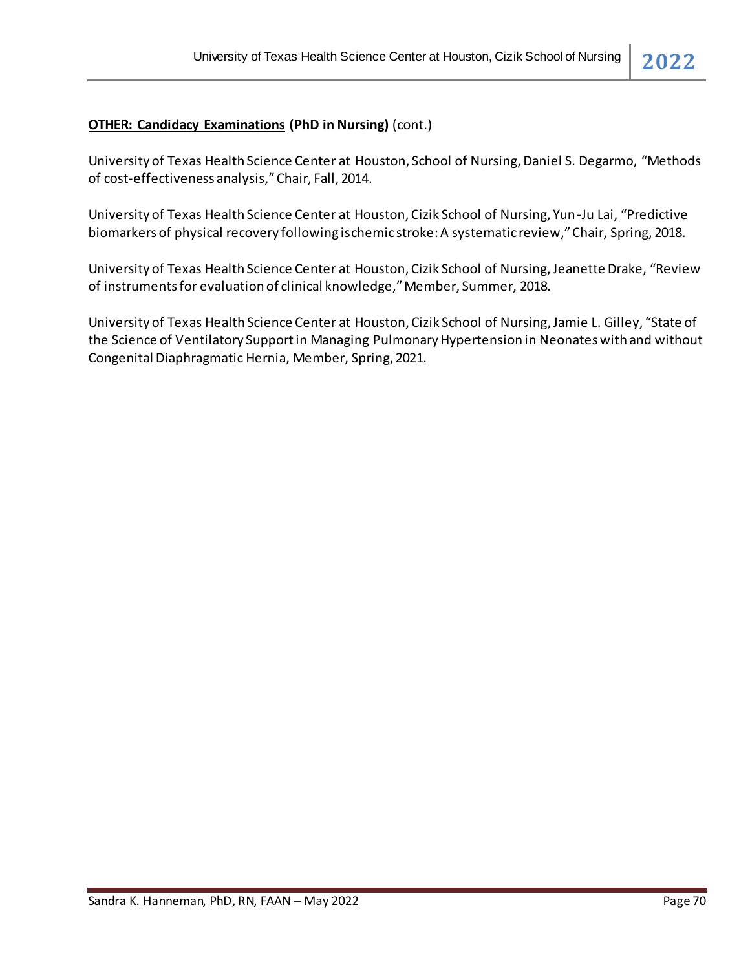# **OTHER: Candidacy Examinations (PhD in Nursing)** (cont.)

University of Texas Health Science Center at Houston, School of Nursing, Daniel S. Degarmo, "Methods of cost-effectiveness analysis," Chair, Fall, 2014.

University of Texas Health Science Center at Houston, Cizik School of Nursing, Yun-Ju Lai, "Predictive biomarkers of physical recovery following ischemic stroke: A systematic review," Chair, Spring, 2018.

University of Texas Health Science Center at Houston, Cizik School of Nursing, Jeanette Drake, "Review of instruments for evaluation of clinical knowledge," Member, Summer, 2018.

University of Texas Health Science Center at Houston, Cizik School of Nursing, Jamie L. Gilley, "State of the Science of Ventilatory Support in Managing Pulmonary Hypertension in Neonates with and without Congenital Diaphragmatic Hernia, Member, Spring, 2021.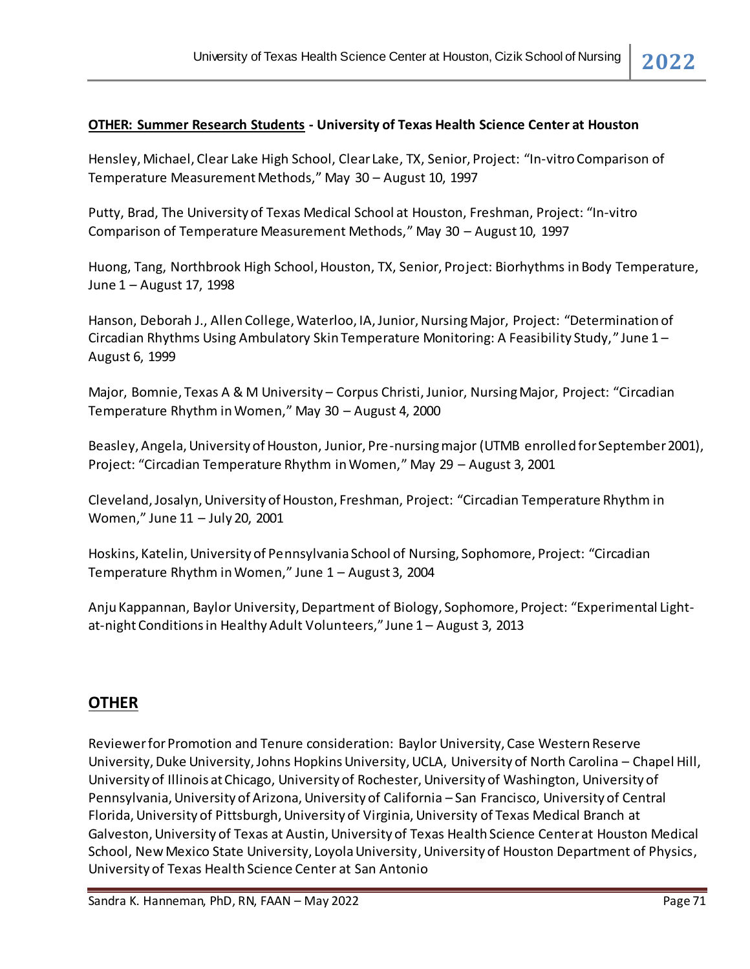# **OTHER: Summer Research Students - University of Texas Health Science Center at Houston**

Hensley, Michael, Clear Lake High School, Clear Lake, TX, Senior, Project: "In-vitro Comparison of Temperature Measurement Methods," May 30 – August 10, 1997

Putty, Brad, The University of Texas Medical School at Houston, Freshman, Project: "In-vitro Comparison of Temperature Measurement Methods," May 30 – August 10, 1997

Huong, Tang, Northbrook High School, Houston, TX, Senior, Project: Biorhythms in Body Temperature, June 1 – August 17, 1998

Hanson, Deborah J., Allen College, Waterloo, IA, Junior, Nursing Major, Project: "Determination of Circadian Rhythms Using Ambulatory Skin Temperature Monitoring: A Feasibility Study," June 1 – August 6, 1999

Major, Bomnie, Texas A & M University – Corpus Christi, Junior, Nursing Major, Project: "Circadian Temperature Rhythm in Women," May 30 – August 4, 2000

Beasley, Angela, University of Houston, Junior, Pre-nursing major (UTMB enrolled for September 2001), Project: "Circadian Temperature Rhythm in Women," May 29 – August 3, 2001

Cleveland, Josalyn, University of Houston, Freshman, Project: "Circadian Temperature Rhythm in Women," June 11 – July 20, 2001

Hoskins, Katelin, University of Pennsylvania School of Nursing, Sophomore, Project: "Circadian Temperature Rhythm in Women," June 1 – August 3, 2004

Anju Kappannan, Baylor University, Department of Biology, Sophomore, Project: "Experimental Lightat-night Conditions in Healthy Adult Volunteers," June 1 – August 3, 2013

# **OTHER**

Reviewer for Promotion and Tenure consideration: Baylor University, Case Western Reserve University, Duke University, Johns Hopkins University, UCLA, University of North Carolina – Chapel Hill, University of Illinois at Chicago, University of Rochester, University of Washington, University of Pennsylvania, University of Arizona, University of California – San Francisco, University of Central Florida, University of Pittsburgh, University of Virginia, University of Texas Medical Branch at Galveston, University of Texas at Austin, University of Texas Health Science Center at Houston Medical School, New Mexico State University, Loyola University, University of Houston Department of Physics, University of Texas Health Science Center at San Antonio